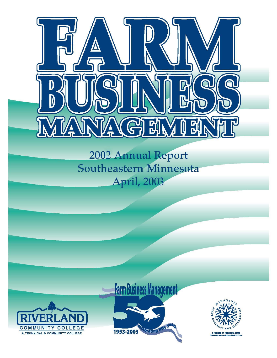

2002 Annual Report Southeastern Minnesota **April, 2003** 



# **Farm Business Management** 1953-2003



A MEMBER OF MINNESOTA STATE<br>COLLEGES AND UNIVERSITIES SYSTE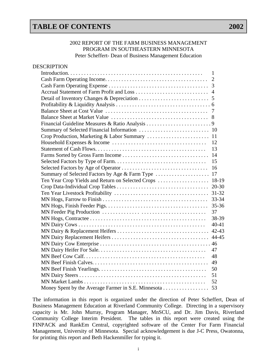## **TABLE OF CONTENTS** 2002

#### 2002 REPORT OF THE FARM BUSINESS MANAGEMENT PROGRAM IN SOUTHEASTERN MINNESOTA Peter Scheffert- Dean of Business Management Education

| <b>DESCRIPTION</b>                                  |                |
|-----------------------------------------------------|----------------|
|                                                     | $\mathbf{1}$   |
|                                                     | $\overline{2}$ |
|                                                     |                |
|                                                     |                |
|                                                     |                |
|                                                     |                |
|                                                     |                |
|                                                     |                |
|                                                     |                |
|                                                     |                |
|                                                     |                |
|                                                     |                |
|                                                     | 13             |
|                                                     |                |
|                                                     | 15             |
|                                                     | 16             |
|                                                     |                |
| Ten Year Crop Yields and Return on Selected Crops   | 18-19          |
|                                                     | $20 - 30$      |
|                                                     |                |
|                                                     |                |
|                                                     | $35 - 36$      |
|                                                     | 37             |
|                                                     | 38-39          |
|                                                     | $40 - 41$      |
|                                                     |                |
|                                                     |                |
|                                                     |                |
|                                                     | 47             |
|                                                     | 48             |
|                                                     | 49             |
|                                                     | 50             |
|                                                     | 51             |
|                                                     | 52             |
| Money Spent by the Average Farmer in S.E. Minnesota | 53             |

The information in this report is organized under the direction of Peter Scheffert, Dean of Business Management Education at Riverland Community College. Directing in a supervisory capacity is Mr. John Murray, Program Manager, MnSCU, and Dr. Jim Davis, Riverland Community College Interim President. The tables in this report were created using the FINPACK and RankEm Central, copyrighted software of the Center For Farm Financial Management, University of Minnesota. Special acknowledgement is due J-C Press, Owatonna, for printing this report and Beth Hackenmiller for typing it.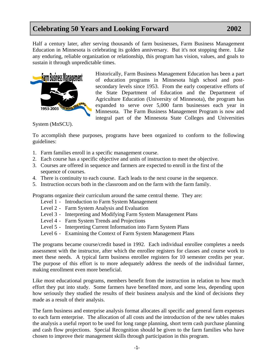## **Celebrating 50 Years and Looking Forward 2002**

Half a century later, after serving thousands of farm businesses, Farm Business Management Education in Minnesota is celebrating its golden anniversary. But it's not stopping there. Like any enduring, reliable organization or relationship, this program has vision, values, and goals to sustain it through unpredictable times.



Historically, Farm Business Management Education has been a part of education programs in Minnesota high school and postsecondary levels since 1953. From the early cooperative efforts of the State Department of Education and the Department of Agriculture Education (University of Minnesota), the program has expanded to serve over 5,000 farm businesses each year in Minnesota. The Farm Business Management Program is now and integral part of the Minnesota State Colleges and Universities

System (MnSCU).

To accomplish these purposes, programs have been organized to conform to the following guidelines:

- 1. Farm families enroll in a specific management course.
- 2. Each course has a specific objective and units of instruction to meet the objective.
- 3. Courses are offered in sequence and farmers are expected to enroll in the first of the sequence of courses.
- 4. There is continuity to each course. Each leads to the next course in the sequence.
- . Instruction occurs both in the classroom and on the farm with the farm family. 5

Programs organize their curriculum around the same central theme. They are:

- Level 1 Introduction to Farm System Management
	- Level 2 Farm System Analysis and Evaluation
- Level 3 Interpreting and Modifying Farm System Management Plans
	- Level 4 Farm System Trends and Projections
	- Level 5 Interpreting Current Information into Farm System Plans
	- Level 6 Examining the Context of Farm System Management Plans

The purpose of this effort is to more adequately address the needs of the individual farmer, making enrollment even more beneficial. The programs became course/credit based in 1992. Each individual enrollee completes a needs assessment with the instructor, after which the enrollee registers for classes and course work to meet these needs. A typical farm business enrollee registers for 10 semester credits per year.

how seriously they studied the results of their business analysis and the kind of decisions they made as a result of their analysis. Like most educational programs, members benefit from the instruction in relation to how much effort they put into study. Some farmers have benefited more, and some less, depending upon

and cash flow projections. Special Recognition should be given to the farm families who have chosen to improve their management skills through participation in this program. The farm business and enterprise analysis format allocates all specific and general farm expenses to each farm enterprise. The allocation of all costs and the introduction of the new tables makes the analysis a useful report to be used for long range planning, short term cash purchase planning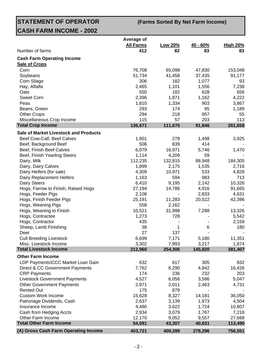**STATEMENT OF OPERATOR CASH FARM INCOME - 2002**

**(Farms Sorted By Net Farm Income)**

|                                              | Average of              |               |                  |                       |
|----------------------------------------------|-------------------------|---------------|------------------|-----------------------|
| Number of farms                              | <b>All Farms</b><br>412 | Low 20%<br>82 | $40 - 60%$<br>83 | <b>High 20%</b><br>83 |
|                                              |                         |               |                  |                       |
| <b>Cash Farm Operating Income</b>            |                         |               |                  |                       |
| <b>Sale of Crops</b>                         |                         |               |                  |                       |
| Corn                                         | 76,708                  | 65,098        | 47,830           | 153,048               |
| Soybeans<br>Corn Silage                      | 51,734<br>306           | 41,458<br>182 | 37,435           | 91,177                |
| Hay, Alfalfa                                 | 2,465                   | 1,101         | 1,077<br>1,556   | 93<br>7,238           |
| Oats                                         | 550                     | 182           | 628              | 656                   |
| <b>Sweet Corn</b>                            | 2,396                   | 1,871         | 1,162            | 4,222                 |
| Peas                                         | 1,810                   | 1,334         | 903              | 3,867                 |
| Beans, Green                                 | 293                     | 174           | 95               | 1,189                 |
| <b>Other Crops</b>                           | 294                     | 218           | 957              | 55                    |
| Miscellaneous Crop Income                    | 115                     | 57            | 203              | 113                   |
| <b>Total Crop Income</b>                     | 136,671                 | 111,675       | 91,846           | 261,658               |
| <b>Sale of Market Livestock and Products</b> |                         |               |                  |                       |
| Beef Cow-Calf, Beef Calves                   | 1,901                   | 278           | 1,498            | 3,925                 |
| Beef, Background Beef                        | 506                     | 839           | 414              |                       |
| Beef, Finish Beef Calves                     | 6,079                   | 16,971        | 5,746            | 1,470                 |
| Beef, Finish Yearling Steers                 | 1,114                   | 4,209         | 59               |                       |
| Dairy, Milk                                  | 112,235                 | 132,815       | 88,948           | 184,305               |
| Dairy, Dairy Calves                          | 1,899                   | 2,175         | 1,535            | 2,716                 |
| Dairy Heifers (for sale)                     | 4,309                   | 10,971        | 533              | 4,828                 |
| Dairy Replacement Heifers                    | 1,163                   | 594           | 983              | 713                   |
| <b>Dairy Steers</b>                          | 6,410                   | 9,195         | 2,142            | 10,326                |
| Hogs, Farrow to Finish, Raised Hogs          | 27,194                  | 14,786        | 4,916            | 91,665                |
| Hogs, Feeder Pigs                            | 2,106                   |               | 2,833            | 4,631                 |
| Hogs, Finish Feeder Pigs                     | 25,191                  | 11,283        | 20,522           | 42,396                |
| Hogs, Weaning Pigs                           | 558                     | 2,162         |                  |                       |
| Hogs, Weaning to Finish                      | 10,521                  | 31,998        | 7,288            | 13,326                |
| Hogs, Contractee                             | 1,273                   | 728           |                  | 5,542                 |
| Hogs, Contractor                             | 435                     |               |                  | 2,159                 |
| Sheep, Lamb Finishing                        | 38                      | 1             | 6                | 180                   |
| Deer                                         | 27                      | 137           |                  |                       |
| <b>Cull Breeding Livestock</b>               | 6,699                   | 7,171         | 5,180            | 11,351                |
| Misc. Livestock Income                       | 3,302                   | 7,993         | 3,217            | 1,874                 |
| <b>Total Livestock Income</b>                | 212,960                 | 254,306       | 145,820          | 381,407               |
| <b>Other Farm Income</b>                     |                         |               |                  |                       |
| LDP Payments\CCC Market Loan Gain            | 632                     | 617           | 305              | 832                   |
| Direct & CC Government Payments              | 7,762                   | 6,290         | 4,842            | 16,426                |
| <b>CRP Payments</b>                          | 174                     | 236           | 232              | 203                   |
| <b>Livestock Government Payments</b>         | 4,527                   | 6,056         | 3,586            | 5,047                 |
| <b>Other Government Payments</b>             | 2,971                   | 2,011         | 2,463            | 4,731                 |
| <b>Rented Out</b>                            | 175                     | 879           |                  |                       |
| <b>Custom Work Income</b>                    | 15,628                  | 8,327         | 14,181           | 36,050                |
| Patronage Dividends, Cash                    | 2,637                   | 3,139         | 1,973            | 4,504                 |
| Insurance Income                             | 4,480                   | 3,622         | 1,724            | 10,807                |
| Cash from Hedging Accts                      | 2,934                   | 3,079         | 1,767            | 7,218                 |
| Other Farm Income                            | 12,170                  | 9,052         | 9,557            | 27,668                |
| <b>Total Other Farm Income</b>               | 54,091                  | 43,307        | 40,631           | 113,490               |
| (A) Gross Cash Farm Operating Income         | 403,721                 | 409,289       | 278,296          | 756,551               |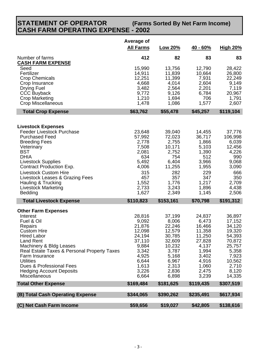#### **STATEMENT OF OPERATOR CASH FARM OPERATING EXPENSE - 2002 (Farms Sorted By Net Farm Income)**

|                                                                                                                                                                                                                                                                                                                                                      | Average of<br><b>All Farms</b>                                                                                         | Low 20%                                                                                                                 | $40 - 60%$                                                                                                             | <b>High 20%</b>                                                                                                            |
|------------------------------------------------------------------------------------------------------------------------------------------------------------------------------------------------------------------------------------------------------------------------------------------------------------------------------------------------------|------------------------------------------------------------------------------------------------------------------------|-------------------------------------------------------------------------------------------------------------------------|------------------------------------------------------------------------------------------------------------------------|----------------------------------------------------------------------------------------------------------------------------|
| Number of farms<br><b>CASH FARM EXPENSE</b>                                                                                                                                                                                                                                                                                                          | 412                                                                                                                    | 82                                                                                                                      | 83                                                                                                                     | 83                                                                                                                         |
| Seed<br>Fertilizer<br><b>Crop Chemicals</b><br>Crop Insurance<br>Drying Fuel<br><b>CCC Buyback</b><br>Crop Marketing<br><b>Crop Miscellaneous</b>                                                                                                                                                                                                    | 15,990<br>14,911<br>12,251<br>4,668<br>3,482<br>9,772<br>1,210<br>1,478                                                | 13,756<br>11,839<br>11,399<br>4,014<br>2,564<br>9,126<br>1,694<br>1,086                                                 | 12,790<br>10,664<br>7,931<br>2,604<br>2,201<br>6,784<br>706<br>1,577                                                   | 28,422<br>26,800<br>22,249<br>9,149<br>7,119<br>20,967<br>1,791<br>2,607                                                   |
| <b>Total Crop Expense</b>                                                                                                                                                                                                                                                                                                                            | \$63,762                                                                                                               | \$55,478                                                                                                                | \$45,257                                                                                                               | \$119,104                                                                                                                  |
| <b>Livestock Expenses</b><br><b>Feeder Livestock Purchase</b><br><b>Purchased Feed</b><br><b>Breeding Fees</b><br>Veterinary<br><b>BST</b><br><b>DHIA</b><br><b>Livestock Supplies</b><br>Contract Production Exp.<br><b>Livestock Custom Hire</b><br>Livestock Leases & Grazing Fees<br>Hauling & Trucking<br><b>Livestock Marketing</b><br>Bedding | 23,648<br>57,992<br>2,778<br>7,508<br>2,081<br>634<br>5,492<br>4,006<br>315<br>457<br>1,552<br>2,733<br>1,627          | 39,040<br>72,023<br>2,755<br>10,171<br>2,752<br>754<br>6,404<br>11,255<br>282<br>357<br>1,776<br>3,243<br>2,349         | 14,455<br>36,717<br>1,866<br>5,103<br>1,390<br>512<br>3,966<br>1,955<br>229<br>347<br>1,217<br>1,896<br>1,145          | 37,776<br>106,998<br>6,039<br>12,456<br>4,226<br>990<br>9,068<br>3,090<br>666<br>350<br>2,709<br>4,438<br>2,506            |
| <b>Total Livestock Expense</b>                                                                                                                                                                                                                                                                                                                       | \$110,823                                                                                                              | \$153,161                                                                                                               | \$70,798                                                                                                               | \$191,312                                                                                                                  |
| <b>Other Farm Expenses</b><br>Interest<br>Fuel & Oil<br>Repairs<br><b>Custom Hire</b><br><b>Hired Labor</b><br>Land Rent<br>Machinery & Bldg Leases<br>Real Estate Taxes & Personal Property Taxes<br>Farm Insurance<br><b>Utilities</b><br>Dues & Professional Fees<br><b>Hedging Account Deposits</b><br><b>Miscellaneous</b>                      | 28,816<br>9,092<br>21,876<br>12,098<br>24,194<br>37,110<br>9,884<br>3,342<br>4,925<br>6,644<br>1,613<br>3,226<br>6,664 | 37,199<br>8,006<br>22,246<br>12,579<br>30,785<br>32,609<br>10,232<br>3,787<br>5,168<br>6,967<br>2,313<br>2,836<br>6,898 | 24,837<br>6,473<br>16,466<br>11,358<br>11,250<br>27,828<br>4,137<br>1,994<br>3,402<br>4,916<br>1,060<br>2,475<br>3,239 | 36,897<br>17,152<br>34,120<br>19,320<br>54,393<br>70,872<br>25,757<br>5,358<br>7,923<br>10,562<br>2,710<br>8,120<br>14,335 |
| <b>Total Other Expense</b>                                                                                                                                                                                                                                                                                                                           | \$169,484                                                                                                              | \$181,625                                                                                                               | \$119,435                                                                                                              | \$307,519                                                                                                                  |
| (B) Total Cash Operating Expense                                                                                                                                                                                                                                                                                                                     | \$344,065                                                                                                              | \$390,262                                                                                                               | \$235,491                                                                                                              | \$617,934                                                                                                                  |
| (C) Net Cash Farm Income                                                                                                                                                                                                                                                                                                                             | \$59,656                                                                                                               | \$19,027                                                                                                                | \$42,805                                                                                                               | \$138,616                                                                                                                  |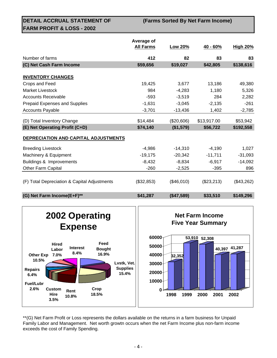**DETAIL ACCRUAL STATEMENT OF FARM PROFIT & LOSS - 2002**

**(Farms Sorted By Net Farm Income)**

|                                              | Average of       |            |             |                 |
|----------------------------------------------|------------------|------------|-------------|-----------------|
|                                              | <b>All Farms</b> | Low 20%    | 40 - 60%    | <b>High 20%</b> |
| Number of farms                              | 412              | 82         | 83          | 83              |
| (C) Net Cash Farm Income                     | \$59,656         | \$19,027   | \$42,805    | \$138,616       |
| <b>INVENTORY CHANGES</b>                     |                  |            |             |                 |
| Crops and Feed                               | 19,425           | 3,677      | 13,186      | 49,380          |
| Market Livestock                             | 984              | $-4,283$   | 1,180       | 5,326           |
| <b>Accounts Receivable</b>                   | $-593$           | $-3,519$   | 284         | 2,282           |
| Prepaid Expenses and Supplies                | $-1,631$         | $-3,045$   | $-2,135$    | $-261$          |
| <b>Accounts Payable</b>                      | $-3,701$         | $-13,436$  | 1,402       | $-2,785$        |
| (D) Total Inventory Change                   | \$14,484         | (\$20,606) | \$13,917.00 | \$53,942        |
| (E) Net Operating Profit (C+D)               | \$74,140         | (\$1,579)  | \$56,722    | \$192,558       |
| DEPRECIATION AND CAPITAL ADJUSTMENTS         |                  |            |             |                 |
| <b>Breeding Livestock</b>                    | $-4,986$         | $-14,310$  | $-4,190$    | 1,027           |
| Machinery & Equipment                        | $-19,175$        | $-20,342$  | $-11,711$   | $-31,093$       |
| Buildings & Improvements                     | $-8,432$         | $-8,834$   | $-6,917$    | $-14,092$       |
| Other Farm Capital                           | $-260$           | $-2,525$   | $-395$      | 896             |
| (F) Total Depreciation & Capital Adjustments | (\$32,853)       | (\$46,010) | (\$23,213)  | (\$43,262)      |
| (G) Net Farm Income(E+F)**                   | \$41,287         | (\$47,589) | \$33,510    | \$149,296       |





\*\*(G) Net Farm Profit or Loss represents the dollars available on the returns in a farm business for Unpaid Family Labor and Management. Net worth growtn occurs when the net Farm Income plus non-farm income exceeds the cost of Family Spending.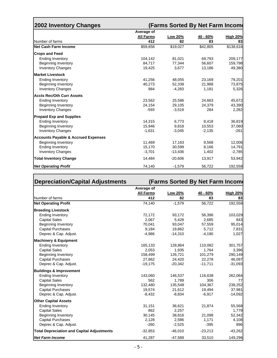| <b>2002 Inventory Changes</b>                  |                                | (Farms Sorted By Net Farm Income |          |                 |
|------------------------------------------------|--------------------------------|----------------------------------|----------|-----------------|
|                                                | Average of<br><b>All Farms</b> | <b>Low 20%</b>                   | 40 - 60% | <b>High 20%</b> |
| Number of farms                                | 412                            | 82                               | 83       | 83              |
| <b>Net Cash Farm Income</b>                    | \$59,656                       | \$19,027                         | \$42,805 | \$138,616       |
| <b>Crops and Feed</b>                          |                                |                                  |          |                 |
| <b>Ending Inventory</b>                        | 104,142                        | 81,021                           | 69,793   | 209,177         |
| Beginning Inventory                            | 84,717                         | 77,344                           | 56,607   | 159,798         |
| <b>Inventory Changes</b>                       | 19,425                         | 3,677                            | 13,186   | 49,380          |
| <b>Market Livestock</b>                        |                                |                                  |          |                 |
| <b>Ending Inventory</b>                        | 41,256                         | 48,055                           | 23,169   | 79,201          |
| <b>Beginning Inventory</b>                     | 40,273                         | 52,338                           | 21,988   | 73,875          |
| <b>Inventory Changes</b>                       | 984                            | $-4,283$                         | 1,181    | 5,326           |
| <b>Accts Rec/Oth Curr Assets</b>               |                                |                                  |          |                 |
| <b>Ending Inventory</b>                        | 23,562                         | 25,586                           | 24,663   | 45,672          |
| <b>Beginning Inventory</b>                     | 24,154                         | 29,105                           | 24,379   | 43,390          |
| <b>Inventory Changes</b>                       | $-593$                         | $-3,519$                         | 284      | 2,282           |
| <b>Prepaid Exp and Supplies</b>                |                                |                                  |          |                 |
| <b>Ending Inventory</b>                        | 14,315                         | 6,773                            | 8,418    | 36,819          |
| <b>Beginning Inventory</b>                     | 15,946                         | 9,818                            | 10,553   | 37,080          |
| <b>Inventory Changes</b>                       | $-1,631$                       | $-3,045$                         | $-2,135$ | $-261$          |
| <b>Accounts Payable &amp; Accrued Expenses</b> |                                |                                  |          |                 |
| <b>Beginning Inventory</b>                     | 11,469                         | 17,163                           | 9,568    | 12,006          |
| <b>Ending Inventory</b>                        | 15,170                         | 30,599                           | 8,166    | 14,791          |
| <b>Inventory Changes</b>                       | $-3,701$                       | $-13,436$                        | 1,402    | $-2,785$        |
| <b>Total Inventory Change</b>                  | 14,484                         | $-20,606$                        | 13,917   | 53,942          |
| <b>Net Operating Profit</b>                    | 74,140                         | $-1,579$                         | 56,722   | 192,558         |

| <b>Depreciation/Capital Adjustments</b>           |                  | (Farms Sorted By Net Farm Income |           |                 |
|---------------------------------------------------|------------------|----------------------------------|-----------|-----------------|
|                                                   | Average of       |                                  |           |                 |
|                                                   | <b>All Farms</b> | Low 20%                          | 40 - 60%  | <b>High 20%</b> |
| Number of farms                                   | 412              | 82                               | 83        | 83              |
| <b>Net Operating Profit</b>                       | 74,140           | $-1,579$                         | 56,722    | 192,558         |
| <b>Breeding Livestock</b>                         |                  |                                  |           |                 |
| <b>Ending Inventory</b>                           | 72,172           | 93,172                           | 56,396    | 103,029         |
| <b>Capital Sales</b>                              | 2,067            | 5,428                            | 2,685     | 843             |
| <b>Beginning Inventory</b>                        | 70,041           | 93,047                           | 57,559    | 95,014          |
| <b>Capital Purchases</b>                          | 9,184            | 19,862                           | 5,712     | 7,831           |
| Deprec & Cap. Adjust.                             | $-4,986$         | $-14,310$                        | $-4,190$  | 1,027           |
| <b>Machinery &amp; Equipment</b>                  |                  |                                  |           |                 |
| <b>Ending Inventory</b>                           | 165,133          | 128,864                          | 110,082   | 301,757         |
| <b>Capital Sales</b>                              | 2,053            | 1,935                            | 1,764     | 3,396           |
| <b>Beginning Inventory</b>                        | 158,499          | 126,721                          | 101,279   | 290,149         |
| <b>Capital Purchases</b>                          | 27,862           | 24,420                           | 22,278    | 46,097          |
| Deprec & Cap. Adjust.                             | $-19,175$        | $-20,342$                        | $-11,711$ | $-31,093$       |
| <b>Buildings &amp; Improvement</b>                |                  |                                  |           |                 |
| <b>Ending Inventory</b>                           | 143,060          | 146,537                          | 116,638   | 262,064         |
| <b>Capital Sales</b>                              | 562              | 1,789                            | 306       | 77              |
| <b>Beginning Inventory</b>                        | 132,480          | 135,548                          | 104,367   | 238,252         |
| <b>Capital Purchases</b>                          | 19,574           | 21,612                           | 19,494    | 37,981          |
| Deprec & Cap. Adjust.                             | $-8,432$         | $-8,834$                         | $-6,917$  | $-14,092$       |
| <b>Other Capital Assets</b>                       |                  |                                  |           |                 |
| <b>Ending Inventory</b>                           | 31,151           | 36,621                           | 21,874    | 55,568          |
| <b>Capital Sales</b>                              | 862              | 2,257                            |           | 1,779           |
| <b>Beginning Inventory</b>                        | 30,145           | 38,816                           | 21,098    | 52,342          |
| <b>Capital Purchases</b>                          | 2,128            | 2,586                            | 1,171     | 4,108           |
| Deprec & Cap. Adjust.                             | $-260$           | $-2,525$                         | $-395$    | 896             |
| <b>Total Depreciation and Capital Adjustments</b> | $-32,853$        | $-46,010$                        | $-23,213$ | $-43,262$       |
| <b>Net Farm Income</b>                            | 41,287           | $-47,589$                        | 33,510    | 149,296         |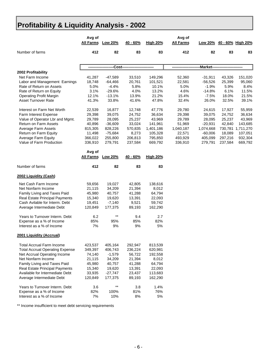## **Profitability & Liquidity Analysis - 2002**

|                                        | Avg of<br><b>All Farms</b> | <b>Low 20%</b> | 40 - 60%                        | <b>High 20%</b> | Avg of<br><b>All Farms</b> |             |         | Low 20% 40 - 60% High 20% |
|----------------------------------------|----------------------------|----------------|---------------------------------|-----------------|----------------------------|-------------|---------|---------------------------|
| Number of farms                        | 412                        | 82             | 83                              | 83              | 412                        | 82          | 83      | 83                        |
|                                        |                            |                | -Cost-------------------------- |                 |                            | -Market---- |         |                           |
| 2002 Profitability                     |                            |                |                                 |                 |                            |             |         |                           |
| Net Farm Income                        | 41,287                     | $-47,589$      | 33,510                          | 149,296         | 52,360                     | $-31,911$   | 43,326  | 151,020                   |
| Labor and Management Earnings          | 18,748                     | $-64,466$      | 20,761                          | 101,521         | 22,581                     | $-56,526$   | 25,399  | 95,060                    |
| Rate of Return on Assets               | 5.0%                       | $-4.4%$        | 5.8%                            | 10.1%           | 5.0%                       | $-1.9%$     | 5.9%    | 8.4%                      |
| Rate of Return on Equity               | 3.1%                       | $-29.6%$       | 4.0%                            | 13.2%           | 4.6%                       | $-14.8%$    | 6.1%    | 11.5%                     |
| <b>Operating Profit Margin</b>         | 12.1%                      | $-13.1%$       | 13.9%                           | 21.2%           | 15.4%                      | $-7.5%$     | 18.0%   | 21.5%                     |
| <b>Asset Turnover Rate</b>             | 41.3%                      | 33.8%          | 41.6%                           | 47.8%           | 32.4%                      | 26.0%       | 32.5%   | 39.1%                     |
| Interest on Farm Net Worth             | 22,539                     | 16,877         | 12,748                          | 47,776          | 29,780                     | 24,615      | 17,927  | 55,959                    |
| Farm Interest Expense                  | 29,398                     | 39,075         | 24,752                          | 36,634          | 29,398                     | 39,075      | 24,752  | 36,634                    |
| Value of Operator Lbr and Mgmt.        | 29,789                     | 28,095         | 25,237                          | 43,969          | 29,789                     | 28,095      | 25,237  | 43,969                    |
| Return on Farm Assets                  | 40,896                     | $-36,609$      | 33,024                          | 141,961         | 51,969                     | $-20,931$   | 42,840  | 143,685                   |
| Average Farm Assets                    | 815,305                    | 828,226        | 570,835                         | 1,401,186       | 1,040,187                  | 1,074,668   | 730,781 | 1,711,270                 |
| Return on Farm Equity                  | 11,498                     | $-75,684$      | 8,273                           | 105,328         | 22,571                     | $-60,006$   | 18,089  | 107,051                   |
| Average Farm Equity                    | 366,022                    | 255,800        | 206,813                         | 795,850         | 493,929                    | 405,099     | 297,216 | 932,304                   |
| Value of Farm Production               | 336,910                    | 279,791        | 237,584                         | 669,792         | 336,910                    | 279,791     | 237,584 | 669,792                   |
|                                        | Avg of                     |                |                                 |                 |                            |             |         |                           |
|                                        | <b>All Farms</b>           | Low 20%        | 40 - 60%                        | <b>High 20%</b> |                            |             |         |                           |
| Number of farms                        | 412                        | 82             | 83                              | 83              |                            |             |         |                           |
| 2002 Liquidity (Cash)                  |                            |                |                                 |                 |                            |             |         |                           |
| Net Cash Farm Income                   | 59,656                     | 19,027         | 42,805                          | 138,616         |                            |             |         |                           |
| Net Nonfarm Income                     | 21,115                     | 34,209         | 21,394                          | 8,012           |                            |             |         |                           |
| Family Living and Taxes Paid           | 45,980                     | 40,757         | 41,288                          | 64,794          |                            |             |         |                           |
| <b>Real Estate Principal Payments</b>  | 15,340                     | 19,620         | 13,391                          | 22,093          |                            |             |         |                           |
| Cash Avilable for Interm. Debt         | 19,451                     | $-7,140$       | 9,521                           | 59,742          |                            |             |         |                           |
| Average Intermediate Debt              | 120,849                    | 177,375        | 89,193                          | 162,290         |                            |             |         |                           |
| Years to Turnover Interm. Debt         | 6.2                        | $***$          | 9.4                             | 2.7             |                            |             |         |                           |
| Expense as a % of Income               | 85%                        | 95%            | 85%                             | 82%             |                            |             |         |                           |
| Interest as a % of Income              | 7%                         | 9%             | 9%                              | 5%              |                            |             |         |                           |
| 2001 Liquidity (Accrual)               |                            |                |                                 |                 |                            |             |         |                           |
| <b>Total Accrual Farm Income</b>       | 423,537                    | 405,164        | 292,947                         | 813,539         |                            |             |         |                           |
| <b>Total Accrual Operating Expense</b> | 349,397                    | 406,743        | 236,224                         | 620,981         |                            |             |         |                           |
| Net Accrual Operating Income           | 74,140                     | $-1,579$       | 56,722                          | 192,558         |                            |             |         |                           |
| Net Nonfarm Income                     | 21,115                     | 34,209         | 21,394                          | 8,012           |                            |             |         |                           |
| Family Living and Taxes Paid           | 45,980                     | 40,757         | 41,288                          | 64,794          |                            |             |         |                           |
| Real Estate Principal Payments         | 15,340                     | 19,620         | 13,391                          | 22,093          |                            |             |         |                           |
| Available for Intermediate Debt        | 33,935                     | $-27,747$      | 23,437                          | 113,683         |                            |             |         |                           |
| Average Intermediate Debt              | 120,849                    | 177,375        | 89,193                          | 162,290         |                            |             |         |                           |
| Years to Turnover Interm. Debt         | 3.6                        | $***$          | 3.8                             | 1.4%            |                            |             |         |                           |
| Expense as a % of Income               | 82%                        | 100%           | 81%                             | 76%             |                            |             |         |                           |
| Interest as a % of Income              | 7%                         | 10%            | 8%                              | 5%              |                            |             |         |                           |

\*\* Income insufficient to meet debt servicing requirements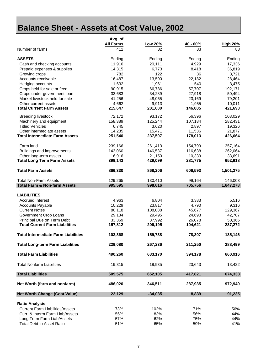# **Balance Sheet - Assets at Cost Value, 2002**

|                                            | Avg. of          |           |               |                 |
|--------------------------------------------|------------------|-----------|---------------|-----------------|
|                                            | <b>All Farms</b> | Low 20%   | 40 - 60%      | <b>High 20%</b> |
| Number of farms                            | 412              | 82        | 83            | 83              |
| <b>ASSETS</b>                              | Ending           | Ending    | <b>Ending</b> | Ending          |
| Cash and checking accounts                 | 11,916           | 20,111    | 4,929         | 17,336          |
| Prepaid expenses & supplies                | 14,315           | 6,773     | 8,418         | 36,819          |
| Growing crops                              | 782              | 122       | 36            | 3,721           |
| Accounts receivable                        | 16,487           | 13,590    | 22,132        | 28,464          |
| Hedging accounts                           | 1,632            | 1,961     | 540           | 3,475           |
| Crops held for sale or feed                | 90,915           | 66,786    | 57,707        | 192,171         |
| Crops under government loan                | 33,683           | 34,289    | 27,918        | 50,494          |
| Market livestock held for sale             | 41,256           | 48,055    | 23,169        | 79,201          |
| Other current assets                       | 4,662            | 9,913     | 1,955         | 10,011          |
| <b>Total Current Farm Assets</b>           | 215,647          | 201,600   | 146,805       | 421,693         |
| <b>Breeding livestock</b>                  | 72,172           | 93,172    | 56,396        | 103,029         |
| Machinery and equipment                    | 158,389          | 125,244   | 107,184       | 282,431         |
| <b>Titled Vehicles</b>                     | 6,745            | 3,620     | 2,897         | 19,326          |
| Other intermediate assets                  | 14,235           | 15,471    | 11,536        | 21,877          |
| <b>Total Intermediate Farm Assets</b>      | 251,540          | 237,507   | 178,013       | 426,664         |
|                                            |                  |           |               |                 |
| Farm land                                  | 239,166          | 261,413   | 154,799       | 357,164         |
| Buildings and improvements                 | 143,060          | 146,537   | 116,638       | 262,064         |
| Other long-term assets                     | 16,916           | 21,150    | 10,339        | 33,691          |
| <b>Total Long Term Farm Assets</b>         | 399,143          | 429,099   | 281,775       | 652,918         |
| <b>Total Farm Assets</b>                   | 866,330          | 868,206   | 606,593       | 1,501,275       |
| <b>Total Non-Farm Assets</b>               | 129,265          | 130,410   | 99,164        | 146,003         |
| <b>Total Farm &amp; Non-farm Assets</b>    | 995,595          | 998,616   | 705,756       | 1,647,278       |
| <b>LIABILITIES</b>                         |                  |           |               |                 |
|                                            |                  |           |               |                 |
| <b>Accrued Interest</b>                    | 4,963            | 6,804     | 3,383         | 5,516           |
| <b>Accounts Payable</b>                    | 10,229           | 23,817    | 4,790         | 9,316           |
| <b>Current Notes</b>                       | 80,118           | 108,088   | 45,677        | 129,367         |
| Government Crop Loans                      | 29,134           | 29,495    | 24,693        | 42,707          |
| Principal Due on Term Debt                 | 33,369           | 37,992    | 26,078        | 50,366          |
| <b>Total Current Farm Liabilities</b>      | 157,812          | 206,195   | 104,621       | 237,272         |
| <b>Total Intermediate Farm Liabilities</b> | 103,368          | 159,738   | 78,307        | 135,146         |
| <b>Total Long-term Farm Liabilities</b>    | 229,080          | 267,236   | 211,250       | 288,499         |
| <b>Total Farm Liabilities</b>              | 490,260          | 633,170   | 394,178       | 660,916         |
| <b>Total Nonfarm Liabilities</b>           | 19,315           | 18,935    | 23,643        | 13,422          |
| <b>Total Liabilities</b>                   | 509,575          | 652,105   | 417,821       | 674,338         |
|                                            |                  |           |               |                 |
| Net Worth (farm and nonfarm)               | 486,020          | 346,511   | 287,935       | 972,940         |
| <b>Net Worth Change (Cost Value)</b>       | 22,129           | $-34,035$ | 8,839         | 91,235          |
| <b>Ratio Analysis</b>                      |                  |           |               |                 |
| <b>Current Farm Liabilities/Assets</b>     | 73%              | 102%      | 71%           | 56%             |
| Curr. & Interm Farm Liab/Assets            | 56%              | 83%       | 56%           | 44%             |
| Long Term Farm Liab/Assets                 | 57%              | 62%       | 75%           | 44%             |
| <b>Total Debt to Asset Ratio</b>           | 51%              | 65%       | 59%           | 41%             |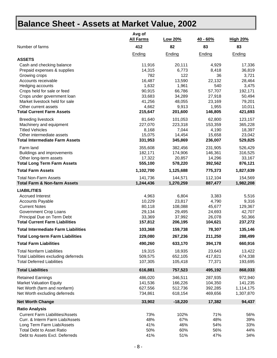## **Balance Sheet - Assets at Market Value, 2002**

|                                                 | Avg of<br><b>All Farms</b> | Low 20%       | $40 - 60%$    | <b>High 20%</b> |
|-------------------------------------------------|----------------------------|---------------|---------------|-----------------|
| Number of farms                                 | 412                        | 82            | 83            | 83              |
|                                                 | Ending                     | Ending        | Ending        | Ending          |
| <b>ASSETS</b>                                   |                            |               |               |                 |
| Cash and checking balance                       | 11,916                     | 20,111        | 4,929         | 17,336          |
| Prepaid expenses & supplies                     | 14,315                     | 6,773         | 8,418         | 36,819          |
| Growing crops                                   | 782                        | 122<br>13,590 | 36            | 3,721           |
| Accounts receivable                             | 16,487<br>1,632            | 1,961         | 22,132<br>540 | 28,464<br>3,475 |
| Hedging accounts<br>Crops held for sale or feed | 90,915                     | 66,786        | 57,707        | 192,171         |
| Crops under government loan                     | 33,683                     | 34,289        | 27,918        | 50,494          |
| Market livestock held for sale                  | 41,256                     | 48,055        | 23,169        | 79,201          |
| Other current assets                            | 4,662                      | 9,913         | 1,955         | 10,011          |
| <b>Total Current Farm Assets</b>                | 215,647                    | 201,600       | 146,805       | 421,693         |
| <b>Breeding livestock</b>                       | 81,640                     | 101,053       | 62,800        | 123,157         |
| Machinery and equipment                         | 227,070                    | 223,318       | 153,359       | 365,228         |
| <b>Titled Vehicles</b>                          | 8,168                      | 7,044         | 4,190         | 18,397          |
| Other intermediate assets                       | 15,075                     | 14,454        | 15,658        | 23,042          |
| <b>Total Intermediate Farm Assets</b>           | 331,953                    | 345,869       | 236,007       | 529,825         |
| Farm land                                       | 355,608                    | 382,456       | 231,905       | 526,429         |
| Buildings and improvements                      | 182,171                    | 174,906       | 146,361       | 316,525         |
| Other long-term assets                          | 17,322                     | 20,857        | 14,296        | 33,167          |
| <b>Total Long Term Farm Assets</b>              | 555,100                    | 578,220       | 392,562       | 876,121         |
| <b>Total Farm Assets</b>                        | 1,102,700                  | 1,125,688     | 775,373       | 1,827,639       |
| <b>Total Non-Farm Assets</b>                    | 141,736                    | 144,571       | 112,104       | 154,569         |
| <b>Total Farm &amp; Non-farm Assets</b>         | 1,244,436                  | 1,270,259     | 887,477       | 1,982,208       |
| <b>LIABILITIES</b>                              |                            |               |               |                 |
| <b>Accrued Interest</b>                         | 4,963                      | 6,804         | 3,383         | 5,516           |
| <b>Accounts Payable</b>                         | 10,229                     | 23,817        | 4,790         | 9,316           |
| <b>Current Notes</b>                            | 80,118                     | 108,088       | 45,677        | 129,367         |
| Government Crop Loans                           | 29,134                     | 29,495        | 24,693        | 42,707          |
| Principal Due on Term Debt                      | 33,369                     | 37,992        | 26,078        | 50,366          |
| <b>Total Current Farm Liabilities</b>           | 157,812                    | 206,195       | 104,621       | 237,272         |
| <b>Total Intermediate Farm Liabilities</b>      | 103,368                    | 159,738       | 78,307        | 135,146         |
| <b>Total Long-term Farm Liabilities</b>         | 229,080                    | 267,236       | 211,250       | 288,499         |
| <b>Total Farm Liabilities</b>                   | 490,260                    | 633,170       | 394,178       | 660,916         |
| <b>Total Nonfarm Liabilities</b>                | 19,315                     | 18,935        | 23,643        | 13,422          |
| Total Liabilities excluding deferreds           | 509,575                    | 652,105       | 417,821       | 674,338         |
| <b>Total Deferred Liabilities</b>               | 107,305                    | 105,418       | 77,371        | 193,695         |
| <b>Total Liabilities</b>                        | 616,881                    | 757,523       | 495,192       | 868,033         |
| <b>Retained Earnings</b>                        | 486,020                    | 346,511       | 287,935       | 972,940         |
| <b>Market Valuation Equity</b>                  | 141,536                    | 166,226       | 104,350       | 141,235         |
| Net Worth (farm and nonfarm)                    | 627,556                    | 512,736       | 392,285       | 1,114,175       |
| Net Worth excluding deferreds                   | 734,861                    | 618,154       | 469,656       | 1,307,870       |
| <b>Net Worth Change</b>                         | 33,902                     | $-18,220$     | 17,382        | 94,437          |
| <b>Ratio Analysis</b>                           |                            |               |               |                 |
| <b>Current Farm Liabilities/Assets</b>          | 73%                        | 102%          | 71%           | 56%             |
| Curr. & Interm Farm Liab/Assets                 | 48%                        | 67%           | 48%           | 39%             |
| Long Term Farm Liab/Assets                      | 41%                        | 46%           | 54%           | 33%             |
| <b>Total Debt to Asset Ratio</b>                | 50%                        | 60%           | 56%           | 44%             |
| Debt to Assets Excl. Deferreds                  | 41%                        | 51%           | 47%           | 34%             |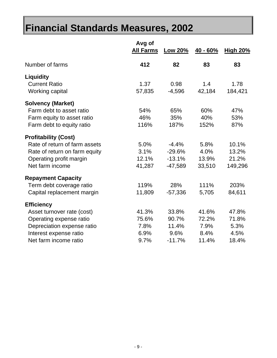# **Financial Standards Measures, 2002**

|                                                                                                                                                             | Avg of<br><b>All Farms</b>             | Low 20%                                      | 40 - 60%                                | <b>High 20%</b>                         |
|-------------------------------------------------------------------------------------------------------------------------------------------------------------|----------------------------------------|----------------------------------------------|-----------------------------------------|-----------------------------------------|
| Number of farms                                                                                                                                             | 412                                    | 82                                           | 83                                      | 83                                      |
| <b>Liquidity</b><br><b>Current Ratio</b><br>Working capital                                                                                                 | 1.37<br>57,835                         | 0.98<br>$-4,596$                             | 1.4<br>42,184                           | 1.78<br>184,421                         |
| <b>Solvency (Market)</b><br>Farm debt to asset ratio<br>Farm equity to asset ratio<br>Farm debt to equity ratio                                             | 54%<br>46%<br>116%                     | 65%<br>35%<br>187%                           | 60%<br>40%<br>152%                      | 47%<br>53%<br>87%                       |
| <b>Profitability (Cost)</b><br>Rate of return of farm assets<br>Rate of return on farm equity<br>Operating profit margin<br>Net farm income                 | 5.0%<br>3.1%<br>12.1%<br>41,287        | $-4.4%$<br>$-29.6%$<br>$-13.1%$<br>$-47,589$ | 5.8%<br>4.0%<br>13.9%<br>33,510         | 10.1%<br>13.2%<br>21.2%<br>149,296      |
| <b>Repayment Capacity</b><br>Term debt coverage ratio<br>Capital replacement margin                                                                         | 119%<br>11,809                         | 28%<br>$-57,336$                             | 111%<br>5,705                           | 203%<br>84,611                          |
| <b>Efficiency</b><br>Asset turnover rate (cost)<br>Operating expense ratio<br>Depreciation expense ratio<br>Interest expense ratio<br>Net farm income ratio | 41.3%<br>75.6%<br>7.8%<br>6.9%<br>9.7% | 33.8%<br>90.7%<br>11.4%<br>9.6%<br>$-11.7%$  | 41.6%<br>72.2%<br>7.9%<br>8.4%<br>11.4% | 47.8%<br>71.8%<br>5.3%<br>4.5%<br>18.4% |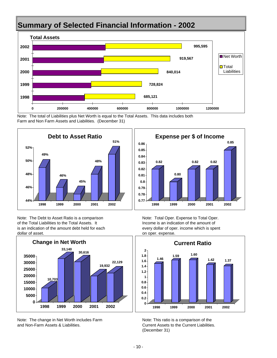## **Summary of Selected Financial Information - 2002**



Note: The total of Liabilities plus Net Worth is equal to the Total Assets. This data includes both Farm and Non Farm Assets and Liabilities. (December 31)



Note: The Debt to Asset Ratio is a comparison Note: Total Oper. Expense to Total Oper. of the Total Liabilities to the Total Assets. It Income is an indication of the amount of is an indication of the amount debt held for each every dollar of oper. income which is spent dollar of asset. **on operation** on oper. expense.



Note: The change in Net Worth includes Farm Note: This ratio is a comparison of the and Non-Farm Assets & Liabilities. Current Assets to the Current Liabilities.





(December 31)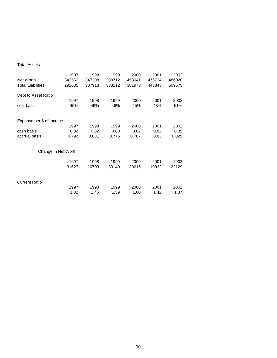#### Total Assets

|                          | 1997                | 1998   | 1999   | 2000   | 2001   | 2002   |
|--------------------------|---------------------|--------|--------|--------|--------|--------|
| Net Worth                | 343562              | 347208 | 390712 | 458041 | 475724 | 486020 |
| <b>Total Liabilities</b> | 292635              | 337913 | 338112 | 381973 | 443843 | 509575 |
| Debt to Asset Ratio      |                     |        |        |        |        |        |
|                          | 1997                | 1998   | 1999   | 2000   | 2001   | 2002   |
| cost basis               | 45%                 | 49%    | 46%    | 45%    | 48%    | 51%    |
|                          |                     |        |        |        |        |        |
| Expense per \$ of Income |                     |        |        |        |        |        |
|                          | 1997                | 1998   | 1999   | 2000   | 2001   | 2002   |
| cash basis               | 0.82                | 0.82   | 0.80   | 0.82   | 0.82   | 0.85   |
| accrual basis            | 0.792               | 0.831  | 0.775  | 0.787  | 0.83   | 0.825  |
|                          |                     |        |        |        |        |        |
|                          | Change in Net Worth |        |        |        |        |        |
|                          | 1997                | 1998   | 1999   | 2000   | 2001   | 2002   |
|                          | 31627               | 10703  | 33140  | 30616  | 19932  | 22129  |
|                          |                     |        |        |        |        |        |
| <b>Current Ratio</b>     |                     |        |        |        |        |        |
|                          | 1997                | 1998   | 1999   | 2000   | 2001   | 2002   |
|                          | 1.82                | 1.46   | 1.59   | 1.60   | 1.42   | 1.37   |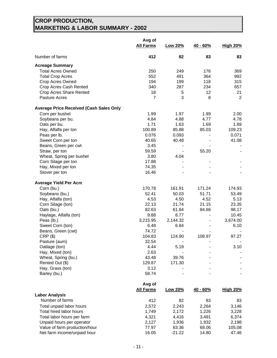#### **CROP PRODUCTION, MARKETING & LABOR SUMMARY - 2002**

|                                                            | Avg of<br><b>All Farms</b> | <b>Low 20%</b>   | $40 - 60%$              | <b>High 20%</b>   |
|------------------------------------------------------------|----------------------------|------------------|-------------------------|-------------------|
| Number of farms                                            | 412                        | 82               | 83                      | 83                |
| <b>Acreage Summary</b>                                     |                            |                  |                         |                   |
| <b>Total Acres Owned</b>                                   | 250                        | 249              | 176                     | 369               |
| <b>Total Crop Acres</b>                                    | 552                        | 491              | 364                     | 992               |
| Crop Acres Owned                                           | 194                        | 199              | 118                     | 315               |
| Crop Acres Cash Rented                                     | 340                        | 287              | 234                     | 657               |
| Crop Acres Share Rented                                    | 18                         | 5                | 12                      | 21                |
| <b>Pasture Acres</b>                                       | $\overline{7}$             | 3                | 8                       | 2                 |
| <b>Average Price Received (Cash Sales Only</b>             |                            |                  |                         |                   |
| Corn per bushel                                            | 1.99                       | 1.97             | 1.99                    | 2.00              |
| Soybeans per bu.                                           | 4.84                       | 4.88             | 4.77                    | 4.78              |
| Oats per bu.                                               | 1.71                       | 1.63             | 1.69                    | 1.69              |
| Hay, Alfalfa per ton                                       | 100.89                     | 85.88            | 85.03                   | 109.23            |
| Peas per lb.                                               | 0.076                      | 0.093            |                         | 0.071             |
| Sweet Corn per ton                                         | 40.65                      | 40.48            |                         | 41.08             |
| Beans, Green per cwt                                       | 3.45                       |                  |                         |                   |
| Straw, per ton                                             | 59.59                      |                  | 55.20                   |                   |
| Wheat, Spring per bushel                                   | 3.80                       | 4.04             |                         |                   |
| Corn Silage per ton                                        | 17.88                      |                  |                         |                   |
| Hay, Mixed per ton                                         | 74.35                      |                  |                         |                   |
| Stover per ton                                             | 16.46                      |                  |                         |                   |
| <b>Average Yield Per Acre</b>                              |                            |                  |                         |                   |
| Corn (bu.)                                                 | 170.78                     | 161.91           | 171.24                  | 174.93            |
| Soybeans (bu.)                                             | 52.41                      | 50.03            | 51.71                   | 53.49             |
| Hay, Alfalfa (ton)                                         | 4.53                       | 4.50             | 4.52                    | 5.13              |
| Corn Silage (ton)                                          | 22.13                      | 21.74            | 21.15                   | 23.35             |
| Oats (bu.)                                                 | 82.63                      | 61.84            | 84.66<br>$\blacksquare$ | 98.17             |
| Haylage, Alfalfa (ton)<br>Peas (lb.)                       | 9.88<br>3,215.95           | 8.77<br>2,144.32 | $\blacksquare$          | 10.45<br>3,674.00 |
| Sweet Corn (ton)                                           | 6.48                       | 6.84             | $\blacksquare$          | 6.10              |
| Beans, Green (cwt)                                         | 74.72                      |                  |                         |                   |
| $CRP($ \$)                                                 | 104.83                     | 124.90           | 108.97                  | 97.27             |
| Pasture (aum)                                              | 32.54                      |                  |                         |                   |
| Oatlage (ton)                                              | 4.44                       | 5.19             |                         | 3.10              |
| Hay, Mixed (ton)                                           | 2.63                       |                  |                         |                   |
| Wheat, Spring (bu.)                                        | 43.48                      | 39.76            |                         |                   |
| Rented Out (\$)                                            | 129.87                     | 171.30           |                         |                   |
| Hay, Grass (ton)                                           | 3.12                       |                  |                         |                   |
| Barley (bu.)                                               | 58.74                      |                  |                         |                   |
|                                                            | Avg of                     |                  |                         |                   |
|                                                            | <b>All Farms</b>           | Low 20%          | 40 - 60%                | <b>High 20%</b>   |
| <b>Labor Analysis</b><br>Number of farms                   |                            |                  |                         |                   |
|                                                            | 412                        | 82               | 83                      | 83                |
| Total unpaid labor hours                                   | 2,572                      | 2,243            | 2,264                   | 3,146             |
| Total hired labor hours                                    | 1,749                      | 2,172            | 1,226                   | 3,228             |
| Total labor hours per farm                                 | 4,321                      | 4,416            | 3,491                   | 6,374             |
| Unpaid hours per operator<br>Value of farm production/hour | 2,127<br>77.97             | 1,936<br>63.36   | 1,932<br>68.06          | 2,198<br>105.08   |
| Net farm income/unpaid hour                                | 16.05                      | $-21.22$         | 14.80                   | 47.46             |
|                                                            |                            |                  |                         |                   |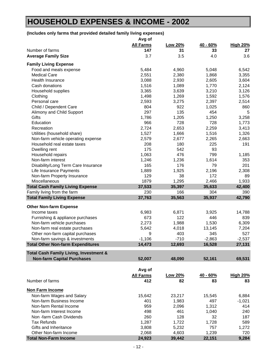## **HOUSEHOLD EXPENSES & INCOME - 2002**

### **(Includes only farms that provided detailed family living expenses)**

| <b>All Farms</b><br>Low 20%<br>40 - 60%<br><b>High 20%</b><br>Number of farms<br>147<br>31<br>33<br>27<br>3.7<br>3.6<br><b>Average Family Size</b><br>3.5<br>4.0<br><b>Family Living Expense</b><br>5,484<br>Food and meals expense<br>4,960<br>5,048<br>6,542<br>2,551<br>2,380<br>1,868<br><b>Medical Care</b><br>3,355<br>3,088<br>2,930<br><b>Health Insurance</b><br>2,605<br>3,604<br>1,516<br>1,089<br>1,770<br>Cash donations<br>2,124<br>Household supplies<br>3,365<br>3,639<br>3,210<br>3,126<br>1,498<br>1,269<br>1,592<br>Clothing<br>1,576<br>2,593<br>3,275<br>2,397<br>Personal care<br>2,514<br>804<br>922<br>1,025<br>Child / Dependent Care<br>860<br>297<br>135<br>454<br>5<br>Alimony and Child Support<br>Gifts<br>1,786<br>1,205<br>1,250<br>3,258<br>Education<br>966<br>728<br>728<br>1,773<br>2,724<br>2,653<br>2,259<br>Recreation<br>3,413<br>Utilities (household share)<br>1,527<br>1,666<br>1,516<br>1,326<br>Non-farm vehicle operating expense<br>2,579<br>2,677<br>2,265<br>2,663<br>Household real estate taxes<br>208<br>180<br>225<br>191<br>175<br>93<br>Dwelling rent<br>542<br>1,063<br>476<br>799<br>Household repairs<br>1,185<br>Non-farm interest<br>1,236<br>1,614<br>1,246<br>353<br>Disability/Long Term Care Insurance<br>165<br>176<br>79<br>201<br>1,889<br>1,925<br>2,196<br>2,308<br>Life Insurance Payments<br>129<br>38<br>172<br>Non-farm Property Insurance<br>89<br>1879<br>Miscellaneous<br>1,295<br>2,466<br>1,933<br><b>Total Cash Family Living Expense</b><br>37,533<br>35,397<br>35,633<br>230<br>166<br>304<br>Family living from the farm<br>390<br><b>Total Family Living Expense</b><br>37,763<br>35,563<br>35,937<br>42,790<br><b>Other Non-farm Expense</b><br>Income taxes<br>6,983<br>6,871<br>3,925<br>14,788<br>122<br>Furnishing & appliance purchases<br>673<br>446<br>839<br>2,273<br>1,530<br>Non-farm vehicle purchases<br>1,988<br>6,309<br>Non-farm real estate purchases<br>5,642<br>4,018<br>13,145<br>7,204<br>527<br>Other non-farm capital purchases<br>9<br>403<br>345<br>$-1,106$<br>$-710$<br>$-2,863$<br>$-2,537$<br>Non-farm savings & investments<br>12,693<br>16,528<br>27,131<br><b>Total Other Non-farm Expenditures</b><br>14,473<br><b>Total Cash Family Living, Investment &amp;</b><br><b>Non-farm Capital Purchases</b><br>52,007<br>48,090<br>69,531<br>52,161<br>Avg of<br><b>All Farms</b><br><b>High 20%</b><br>Low 20%<br>40 - 60%<br>Number of farms<br>412<br>82<br>83<br>83<br>Non Farm Income<br>Non-farm Wages and Salary<br>23,217<br>15,642<br>6,884<br>15,545<br>Non-farm Business Income<br>1,983<br>497<br>401<br>$-1,021$<br>Non-farm Rental Income<br>959<br>2,096<br>1,312<br>414<br>Non-farm Interest Income<br>498<br>461<br>1,040<br>240<br>Non -farm Cash Dividends<br>260<br>128<br>32<br>187<br><b>Tax Refunds</b><br>1,287<br>1,722<br>1,728<br>589<br>Gifts and Inheritance<br>3,808<br>5,232<br>757<br>1,272<br>Other Non-farm Income<br>2,068<br>4,603<br>1,239<br>720<br>24,923<br><b>Total Non-Farm Income</b><br>39,442<br>22,151<br>9,284 | Avg of |  |  |
|------------------------------------------------------------------------------------------------------------------------------------------------------------------------------------------------------------------------------------------------------------------------------------------------------------------------------------------------------------------------------------------------------------------------------------------------------------------------------------------------------------------------------------------------------------------------------------------------------------------------------------------------------------------------------------------------------------------------------------------------------------------------------------------------------------------------------------------------------------------------------------------------------------------------------------------------------------------------------------------------------------------------------------------------------------------------------------------------------------------------------------------------------------------------------------------------------------------------------------------------------------------------------------------------------------------------------------------------------------------------------------------------------------------------------------------------------------------------------------------------------------------------------------------------------------------------------------------------------------------------------------------------------------------------------------------------------------------------------------------------------------------------------------------------------------------------------------------------------------------------------------------------------------------------------------------------------------------------------------------------------------------------------------------------------------------------------------------------------------------------------------------------------------------------------------------------------------------------------------------------------------------------------------------------------------------------------------------------------------------------------------------------------------------------------------------------------------------------------------------------------------------------------------------------------------------------------------------------------------------------------------------------------------------------------------------------------------------------------------------------------------------------------------------------------------------------------------------------------------------------------------------------------------------------------------------------------------------------------------------------------------------------------------------------------------------------------|--------|--|--|
|                                                                                                                                                                                                                                                                                                                                                                                                                                                                                                                                                                                                                                                                                                                                                                                                                                                                                                                                                                                                                                                                                                                                                                                                                                                                                                                                                                                                                                                                                                                                                                                                                                                                                                                                                                                                                                                                                                                                                                                                                                                                                                                                                                                                                                                                                                                                                                                                                                                                                                                                                                                                                                                                                                                                                                                                                                                                                                                                                                                                                                                                              |        |  |  |
|                                                                                                                                                                                                                                                                                                                                                                                                                                                                                                                                                                                                                                                                                                                                                                                                                                                                                                                                                                                                                                                                                                                                                                                                                                                                                                                                                                                                                                                                                                                                                                                                                                                                                                                                                                                                                                                                                                                                                                                                                                                                                                                                                                                                                                                                                                                                                                                                                                                                                                                                                                                                                                                                                                                                                                                                                                                                                                                                                                                                                                                                              |        |  |  |
| 42,400                                                                                                                                                                                                                                                                                                                                                                                                                                                                                                                                                                                                                                                                                                                                                                                                                                                                                                                                                                                                                                                                                                                                                                                                                                                                                                                                                                                                                                                                                                                                                                                                                                                                                                                                                                                                                                                                                                                                                                                                                                                                                                                                                                                                                                                                                                                                                                                                                                                                                                                                                                                                                                                                                                                                                                                                                                                                                                                                                                                                                                                                       |        |  |  |
|                                                                                                                                                                                                                                                                                                                                                                                                                                                                                                                                                                                                                                                                                                                                                                                                                                                                                                                                                                                                                                                                                                                                                                                                                                                                                                                                                                                                                                                                                                                                                                                                                                                                                                                                                                                                                                                                                                                                                                                                                                                                                                                                                                                                                                                                                                                                                                                                                                                                                                                                                                                                                                                                                                                                                                                                                                                                                                                                                                                                                                                                              |        |  |  |
|                                                                                                                                                                                                                                                                                                                                                                                                                                                                                                                                                                                                                                                                                                                                                                                                                                                                                                                                                                                                                                                                                                                                                                                                                                                                                                                                                                                                                                                                                                                                                                                                                                                                                                                                                                                                                                                                                                                                                                                                                                                                                                                                                                                                                                                                                                                                                                                                                                                                                                                                                                                                                                                                                                                                                                                                                                                                                                                                                                                                                                                                              |        |  |  |
|                                                                                                                                                                                                                                                                                                                                                                                                                                                                                                                                                                                                                                                                                                                                                                                                                                                                                                                                                                                                                                                                                                                                                                                                                                                                                                                                                                                                                                                                                                                                                                                                                                                                                                                                                                                                                                                                                                                                                                                                                                                                                                                                                                                                                                                                                                                                                                                                                                                                                                                                                                                                                                                                                                                                                                                                                                                                                                                                                                                                                                                                              |        |  |  |
|                                                                                                                                                                                                                                                                                                                                                                                                                                                                                                                                                                                                                                                                                                                                                                                                                                                                                                                                                                                                                                                                                                                                                                                                                                                                                                                                                                                                                                                                                                                                                                                                                                                                                                                                                                                                                                                                                                                                                                                                                                                                                                                                                                                                                                                                                                                                                                                                                                                                                                                                                                                                                                                                                                                                                                                                                                                                                                                                                                                                                                                                              |        |  |  |
|                                                                                                                                                                                                                                                                                                                                                                                                                                                                                                                                                                                                                                                                                                                                                                                                                                                                                                                                                                                                                                                                                                                                                                                                                                                                                                                                                                                                                                                                                                                                                                                                                                                                                                                                                                                                                                                                                                                                                                                                                                                                                                                                                                                                                                                                                                                                                                                                                                                                                                                                                                                                                                                                                                                                                                                                                                                                                                                                                                                                                                                                              |        |  |  |
|                                                                                                                                                                                                                                                                                                                                                                                                                                                                                                                                                                                                                                                                                                                                                                                                                                                                                                                                                                                                                                                                                                                                                                                                                                                                                                                                                                                                                                                                                                                                                                                                                                                                                                                                                                                                                                                                                                                                                                                                                                                                                                                                                                                                                                                                                                                                                                                                                                                                                                                                                                                                                                                                                                                                                                                                                                                                                                                                                                                                                                                                              |        |  |  |
|                                                                                                                                                                                                                                                                                                                                                                                                                                                                                                                                                                                                                                                                                                                                                                                                                                                                                                                                                                                                                                                                                                                                                                                                                                                                                                                                                                                                                                                                                                                                                                                                                                                                                                                                                                                                                                                                                                                                                                                                                                                                                                                                                                                                                                                                                                                                                                                                                                                                                                                                                                                                                                                                                                                                                                                                                                                                                                                                                                                                                                                                              |        |  |  |
|                                                                                                                                                                                                                                                                                                                                                                                                                                                                                                                                                                                                                                                                                                                                                                                                                                                                                                                                                                                                                                                                                                                                                                                                                                                                                                                                                                                                                                                                                                                                                                                                                                                                                                                                                                                                                                                                                                                                                                                                                                                                                                                                                                                                                                                                                                                                                                                                                                                                                                                                                                                                                                                                                                                                                                                                                                                                                                                                                                                                                                                                              |        |  |  |
|                                                                                                                                                                                                                                                                                                                                                                                                                                                                                                                                                                                                                                                                                                                                                                                                                                                                                                                                                                                                                                                                                                                                                                                                                                                                                                                                                                                                                                                                                                                                                                                                                                                                                                                                                                                                                                                                                                                                                                                                                                                                                                                                                                                                                                                                                                                                                                                                                                                                                                                                                                                                                                                                                                                                                                                                                                                                                                                                                                                                                                                                              |        |  |  |
|                                                                                                                                                                                                                                                                                                                                                                                                                                                                                                                                                                                                                                                                                                                                                                                                                                                                                                                                                                                                                                                                                                                                                                                                                                                                                                                                                                                                                                                                                                                                                                                                                                                                                                                                                                                                                                                                                                                                                                                                                                                                                                                                                                                                                                                                                                                                                                                                                                                                                                                                                                                                                                                                                                                                                                                                                                                                                                                                                                                                                                                                              |        |  |  |
|                                                                                                                                                                                                                                                                                                                                                                                                                                                                                                                                                                                                                                                                                                                                                                                                                                                                                                                                                                                                                                                                                                                                                                                                                                                                                                                                                                                                                                                                                                                                                                                                                                                                                                                                                                                                                                                                                                                                                                                                                                                                                                                                                                                                                                                                                                                                                                                                                                                                                                                                                                                                                                                                                                                                                                                                                                                                                                                                                                                                                                                                              |        |  |  |
|                                                                                                                                                                                                                                                                                                                                                                                                                                                                                                                                                                                                                                                                                                                                                                                                                                                                                                                                                                                                                                                                                                                                                                                                                                                                                                                                                                                                                                                                                                                                                                                                                                                                                                                                                                                                                                                                                                                                                                                                                                                                                                                                                                                                                                                                                                                                                                                                                                                                                                                                                                                                                                                                                                                                                                                                                                                                                                                                                                                                                                                                              |        |  |  |
|                                                                                                                                                                                                                                                                                                                                                                                                                                                                                                                                                                                                                                                                                                                                                                                                                                                                                                                                                                                                                                                                                                                                                                                                                                                                                                                                                                                                                                                                                                                                                                                                                                                                                                                                                                                                                                                                                                                                                                                                                                                                                                                                                                                                                                                                                                                                                                                                                                                                                                                                                                                                                                                                                                                                                                                                                                                                                                                                                                                                                                                                              |        |  |  |
|                                                                                                                                                                                                                                                                                                                                                                                                                                                                                                                                                                                                                                                                                                                                                                                                                                                                                                                                                                                                                                                                                                                                                                                                                                                                                                                                                                                                                                                                                                                                                                                                                                                                                                                                                                                                                                                                                                                                                                                                                                                                                                                                                                                                                                                                                                                                                                                                                                                                                                                                                                                                                                                                                                                                                                                                                                                                                                                                                                                                                                                                              |        |  |  |
|                                                                                                                                                                                                                                                                                                                                                                                                                                                                                                                                                                                                                                                                                                                                                                                                                                                                                                                                                                                                                                                                                                                                                                                                                                                                                                                                                                                                                                                                                                                                                                                                                                                                                                                                                                                                                                                                                                                                                                                                                                                                                                                                                                                                                                                                                                                                                                                                                                                                                                                                                                                                                                                                                                                                                                                                                                                                                                                                                                                                                                                                              |        |  |  |
|                                                                                                                                                                                                                                                                                                                                                                                                                                                                                                                                                                                                                                                                                                                                                                                                                                                                                                                                                                                                                                                                                                                                                                                                                                                                                                                                                                                                                                                                                                                                                                                                                                                                                                                                                                                                                                                                                                                                                                                                                                                                                                                                                                                                                                                                                                                                                                                                                                                                                                                                                                                                                                                                                                                                                                                                                                                                                                                                                                                                                                                                              |        |  |  |
|                                                                                                                                                                                                                                                                                                                                                                                                                                                                                                                                                                                                                                                                                                                                                                                                                                                                                                                                                                                                                                                                                                                                                                                                                                                                                                                                                                                                                                                                                                                                                                                                                                                                                                                                                                                                                                                                                                                                                                                                                                                                                                                                                                                                                                                                                                                                                                                                                                                                                                                                                                                                                                                                                                                                                                                                                                                                                                                                                                                                                                                                              |        |  |  |
|                                                                                                                                                                                                                                                                                                                                                                                                                                                                                                                                                                                                                                                                                                                                                                                                                                                                                                                                                                                                                                                                                                                                                                                                                                                                                                                                                                                                                                                                                                                                                                                                                                                                                                                                                                                                                                                                                                                                                                                                                                                                                                                                                                                                                                                                                                                                                                                                                                                                                                                                                                                                                                                                                                                                                                                                                                                                                                                                                                                                                                                                              |        |  |  |
|                                                                                                                                                                                                                                                                                                                                                                                                                                                                                                                                                                                                                                                                                                                                                                                                                                                                                                                                                                                                                                                                                                                                                                                                                                                                                                                                                                                                                                                                                                                                                                                                                                                                                                                                                                                                                                                                                                                                                                                                                                                                                                                                                                                                                                                                                                                                                                                                                                                                                                                                                                                                                                                                                                                                                                                                                                                                                                                                                                                                                                                                              |        |  |  |
|                                                                                                                                                                                                                                                                                                                                                                                                                                                                                                                                                                                                                                                                                                                                                                                                                                                                                                                                                                                                                                                                                                                                                                                                                                                                                                                                                                                                                                                                                                                                                                                                                                                                                                                                                                                                                                                                                                                                                                                                                                                                                                                                                                                                                                                                                                                                                                                                                                                                                                                                                                                                                                                                                                                                                                                                                                                                                                                                                                                                                                                                              |        |  |  |
|                                                                                                                                                                                                                                                                                                                                                                                                                                                                                                                                                                                                                                                                                                                                                                                                                                                                                                                                                                                                                                                                                                                                                                                                                                                                                                                                                                                                                                                                                                                                                                                                                                                                                                                                                                                                                                                                                                                                                                                                                                                                                                                                                                                                                                                                                                                                                                                                                                                                                                                                                                                                                                                                                                                                                                                                                                                                                                                                                                                                                                                                              |        |  |  |
|                                                                                                                                                                                                                                                                                                                                                                                                                                                                                                                                                                                                                                                                                                                                                                                                                                                                                                                                                                                                                                                                                                                                                                                                                                                                                                                                                                                                                                                                                                                                                                                                                                                                                                                                                                                                                                                                                                                                                                                                                                                                                                                                                                                                                                                                                                                                                                                                                                                                                                                                                                                                                                                                                                                                                                                                                                                                                                                                                                                                                                                                              |        |  |  |
|                                                                                                                                                                                                                                                                                                                                                                                                                                                                                                                                                                                                                                                                                                                                                                                                                                                                                                                                                                                                                                                                                                                                                                                                                                                                                                                                                                                                                                                                                                                                                                                                                                                                                                                                                                                                                                                                                                                                                                                                                                                                                                                                                                                                                                                                                                                                                                                                                                                                                                                                                                                                                                                                                                                                                                                                                                                                                                                                                                                                                                                                              |        |  |  |
|                                                                                                                                                                                                                                                                                                                                                                                                                                                                                                                                                                                                                                                                                                                                                                                                                                                                                                                                                                                                                                                                                                                                                                                                                                                                                                                                                                                                                                                                                                                                                                                                                                                                                                                                                                                                                                                                                                                                                                                                                                                                                                                                                                                                                                                                                                                                                                                                                                                                                                                                                                                                                                                                                                                                                                                                                                                                                                                                                                                                                                                                              |        |  |  |
|                                                                                                                                                                                                                                                                                                                                                                                                                                                                                                                                                                                                                                                                                                                                                                                                                                                                                                                                                                                                                                                                                                                                                                                                                                                                                                                                                                                                                                                                                                                                                                                                                                                                                                                                                                                                                                                                                                                                                                                                                                                                                                                                                                                                                                                                                                                                                                                                                                                                                                                                                                                                                                                                                                                                                                                                                                                                                                                                                                                                                                                                              |        |  |  |
|                                                                                                                                                                                                                                                                                                                                                                                                                                                                                                                                                                                                                                                                                                                                                                                                                                                                                                                                                                                                                                                                                                                                                                                                                                                                                                                                                                                                                                                                                                                                                                                                                                                                                                                                                                                                                                                                                                                                                                                                                                                                                                                                                                                                                                                                                                                                                                                                                                                                                                                                                                                                                                                                                                                                                                                                                                                                                                                                                                                                                                                                              |        |  |  |
|                                                                                                                                                                                                                                                                                                                                                                                                                                                                                                                                                                                                                                                                                                                                                                                                                                                                                                                                                                                                                                                                                                                                                                                                                                                                                                                                                                                                                                                                                                                                                                                                                                                                                                                                                                                                                                                                                                                                                                                                                                                                                                                                                                                                                                                                                                                                                                                                                                                                                                                                                                                                                                                                                                                                                                                                                                                                                                                                                                                                                                                                              |        |  |  |
|                                                                                                                                                                                                                                                                                                                                                                                                                                                                                                                                                                                                                                                                                                                                                                                                                                                                                                                                                                                                                                                                                                                                                                                                                                                                                                                                                                                                                                                                                                                                                                                                                                                                                                                                                                                                                                                                                                                                                                                                                                                                                                                                                                                                                                                                                                                                                                                                                                                                                                                                                                                                                                                                                                                                                                                                                                                                                                                                                                                                                                                                              |        |  |  |
|                                                                                                                                                                                                                                                                                                                                                                                                                                                                                                                                                                                                                                                                                                                                                                                                                                                                                                                                                                                                                                                                                                                                                                                                                                                                                                                                                                                                                                                                                                                                                                                                                                                                                                                                                                                                                                                                                                                                                                                                                                                                                                                                                                                                                                                                                                                                                                                                                                                                                                                                                                                                                                                                                                                                                                                                                                                                                                                                                                                                                                                                              |        |  |  |
|                                                                                                                                                                                                                                                                                                                                                                                                                                                                                                                                                                                                                                                                                                                                                                                                                                                                                                                                                                                                                                                                                                                                                                                                                                                                                                                                                                                                                                                                                                                                                                                                                                                                                                                                                                                                                                                                                                                                                                                                                                                                                                                                                                                                                                                                                                                                                                                                                                                                                                                                                                                                                                                                                                                                                                                                                                                                                                                                                                                                                                                                              |        |  |  |
|                                                                                                                                                                                                                                                                                                                                                                                                                                                                                                                                                                                                                                                                                                                                                                                                                                                                                                                                                                                                                                                                                                                                                                                                                                                                                                                                                                                                                                                                                                                                                                                                                                                                                                                                                                                                                                                                                                                                                                                                                                                                                                                                                                                                                                                                                                                                                                                                                                                                                                                                                                                                                                                                                                                                                                                                                                                                                                                                                                                                                                                                              |        |  |  |
|                                                                                                                                                                                                                                                                                                                                                                                                                                                                                                                                                                                                                                                                                                                                                                                                                                                                                                                                                                                                                                                                                                                                                                                                                                                                                                                                                                                                                                                                                                                                                                                                                                                                                                                                                                                                                                                                                                                                                                                                                                                                                                                                                                                                                                                                                                                                                                                                                                                                                                                                                                                                                                                                                                                                                                                                                                                                                                                                                                                                                                                                              |        |  |  |
|                                                                                                                                                                                                                                                                                                                                                                                                                                                                                                                                                                                                                                                                                                                                                                                                                                                                                                                                                                                                                                                                                                                                                                                                                                                                                                                                                                                                                                                                                                                                                                                                                                                                                                                                                                                                                                                                                                                                                                                                                                                                                                                                                                                                                                                                                                                                                                                                                                                                                                                                                                                                                                                                                                                                                                                                                                                                                                                                                                                                                                                                              |        |  |  |
|                                                                                                                                                                                                                                                                                                                                                                                                                                                                                                                                                                                                                                                                                                                                                                                                                                                                                                                                                                                                                                                                                                                                                                                                                                                                                                                                                                                                                                                                                                                                                                                                                                                                                                                                                                                                                                                                                                                                                                                                                                                                                                                                                                                                                                                                                                                                                                                                                                                                                                                                                                                                                                                                                                                                                                                                                                                                                                                                                                                                                                                                              |        |  |  |
|                                                                                                                                                                                                                                                                                                                                                                                                                                                                                                                                                                                                                                                                                                                                                                                                                                                                                                                                                                                                                                                                                                                                                                                                                                                                                                                                                                                                                                                                                                                                                                                                                                                                                                                                                                                                                                                                                                                                                                                                                                                                                                                                                                                                                                                                                                                                                                                                                                                                                                                                                                                                                                                                                                                                                                                                                                                                                                                                                                                                                                                                              |        |  |  |
|                                                                                                                                                                                                                                                                                                                                                                                                                                                                                                                                                                                                                                                                                                                                                                                                                                                                                                                                                                                                                                                                                                                                                                                                                                                                                                                                                                                                                                                                                                                                                                                                                                                                                                                                                                                                                                                                                                                                                                                                                                                                                                                                                                                                                                                                                                                                                                                                                                                                                                                                                                                                                                                                                                                                                                                                                                                                                                                                                                                                                                                                              |        |  |  |
|                                                                                                                                                                                                                                                                                                                                                                                                                                                                                                                                                                                                                                                                                                                                                                                                                                                                                                                                                                                                                                                                                                                                                                                                                                                                                                                                                                                                                                                                                                                                                                                                                                                                                                                                                                                                                                                                                                                                                                                                                                                                                                                                                                                                                                                                                                                                                                                                                                                                                                                                                                                                                                                                                                                                                                                                                                                                                                                                                                                                                                                                              |        |  |  |
|                                                                                                                                                                                                                                                                                                                                                                                                                                                                                                                                                                                                                                                                                                                                                                                                                                                                                                                                                                                                                                                                                                                                                                                                                                                                                                                                                                                                                                                                                                                                                                                                                                                                                                                                                                                                                                                                                                                                                                                                                                                                                                                                                                                                                                                                                                                                                                                                                                                                                                                                                                                                                                                                                                                                                                                                                                                                                                                                                                                                                                                                              |        |  |  |
|                                                                                                                                                                                                                                                                                                                                                                                                                                                                                                                                                                                                                                                                                                                                                                                                                                                                                                                                                                                                                                                                                                                                                                                                                                                                                                                                                                                                                                                                                                                                                                                                                                                                                                                                                                                                                                                                                                                                                                                                                                                                                                                                                                                                                                                                                                                                                                                                                                                                                                                                                                                                                                                                                                                                                                                                                                                                                                                                                                                                                                                                              |        |  |  |
|                                                                                                                                                                                                                                                                                                                                                                                                                                                                                                                                                                                                                                                                                                                                                                                                                                                                                                                                                                                                                                                                                                                                                                                                                                                                                                                                                                                                                                                                                                                                                                                                                                                                                                                                                                                                                                                                                                                                                                                                                                                                                                                                                                                                                                                                                                                                                                                                                                                                                                                                                                                                                                                                                                                                                                                                                                                                                                                                                                                                                                                                              |        |  |  |
|                                                                                                                                                                                                                                                                                                                                                                                                                                                                                                                                                                                                                                                                                                                                                                                                                                                                                                                                                                                                                                                                                                                                                                                                                                                                                                                                                                                                                                                                                                                                                                                                                                                                                                                                                                                                                                                                                                                                                                                                                                                                                                                                                                                                                                                                                                                                                                                                                                                                                                                                                                                                                                                                                                                                                                                                                                                                                                                                                                                                                                                                              |        |  |  |
|                                                                                                                                                                                                                                                                                                                                                                                                                                                                                                                                                                                                                                                                                                                                                                                                                                                                                                                                                                                                                                                                                                                                                                                                                                                                                                                                                                                                                                                                                                                                                                                                                                                                                                                                                                                                                                                                                                                                                                                                                                                                                                                                                                                                                                                                                                                                                                                                                                                                                                                                                                                                                                                                                                                                                                                                                                                                                                                                                                                                                                                                              |        |  |  |
|                                                                                                                                                                                                                                                                                                                                                                                                                                                                                                                                                                                                                                                                                                                                                                                                                                                                                                                                                                                                                                                                                                                                                                                                                                                                                                                                                                                                                                                                                                                                                                                                                                                                                                                                                                                                                                                                                                                                                                                                                                                                                                                                                                                                                                                                                                                                                                                                                                                                                                                                                                                                                                                                                                                                                                                                                                                                                                                                                                                                                                                                              |        |  |  |
|                                                                                                                                                                                                                                                                                                                                                                                                                                                                                                                                                                                                                                                                                                                                                                                                                                                                                                                                                                                                                                                                                                                                                                                                                                                                                                                                                                                                                                                                                                                                                                                                                                                                                                                                                                                                                                                                                                                                                                                                                                                                                                                                                                                                                                                                                                                                                                                                                                                                                                                                                                                                                                                                                                                                                                                                                                                                                                                                                                                                                                                                              |        |  |  |
|                                                                                                                                                                                                                                                                                                                                                                                                                                                                                                                                                                                                                                                                                                                                                                                                                                                                                                                                                                                                                                                                                                                                                                                                                                                                                                                                                                                                                                                                                                                                                                                                                                                                                                                                                                                                                                                                                                                                                                                                                                                                                                                                                                                                                                                                                                                                                                                                                                                                                                                                                                                                                                                                                                                                                                                                                                                                                                                                                                                                                                                                              |        |  |  |
|                                                                                                                                                                                                                                                                                                                                                                                                                                                                                                                                                                                                                                                                                                                                                                                                                                                                                                                                                                                                                                                                                                                                                                                                                                                                                                                                                                                                                                                                                                                                                                                                                                                                                                                                                                                                                                                                                                                                                                                                                                                                                                                                                                                                                                                                                                                                                                                                                                                                                                                                                                                                                                                                                                                                                                                                                                                                                                                                                                                                                                                                              |        |  |  |
|                                                                                                                                                                                                                                                                                                                                                                                                                                                                                                                                                                                                                                                                                                                                                                                                                                                                                                                                                                                                                                                                                                                                                                                                                                                                                                                                                                                                                                                                                                                                                                                                                                                                                                                                                                                                                                                                                                                                                                                                                                                                                                                                                                                                                                                                                                                                                                                                                                                                                                                                                                                                                                                                                                                                                                                                                                                                                                                                                                                                                                                                              |        |  |  |
|                                                                                                                                                                                                                                                                                                                                                                                                                                                                                                                                                                                                                                                                                                                                                                                                                                                                                                                                                                                                                                                                                                                                                                                                                                                                                                                                                                                                                                                                                                                                                                                                                                                                                                                                                                                                                                                                                                                                                                                                                                                                                                                                                                                                                                                                                                                                                                                                                                                                                                                                                                                                                                                                                                                                                                                                                                                                                                                                                                                                                                                                              |        |  |  |
|                                                                                                                                                                                                                                                                                                                                                                                                                                                                                                                                                                                                                                                                                                                                                                                                                                                                                                                                                                                                                                                                                                                                                                                                                                                                                                                                                                                                                                                                                                                                                                                                                                                                                                                                                                                                                                                                                                                                                                                                                                                                                                                                                                                                                                                                                                                                                                                                                                                                                                                                                                                                                                                                                                                                                                                                                                                                                                                                                                                                                                                                              |        |  |  |
|                                                                                                                                                                                                                                                                                                                                                                                                                                                                                                                                                                                                                                                                                                                                                                                                                                                                                                                                                                                                                                                                                                                                                                                                                                                                                                                                                                                                                                                                                                                                                                                                                                                                                                                                                                                                                                                                                                                                                                                                                                                                                                                                                                                                                                                                                                                                                                                                                                                                                                                                                                                                                                                                                                                                                                                                                                                                                                                                                                                                                                                                              |        |  |  |
|                                                                                                                                                                                                                                                                                                                                                                                                                                                                                                                                                                                                                                                                                                                                                                                                                                                                                                                                                                                                                                                                                                                                                                                                                                                                                                                                                                                                                                                                                                                                                                                                                                                                                                                                                                                                                                                                                                                                                                                                                                                                                                                                                                                                                                                                                                                                                                                                                                                                                                                                                                                                                                                                                                                                                                                                                                                                                                                                                                                                                                                                              |        |  |  |
|                                                                                                                                                                                                                                                                                                                                                                                                                                                                                                                                                                                                                                                                                                                                                                                                                                                                                                                                                                                                                                                                                                                                                                                                                                                                                                                                                                                                                                                                                                                                                                                                                                                                                                                                                                                                                                                                                                                                                                                                                                                                                                                                                                                                                                                                                                                                                                                                                                                                                                                                                                                                                                                                                                                                                                                                                                                                                                                                                                                                                                                                              |        |  |  |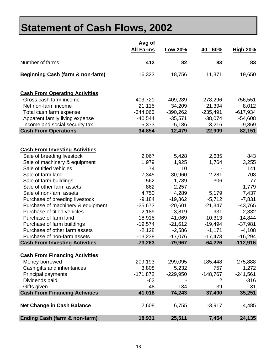# **Statement of Cash Flows, 2002**

|                                             | Avg of<br><b>All Farms</b> | Low 20%    | $40 - 60%$     | <b>High 20%</b> |
|---------------------------------------------|----------------------------|------------|----------------|-----------------|
| Number of farms                             | 412                        | 82         | 83             | 83              |
|                                             |                            |            |                |                 |
| <b>Beginning Cash (farm &amp; non-farm)</b> | 16,323                     | 18,756     | 11,371         | 19,650          |
| <b>Cash From Operating Activities</b>       |                            |            |                |                 |
| Gross cash farm income                      | 403,721                    | 409,289    | 278,296        | 756,551         |
| Net non-farm income                         | 21,115                     | 34,209     | 21,394         | 8,012           |
| Total cash farm expense                     | $-344,065$                 | $-390,262$ | $-235,491$     | $-617,934$      |
| Apparent family living expense              | $-40,544$                  | $-35,571$  | $-38,074$      | $-54,608$       |
| Income and social security tax              | $-5,373$                   | $-5,186$   | $-3,216$       | $-9,869$        |
| <b>Cash From Operations</b>                 | 34,854                     | 12,479     | 22,909         | 82,151          |
|                                             |                            |            |                |                 |
| <b>Cash From Investing Activities</b>       |                            |            |                |                 |
| Sale of breeding livestock                  | 2,067                      | 5,428      | 2,685          | 843             |
| Sale of machinery & equipment               | 1,979                      | 1,925      | 1,764          | 3,255           |
| Sale of titled vehicles                     | 74                         | 10         |                | 141             |
| Sale of farm land                           | 7,345                      | 30,960     | 2,281          | 708             |
| Sale of farm buildings                      | 562                        | 1,789      | 306            | 77              |
| Sale of other farm assets                   | 862                        | 2,257      |                | 1,779           |
| Sale of non-farm assets                     | 4,750                      | 4,289      | 5,179          | 7,437           |
| Purchase of breeding livestock              | $-9,184$                   | $-19,862$  | $-5,712$       | $-7,831$        |
| Purchase of machinery & equipment           | $-25,673$                  | $-20,601$  | $-21,347$      | $-43,765$       |
| Purchase of titled vehicles                 | $-2,189$                   | $-3,819$   | $-931$         | $-2,332$        |
| Purchase of farm land                       | $-18,915$                  | $-41,069$  | $-10,313$      | $-14,844$       |
| Purchase of farm buildings                  | $-19,574$                  | $-21,612$  | $-19,494$      | $-37,981$       |
| Purchase of other farm assets               | $-2,128$                   | $-2,586$   | $-1,171$       | $-4,108$        |
| Purchase of non-farm assets                 | $-13,238$                  | $-17,076$  | $-17,473$      | $-16,294$       |
| <b>Cash From Investing Activities</b>       | $-73,263$                  | $-79,967$  | $-64,226$      | $-112,916$      |
| <b>Cash From Financing Activities</b>       |                            |            |                |                 |
| Money borrowed                              | 209,193                    | 299,095    | 185,448        | 275,888         |
| Cash gifts and inheritances                 | 3,808                      | 5,232      | 757            | 1,272           |
| <b>Principal payments</b>                   | $-171,872$                 | $-229,950$ | $-148,767$     | $-241,561$      |
| Dividends paid                              | $-63$                      |            | $\overline{2}$ | $-316$          |
| Gifts given                                 | $-48$                      | $-134$     | $-39$          | $-31$           |
| <b>Cash From Financing Activities</b>       | 41,018                     | 74,243     | 37,400         | 35,251          |
| <b>Net Change in Cash Balance</b>           | 2,608                      | 6,755      | $-3,917$       | 4,485           |
| <b>Ending Cash (farm &amp; non-farm)</b>    | 18,931                     | 25,511     | 7,454          | 24,135          |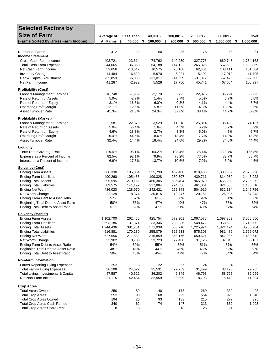| <b>Selected Factors by</b>                                              |                    |                   |                |                 |                 |                      |                 |
|-------------------------------------------------------------------------|--------------------|-------------------|----------------|-----------------|-----------------|----------------------|-----------------|
| <b>Size of Farm</b>                                                     |                    |                   |                |                 |                 |                      |                 |
|                                                                         | Average of         | <b>Less Than</b>  | $40,001 -$     | $100,001 -$     | $200,001 -$     | $500,001 -$          | Over            |
| (Farms Sorted by Gross Farm Income)                                     | All Farms \$       | 40,000            | \$<br>100,000  | \$<br>200,000   | \$<br>500,000   | 1,000,000<br>-\$     | 1,000,000<br>\$ |
| Number of Farms                                                         | 412                | 12                | 50             | 85              | 176             | 58                   | 31              |
| <b>Income Statement</b>                                                 |                    |                   |                |                 |                 |                      |                 |
| Gross Cash Farm Income                                                  | 403,721            | 23,314            | 74,762         | 140,289         | 327,776         | 660,743              | 1,754,163       |
| <b>Total Cash Farm Expense</b>                                          | 344,065            | 36,860            | 64,188         | 114,122         | 265,325         | 557,632              | 1,592,359       |
| Net Cash Farm Income                                                    | 59,656             | $-13,547$         | 10,575         | 26,168          | 62,451          | 103,111              | 161,804         |
| <b>Inventory Change</b>                                                 | 14,484             | 16,620            | 5,970          | 6,221           | 15,102          | 17,019               | 41,795          |
| Dep & Capital Adjustment                                                | $-32,853$          | $-6,005$          | $-11,017$      | $-14,639$       | $-31,812$       | $-52,476$            | $-97,603$       |
| Net Farm Income                                                         | 41,287             | $-2,932$          | 5,528          | 17,750          | 45,741          | 67,654               | 105,997         |
| <b>Profitability (Cost)</b>                                             |                    |                   |                |                 |                 |                      |                 |
| Labor & Management Earnings                                             | 18,748             | $-7,989$          | $-2,178$       | 6,722           | 22,976          | 36,294               | 38,993          |
| Rate of Return of Assets                                                | 5.0%               | $-2.7%$           | 1.4%           | 3.7%            | 5.5%            | 5.7%                 | 5.0%            |
| Rate of Return on Equity                                                | 3.1%               | $-16.3%$          | $-6.0%$        | $-0.3%$         | 4.1%            | 4.4%                 | 3.7%            |
| <b>Operating Profit Margin</b>                                          | 12.1%              | $-12.6%$          | 5.8%           | 11.5%           | 14.3%           | 13.0%                | 9.6%            |
| <b>Asset Turnover Rate</b>                                              | 41.3%              | 21.3%             | 24.3%          | 32.6%           | 38.1%           | 44.2%                | 52.6%           |
| <b>Profitability (Market)</b>                                           |                    |                   |                |                 |                 |                      |                 |
| Labor & Management Earnings                                             | 22,581             | $-22,370$         | $-3,529$       | 11,018          | 25,314          | 35,483               | 74,137          |
| Rate of Return on Assets                                                | 5.0%               | $-6.4%$           | 1.6%           | 4.5%            | 5.2%            | 5.2%                 | 5.9%            |
| Rate of Return on Equity                                                | 4.6%               | $-18.3%$          | $-2.7%$        | 3.3%<br>18.4%   | 5.0%            | 4.7%                 | 6.7%            |
| <b>Operating Profit Margin</b><br><b>Asset Turnover Rate</b>            | 15.4%<br>32.4%     | $-44.5%$<br>14.4% | 8.6%<br>18.4%  | 24.6%           | 17.7%<br>29.2%  | 14.9%<br>34.6%       | 13.3%<br>44.4%  |
|                                                                         |                    |                   |                |                 |                 |                      |                 |
| <b>Liquidity</b>                                                        |                    |                   |                |                 |                 |                      |                 |
| Term Debt Coverage Ratio<br>Expense as a Percent of Income              | 119.4%<br>82.5%    | 103.1%<br>92.1%   | 64.2%<br>79.9% | 108.4%<br>78.2% | 123.4%<br>77.6% | 120.7%<br>82.7%      | 135.8%<br>88.7% |
| Interest as a Percent of Income                                         | 6.9%               | 17.5%             | 13.7%          | 10.6%           | 7.9%            | 6.9%                 | 4.5%            |
|                                                                         |                    |                   |                |                 |                 |                      |                 |
| <b>Solvency (Cost)</b><br><b>Ending Farm Assets</b>                     |                    | 186,004           | 325,799        | 432,460         | 819,438         |                      | 2,573,296       |
| <b>Ending Farm Liabilities</b>                                          | 866,330<br>490,260 | 105,435           | 199,328        | 250,897         | 439,711         | 1,338,857<br>814,080 | 1,445,922       |
| <b>Ending Total Assets</b>                                              | 995,595            | 270,162           | 460,305        | 536,404         | 965,970         | 1,456,200            | 2,705,272       |
| <b>Ending Total Liabilities</b>                                         | 509,575            | 141,192           | 217,884        | 274,056         | 461,051         | 824,066              | 1,455,516       |
| <b>Ending Net Worth</b>                                                 | 486,020            | 128,970           | 242,421        | 262,348         | 504,919         | 632,134              | 1,249,756       |
| Net Worth Change                                                        | 22,129             | 18,374            | 30,815         | 12,947          | 20,151          | 26,905               | 37,043          |
| Ending Farm Debt to Asset Ratio                                         | 57%                | 57%               | 61%            | 58%             | 54%             | 61%                  | 56%             |
| Beginning Total Debt to Asset Ratio                                     | 50%                | 56%               | 47%            | 49%             | 47%             | 55%                  | 52%             |
| <b>Ending Total Debt to Asset Ratio</b>                                 | 51%                | 52%               | 47%            | 51%             | 48%             | 57%                  | 54%             |
| <b>Solvency (Market)</b>                                                |                    |                   |                |                 |                 |                      |                 |
| <b>Ending Farm Assets</b>                                               | 1,102,700          | 262,455           | 425,754        | 573,901         | 1,067,575       | 1,697,369            | 3,056,556       |
| <b>Ending Farm Liabilities</b>                                          | 593,186            | 131,371           | 233,346        | 298,936         | 548,472         | 968,523              | 1,710,772       |
| Ending Total Assets                                                     | 1,244,436          | 381,761           | 571,938        | 688,710         | 1,225,924       | 1,824,424            | 3,206,784       |
| <b>Ending Total Liabilities</b>                                         | 616,881            | 170,230           | 255,079        | 325,533         | 575,303         | 981,489              | 1,726,072       |
| <b>Ending Net Worth</b>                                                 | 627,556            | 211,532           | 316,859        | 363,176         | 650,621         | 842,935              | 1,480,712       |
| Net Worth Change                                                        | 33,902             | 8,788             | 33,723         | 22,468          | 31,125          | 37,040               | 85,167          |
| Ending Farm Debt to Asset Ratio                                         | 54%                | 50%               | 55%            | 52%             | 51%             | 57%                  | 56%             |
| Beginning Total Debt to Asset Ratio<br>Ending Total Debt to Asset Ratio | 48%<br>50%         | 45%<br>45%        | 44%<br>45%     | 45%<br>47%      | 46%<br>47%      | 52%<br>54%           | 53%<br>54%      |
|                                                                         |                    |                   |                |                 |                 |                      |                 |
| Non-farm Information<br>Farms Reporting Living Expenses                 | 252                | 6                 | 22             | 57              | 124             | 34                   | 9               |
| <b>Total Family Living Expenses</b>                                     | 30,108             | 24,622            | 25,531         | 27,759          | 31,499          | 33,128               | 29,265          |
| Total Living, Investments & Capital                                     | 47,587             | 40,622            | 36,202         | 42,349          | 46,793          | 58,725               | 82,099          |
| Net Non-Farm Income                                                     | 21,115             | 42,434            | 32,959         | 23,399          | 18,793          | 15,442               | 11,294          |
|                                                                         |                    |                   |                |                 |                 |                      |                 |
| <b>Crop Acres</b><br><b>Total Acres Owned</b>                           | 250                | 89                | 140            | 173             | 269             | 339                  | 423             |
| <b>Total Crop Acres</b>                                                 | 552                | 93                | 168            | 299             | 554             | 925                  | 1,340           |
| <b>Total Crop Acres Owned</b>                                           | 194                | 26                | 93             | 133             | 215             | 272                  | 325             |
| <b>Total Crop Acres Cash Rented</b>                                     | 340                | 62                | 74             | 147             | 313             | 632                  | 1,008           |
| <b>Total Crop Acres Share Rent</b>                                      | 18                 | 5                 | $\mathbf{1}$   | 18              | 26              | 21                   | 8               |
|                                                                         |                    |                   |                |                 |                 |                      |                 |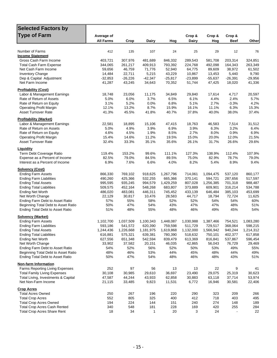| <b>Selected Factors by</b>                                                     |                  |                      |                      |                      |                      |                      |                    |                      |
|--------------------------------------------------------------------------------|------------------|----------------------|----------------------|----------------------|----------------------|----------------------|--------------------|----------------------|
| <b>Type of Farm</b>                                                            | Average of       |                      |                      |                      | Crop &               | Crop &               | Crop &             |                      |
|                                                                                | <b>All Farms</b> | Crop                 | Dairy                | Hog                  | Dairy                | Hog                  | <b>Beef</b>        | Other                |
|                                                                                |                  |                      |                      |                      |                      |                      |                    |                      |
| Number of Farms<br><b>Income Statement</b>                                     | 412              | 135                  | 107                  | 24                   | 25                   | 29                   | 12                 | 76                   |
| Gross Cash Farm Income                                                         | 403,721          | 307,976              | 481,689              | 846,332              | 289,543              | 581,708              | 203,314            | 324,851              |
| <b>Total Cash Farm Expense</b>                                                 | 344,065          | 261,217              | 409,913              | 793,392              | 224,768              | 492,098              | 164,343            | 263,349              |
| Net Cash Farm Income                                                           | 59,656           | 46,759               | 71,776               | 52,940               | 64,775               | 89,609               | 38,972             | 61,502               |
| <b>Inventory Change</b>                                                        | 14,484           | 22,711               | 5,215                | 43,229               | 10,867               | 13,453               | 5,440              | 9,790                |
| Dep & Capital Adjustment                                                       | $-32,853$        | $-26,226$            | $-42,347$            | $-25,817$            | $-23,899$            | $-55,637$            | $-26,391$          | $-29,956$            |
| Net Farm Income                                                                | 41,287           | 43,245               | 34,643               | 70,352               | 51,744               | 47,425               | 18,020             | 41,336               |
| <b>Profitability (Cost)</b>                                                    |                  |                      |                      |                      |                      |                      |                    |                      |
| Labor & Management Earnings                                                    | 18,748           | 23,056               | 11,175               | 34,849               | 29,840               | 17,614               | 4,717              | 20,597               |
| Rate of Return of Assets                                                       | 5.0%             | 6.0%                 | 3.7%                 | 6.5%                 | 6.1%                 | 4.4%                 | 2.4%               | 5.7%                 |
| Rate of Return on Equity                                                       | 3.1%             | 5.2%                 | 0.0%                 | 6.8%                 | 5.1%                 | 2.7%                 | $-3.3%$            | 4.2%                 |
| <b>Operating Profit Margin</b>                                                 | 12.1%            | 13.2%                | 8.7%                 | 15.9%                | 16.1%                | 11.1%                | 6.3%               | 15.3%                |
| <b>Asset Turnover Rate</b>                                                     | 41.3%            | 45.5%                | 41.8%                | 40.7%                | 37.8%                | 40.0%                | 38.0%              | 37.4%                |
| <b>Profitability (Market)</b>                                                  |                  |                      |                      |                      |                      |                      |                    |                      |
| Labor & Management Earnings                                                    | 22,581           | 18,895               | 15,106               | 47,415               | 18,763               | 46,583               | 7,514              | 31,512               |
| Rate of Return on Assets                                                       | 5.0%             | 4.9%                 | 3.9%                 | 6.9%                 | 3.9%                 | 6.3%                 | 3.2%               | 6.4%                 |
| Rate of Return on Equity<br><b>Operating Profit Margin</b>                     | 4.6%<br>15.4%    | 4.5%<br>14.6%        | 1.9%<br>11.2%        | 8.5%<br>19.5%        | 2.7%<br>15.0%        | 8.0%<br>20.0%        | 0.9%<br>12.0%      | 6.9%<br>21.5%        |
| <b>Asset Turnover Rate</b>                                                     | 32.4%            | 33.3%                | 35.1%                | 35.6%                | 26.1%                | 31.7%                | 26.6%              | 29.6%                |
|                                                                                |                  |                      |                      |                      |                      |                      |                    |                      |
| Liquidity                                                                      | 119.4%           | 153.2%               | 99.6%                | 111.1%               | 127.3%               | 138.9%               | 112.4%             | 107.9%               |
| Term Debt Coverage Ratio<br>Expense as a Percent of Income                     | 82.5%            | 79.0%                | 84.5%                | 89.5%                | 75.0%                | 82.9%                | 78.7%              | 79.0%                |
| Interest as a Percent of Income                                                | 6.9%             | 7.6%                 | 6.6%                 | 4.0%                 | 8.2%                 | 5.4%                 | 8.9%               | 9.4%                 |
| <b>Solvency (Cost)</b>                                                         |                  |                      |                      |                      |                      |                      |                    |                      |
| <b>Ending Farm Assets</b>                                                      | 866,330          | 769,102              | 918,625              | 1,267,796            | 714,061              | 1,094,475            | 537,120            | 860,177              |
| <b>Ending Farm Liabilities</b>                                                 | 490,260          | 425,366              | 532,255              | 665,366              | 370,141              | 594,721              | 287,656            | 517,597              |
| <b>Ending Total Assets</b>                                                     | 995,595          | 935,245              | 994,579              | 1,429,259            | 807,028              | 1,256,385            | 701,318            | 988,487              |
| <b>Ending Total Liabilities</b>                                                | 509,575          | 452,164              | 548,268              | 683,807              | 373,889              | 609,901              | 316,214            | 534,788              |
| <b>Ending Net Worth</b>                                                        | 486,020          | 483,081              | 446,311              | 745,452              | 433,139              | 646,484              | 385,103            | 453,699              |
| Net Worth Change                                                               | 22,129           | 30,817               | 10,476               | 28,583               | 44,717               | 18,794               | 72,724             | 11,625               |
| Ending Farm Debt to Asset Ratio                                                | 57%              | 55%                  | 58%                  | 52%                  | 52%                  | 54%                  | 54%                | 60%                  |
| Beginning Total Debt to Asset Ratio<br><b>Ending Total Debt to Asset Ratio</b> | 50%<br>51%       | 47%<br>48%           | 54%<br>55%           | 43%<br>48%           | 47%<br>46%           | 47%<br>49%           | 48%<br>45%         | 51%<br>54%           |
|                                                                                |                  |                      |                      |                      |                      |                      |                    |                      |
| <b>Solvency (Market)</b>                                                       | 1,102,700        |                      |                      |                      |                      |                      |                    |                      |
| <b>Ending Farm Assets</b><br><b>Ending Farm Liabilities</b>                    | 593,186          | 1,037,509            | 1,100,343<br>620,390 | 1,448,087            | 1,030,988            | 1,387,466            | 754,521<br>368,064 | 1,083,280            |
| <b>Ending Total Assets</b>                                                     | 1,244,436        | 541,572<br>1,226,668 | 1,181,975            | 759,598<br>1,619,868 | 511,729<br>1,132,000 | 729,517<br>1,566,942 | 940,244            | 598,215<br>1,214,312 |
| <b>Ending Total Liabilities</b>                                                | 616,881          | 575,321              | 639,381              | 780,390              | 518,632              | 750,101              | 402,377            | 617,858              |
| <b>Ending Net Worth</b>                                                        | 627,556          | 651,348              | 542,594              | 839,479              | 613,369              | 816,841              | 537,867            | 596,454              |
| Net Worth Change                                                               | 33,902           | 37,582               | 20,151               | 46,035               | 42,865               | 56,043               | 76,729             | 29,469               |
| Ending Farm Debt to Asset Ratio                                                | 54%              | 52%                  | 56%                  | 52%                  | 50%                  | 53%                  | 49%                | 55%                  |
| Beginning Total Debt to Asset Ratio                                            | 48%              | 46%                  | 53%                  | 44%                  | 45%                  | 48%                  | 44%                | 49%                  |
| <b>Ending Total Debt to Asset Ratio</b>                                        | 50%              | 47%                  | 54%                  | 48%                  | 46%                  | 48%                  | 43%                | 51%                  |
| <b>Non-farm Information</b>                                                    |                  |                      |                      |                      |                      |                      |                    |                      |
| Farms Reporting Living Expenses                                                | 252              | 97                   | 56                   | 13                   | 13                   | 22                   | 9                  | 41                   |
| <b>Total Family Living Expenses</b>                                            | 30,108           | 30,985               | 29,610               | 36,697               | 23,490               | 29,075               | 25,319             | 30,623               |
| Total Living, Investments & Capital                                            | 47,587           | 44,244               | 43,933               | 62,858               | 30,883               | 63,118               | 37,714             | 53,974               |
| Net Non-Farm Income                                                            | 21,115           | 33,485               | 9,823                | 11,531               | 6,772                | 16,946               | 30,581             | 22,406               |
| <b>Crop Acres</b>                                                              |                  |                      |                      |                      |                      |                      |                    |                      |
| <b>Total Acres Owned</b><br><b>Total Crop Acres</b>                            | 250<br>552       | 267<br>805           | 196<br>325           | 220<br>400           | 290<br>412           | 323<br>718           | 209<br>403         | 266<br>495           |
| <b>Total Crop Acres Owned</b>                                                  | 194              | 224                  | 144                  | 151                  | 240                  | 274                  | 148                | 189                  |
| <b>Total Crop Acres Cash Rented</b>                                            | 340              | 548                  | 181                  | 228                  | 169                  | 420                  | 255                | 284                  |
| <b>Total Crop Acres Share Rent</b>                                             | 18               | 34                   | 1                    | 20                   | 3                    | 24                   |                    | 22                   |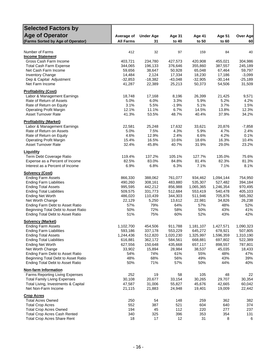| <b>Selected Factors by</b>                                                 |                    |                    |                    |                      |                      |                    |
|----------------------------------------------------------------------------|--------------------|--------------------|--------------------|----------------------|----------------------|--------------------|
| <b>Age of Operator</b>                                                     | Average of         | <b>Under Age</b>   | <b>Age 31</b>      | <b>Age 41</b>        | <b>Age 51</b>        | <b>Over Age</b>    |
| (Farms Sorted by Age of Operator)                                          | <b>All Farms</b>   | 31                 | to 40              | to 50                | to 60                | 60                 |
|                                                                            |                    |                    |                    |                      |                      |                    |
| Number of Farms                                                            | 412                | 32                 | 97                 | 159                  | 84                   | 40                 |
| <b>Income Statement</b>                                                    |                    |                    |                    |                      |                      |                    |
| Gross Cash Farm Income                                                     | 403,721            | 234,780            | 427,573            | 420,908              | 455,021              | 304,986            |
| <b>Total Cash Farm Expense</b><br>Net Cash Farm Income                     | 344,065<br>59,656  | 196,133<br>38,647  | 376,646<br>50,928  | 355,860<br>65,048    | 387,557<br>67,464    | 245,189<br>59,797  |
| <b>Inventory Change</b>                                                    | 14,484             | 2,124              | 17,334             | 18,230               | 17,186               | $-3,099$           |
| Dep & Capital Adjustment                                                   | $-32,853$          | $-18,382$          | $-43,048$          | $-32,905$            | $-30,144$            | $-25,189$          |
| Net Farm Income                                                            | 41,287             | 22,389             | 25,213             | 50,373               | 54,506               | 31,509             |
| <b>Profitability (Cost)</b>                                                |                    |                    |                    |                      |                      |                    |
| Labor & Management Earnings                                                | 18,748             | 17,168             | 8,196              | 26,399               | 21,425               | 9,571              |
| Rate of Return of Assets                                                   | 5.0%               | 6.0%               | 3.3%               | 5.9%                 | 5.2%                 | 4.2%               |
| Rate of Return on Equity                                                   | 3.1%               | 5.5%               | $-1.9%$            | 5.1%                 | 3.7%                 | 1.5%               |
| <b>Operating Profit Margin</b>                                             | 12.1%              | 11.1%              | 6.7%               | 14.5%                | 13.8%                | 12.3%              |
| <b>Asset Turnover Rate</b>                                                 | 41.3%              | 53.5%              | 48.7%              | 40.4%                | 37.9%                | 34.2%              |
| <b>Profitability (Market)</b><br>Labor & Management Earnings               | 22,581             | 25,248             | 17,632             | 33,621               | 20,876               | $-7,858$           |
| Rate of Return on Assets                                                   | 5.0%               | 7.5%               | 4.3%               | 5.9%                 | 4.7%                 | 2.4%               |
| Rate of Return on Equity                                                   | 4.6%               | 12.9%              | 2.4%               | 6.6%                 | 4.2%                 | 0.1%               |
| <b>Operating Profit Margin</b>                                             | 15.4%              | 16.5%              | 10.6%              | 18.6%                | 16.3%                | 10.4%              |
| Asset Turnover Rate                                                        | 32.4%              | 45.8%              | 40.7%              | 31.9%                | 29.0%                | 23.2%              |
| Liquidity                                                                  |                    |                    |                    |                      |                      |                    |
| Term Debt Coverage Ratio                                                   | 119.4%             | 137.2%             | 105.1%             | 127.7%               | 135.0%               | 75.6%              |
| Expense as a Percent of Income                                             | 82.5%              | 83.0%              | 84.8%              | 81.4%                | 82.3%                | 81.3%              |
| Interest as a Percent of Income                                            | 6.9%               | 6.8%               | 6.3%               | 7.1%                 | 7.1%                 | 8.1%               |
| <b>Solvency (Cost)</b>                                                     |                    |                    |                    |                      |                      |                    |
| <b>Ending Farm Assets</b><br><b>Ending Farm Liabilities</b>                | 866,330<br>490,260 | 388,062<br>308,161 | 761,077<br>483,880 | 934,462<br>535,307   | 1,094,144<br>527,482 | 754,950<br>394,184 |
| <b>Ending Total Assets</b>                                                 | 995,595            | 442,212            | 856,988            | 1,065,365            | 1,246,354            | 970,495            |
| <b>Ending Total Liabilities</b>                                            | 509,575            | 331,773            | 512,684            | 553,419              | 540,478              | 405,103            |
| <b>Ending Net Worth</b>                                                    | 486,020            | 110,439            | 344,303            | 511,946              | 705,876              | 565,392            |
| Net Worth Change                                                           | 22,129             | 5,250              | 13,612             | 22,981               | 34,826               | 26,238             |
| Ending Farm Debt to Asset Ratio                                            | 57%                | 79%                | 64%                | 57%                  | 48%                  | 52%                |
| Beginning Total Debt to Asset Ratio                                        | 50%                | 72%                | 58%                | 50%                  | 43%                  | 41%                |
| Ending Total Debt to Asset Ratio                                           | 51%                | 75%                | 60%                | 52%                  | 43%                  | 42%                |
| <b>Solvency (Market)</b><br><b>Ending Farm Assets</b>                      | 1,102,700          |                    |                    |                      |                      | 1,090,323          |
| <b>Ending Farm Liabilities</b>                                             | 593,186            | 454,506<br>337,178 | 911,788<br>553,229 | 1,181,107<br>645,272 | 1,427,571<br>678,921 | 507,805            |
| <b>Ending Total Assets</b>                                                 | 1,244,436          | 512,820            | 1,020,230          | 1,325,997            | 1,596,359            | 1,310,190          |
| <b>Ending Total Liabilities</b>                                            | 616,881            | 362,172            | 584,561            | 668,881              | 697,802              | 522,389            |
| <b>Ending Net Worth</b>                                                    | 627,556            | 150,648            | 435,668            | 657,117              | 898,557              | 787,801            |
| Net Worth Change                                                           | 33,902             | 15,894             | 28,984             | 38,537               | 45,035               | 18,433             |
| Ending Farm Debt to Asset Ratio                                            | 54%                | 74%                | 61%                | 55%                  | 48%                  | 47%                |
| Beginning Total Debt to Asset Ratio                                        | 48%                | 68%                | 56%                | 49%                  | 43%                  | 39%                |
| <b>Ending Total Debt to Asset Ratio</b>                                    | 50%                | 71%                | 57%                | 50%                  | 44%                  | 40%                |
| <b>Non-farm Information</b>                                                |                    |                    |                    |                      |                      |                    |
| Farms Reporting Living Expenses                                            | 252                | 19                 | 58                 | 105                  | 48                   | 22                 |
| <b>Total Family Living Expenses</b><br>Total Living, Investments & Capital | 30,108<br>47,587   | 20,677<br>31,006   | 33,154<br>55,827   | 30,265<br>45,676     | 29,707<br>42,665     | 30,354<br>60,042   |
| Net Non-Farm Income                                                        | 21,115             | 21,883             | 24,948             | 19,401               | 19,009               | 22,442             |
| <b>Crop Acres</b>                                                          |                    |                    |                    |                      |                      |                    |
| <b>Total Acres Owned</b>                                                   | 250                | 54                 | 148                | 259                  | 362                  | 382                |
| <b>Total Crop Acres</b>                                                    | 552                | 387                | 521                | 604                  | 640                  | 374                |
| <b>Total Crop Acres Owned</b>                                              | 194                | 45                 | 112                | 220                  | 277                  | 237                |
| <b>Total Crop Acres Cash Rented</b>                                        | 340                | 325                | 396                | 353                  | 354                  | 131                |
| <b>Total Crop Acres Share Rent</b>                                         | 18                 | 17                 | 12                 | 31                   | 8                    | 6                  |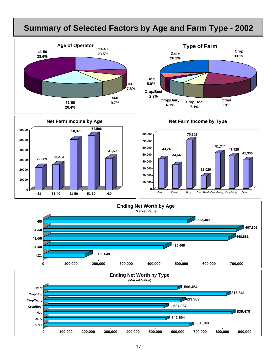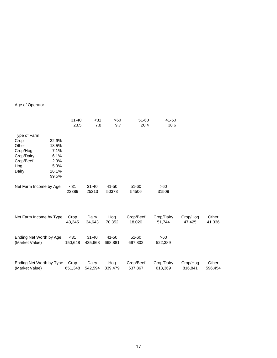#### Age of Operator

|                          |       | 31-40   | $31$      | >60     | 51-60     | 41-50      |          |         |
|--------------------------|-------|---------|-----------|---------|-----------|------------|----------|---------|
|                          |       | 23.5    | 7.8       | 9.7     | 20.4      | 38.6       |          |         |
| Type of Farm             |       |         |           |         |           |            |          |         |
| Crop                     | 32.9% |         |           |         |           |            |          |         |
| Other                    | 18.5% |         |           |         |           |            |          |         |
| Crop/Hog                 | 7.1%  |         |           |         |           |            |          |         |
| Crop/Dairy               | 6.1%  |         |           |         |           |            |          |         |
| Crop/Beef                | 2.9%  |         |           |         |           |            |          |         |
| Hog                      | 5.9%  |         |           |         |           |            |          |         |
| Dairy                    | 26.1% |         |           |         |           |            |          |         |
|                          | 99.5% |         |           |         |           |            |          |         |
| Net Farm Income by Age   |       | $31$    | $31 - 40$ | 41-50   | 51-60     | >60        |          |         |
|                          |       | 22389   | 25213     | 50373   | 54506     | 31509      |          |         |
|                          |       |         |           |         |           |            |          |         |
| Net Farm Income by Type  |       | Crop    | Dairy     | Hog     | Crop/Beef | Crop/Dairy | Crop/Hog | Other   |
|                          |       | 43,245  | 34,643    | 70,352  | 18,020    | 51,744     | 47,425   | 41,336  |
|                          |       |         |           |         |           |            |          |         |
| Ending Net Worth by Age  |       | $31$    | $31 - 40$ | 41-50   | $51 - 60$ | >60        |          |         |
| (Market Value)           |       | 150,648 | 435,668   | 668,881 | 697,802   | 522,389    |          |         |
|                          |       |         |           |         |           |            |          |         |
| Ending Net Worth by Type |       | Crop    | Dairy     | Hog     | Crop/Beef | Crop/Dairy | Crop/Hog | Other   |
| (Market Value)           |       | 651,348 | 542,594   | 839,479 | 537,867   | 613,369    | 816,841  | 596,454 |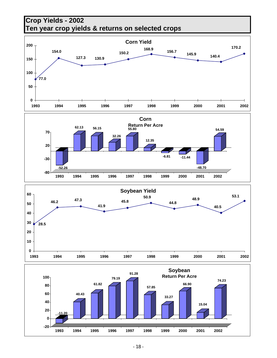



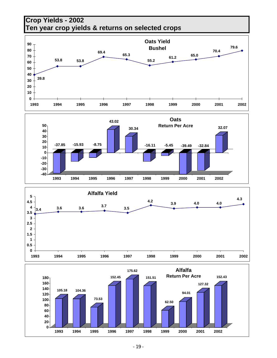## **Crop Yields - 2002 Ten year crop yields & returns on selected crops**





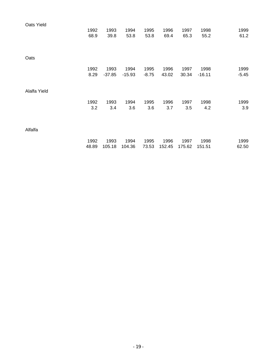| Oats Yield   |       |          |          |         |        |        |          |         |
|--------------|-------|----------|----------|---------|--------|--------|----------|---------|
|              | 1992  | 1993     | 1994     | 1995    | 1996   | 1997   | 1998     | 1999    |
|              | 68.9  | 39.8     | 53.8     | 53.8    | 69.4   | 65.3   | 55.2     | 61.2    |
|              |       |          |          |         |        |        |          |         |
|              |       |          |          |         |        |        |          |         |
| Oats         |       |          |          |         |        |        |          |         |
|              | 1992  | 1993     | 1994     | 1995    | 1996   | 1997   | 1998     | 1999    |
|              | 8.29  | $-37.85$ | $-15.93$ | $-8.75$ | 43.02  | 30.34  | $-16.11$ | $-5.45$ |
|              |       |          |          |         |        |        |          |         |
| Alalfa Yield |       |          |          |         |        |        |          |         |
|              | 1992  | 1993     | 1994     | 1995    | 1996   | 1997   | 1998     | 1999    |
|              | 3.2   | 3.4      | 3.6      | 3.6     | 3.7    | 3.5    | 4.2      | 3.9     |
|              |       |          |          |         |        |        |          |         |
|              |       |          |          |         |        |        |          |         |
| Alfalfa      |       |          |          |         |        |        |          |         |
|              | 1992  | 1993     | 1994     | 1995    | 1996   | 1997   | 1998     | 1999    |
|              | 48.89 | 105.18   | 104.36   | 73.53   | 152.45 | 175.62 | 151.51   | 62.50   |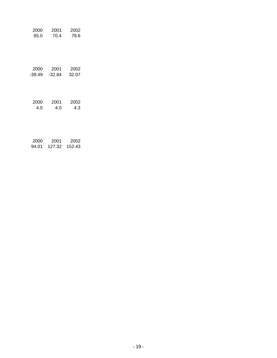| 2000   | 2001   | 2002   |
|--------|--------|--------|
| 65.0   | 70.4   | 79.6   |
| 2000   | 2001   | 2002   |
| -39.49 | -32.84 | 32.07  |
| 2000   | 2001   | 2002   |
| 4.0    | 4.0    | 4.3    |
| 2000   | 2001   | 2002   |
| 94.01  | 127.32 | 152.43 |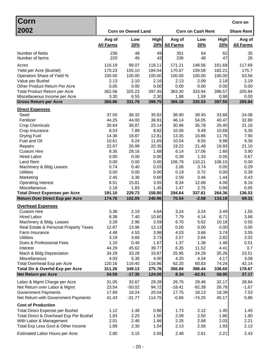| ∣Corn                                                                           |                  |                           |                  |                   |                          |                 | Corn on           |
|---------------------------------------------------------------------------------|------------------|---------------------------|------------------|-------------------|--------------------------|-----------------|-------------------|
| 2002                                                                            |                  | <b>Corn on Owned Land</b> |                  |                   | <b>Corn on Cash Rent</b> |                 | <b>Share Rent</b> |
|                                                                                 | Avg of           | Low                       | <b>High</b>      | Avg of            | Low                      | High            | Avg of            |
|                                                                                 | <b>All Farms</b> | 20%                       | 20%              | <b>All Farms</b>  | 20%                      | 20%             | <b>All Farms</b>  |
| Number of fields<br>Number of farms                                             | 236<br>220       | 48<br>45                  | 49<br>43         | 351<br>236        | 64<br>48                 | 62<br>47        | 35<br>26          |
| Acres                                                                           | 116.19           | 99.07                     | 118.11           | 171.21            | 148.56                   | 161.69          | 117.69            |
| Yield per Acre (Bushel)                                                         | 170.23           | 155.10                    | 184.04           | 170.67            | 159.58                   | 182.21          | 175.7             |
| Operators Share of Yield %                                                      | 100.00           | 100.00                    | 100.00           | 100.00            | 100.00                   | 100.00          | 53.56             |
| Value per Bushel                                                                | 2.13             | 2.10                      | 2.16             | 2.13              | 2.09                     | 2.18            | 2.19              |
| Other Product Return Per Acre                                                   | 0.05             | 0.00                      | 0.00             | 0.00              | 0.00                     | 0.00            | 0.00              |
| Total Product Return per Acre                                                   | 362.56           | 325.23                    | 397.45           | 363.30            | 333.94                   | 396.57          | 205.84            |
| Miscellaneous Income per Acre                                                   | 3.30             | 6.55                      | 2.30             | 1.88              | 1.59                     | 0.98            | 0.00              |
| <b>Gross Return per Acre</b>                                                    | 365.86           | 331.78                    | 399.75           | 365.18            | 335.53                   | 397.55          | 205.84            |
| <b>Direct Expenses</b>                                                          |                  |                           |                  |                   |                          |                 |                   |
| Seed                                                                            | 37.50            | 36.32                     | 35.82            | 36.90             | 39.45                    | 33.68           | 24.08             |
| Fertilizer                                                                      | 44.25            | 44.00                     | 36.91            | 46.14             | 54.05                    | 40.47           | 32.80             |
| Crop Chemicals<br>Crop Insurance                                                | 30.64<br>8.53    | 36.87<br>7.89             | 25.14<br>8.82    | 30.96<br>10.06    | 35.78<br>9.49            | 26.45<br>10.69  | 21.16<br>5.35     |
| <b>Drying Fuel</b>                                                              | 14.36            | 18.87                     | 12.81            | 13.35             | 15.86                    | 11.76           | 7.90              |
| Fuel and Oil                                                                    | 10.61            | 9.24                      | 11.65            | 10.04             | 9.55                     | 9.98            | 9.36              |
| Repairs                                                                         | 22.97            | 26.99                     | 20.35            | 19.22             | 21.48                    | 16.93           | 21.10             |
| <b>Custom Hire</b>                                                              | 8.35             | 28.16                     | 1.68             | 6.14              | 17.06                    | 1.66            | 3.90              |
| <b>Hired Labor</b>                                                              | 0.00             | 0.00                      | 0.00             | 0.39              | 1.33                     | 0.05            | 0.67              |
| Land Rent                                                                       | 0.00             | 0.00                      | 0.00             | 106.79            | 110.21                   | 106.15          | 0.00              |
| Machinery & Bldg Leases                                                         | 0.74             | 0.40                      | 0.03             | 2.06              | 3.74                     | 0.05            | 0.29              |
| <b>Utilities</b>                                                                | 0.00             | 0.00                      | 0.00             | 0.19              | 0.72                     | 0.00            | 0.39              |
| Marketing                                                                       | 2.45             | 3.36                      | 0.60             | 2.59              | 3.46                     | 1.44            | 0.43              |
| <b>Operating Interest</b>                                                       | 8.51             | 15.81                     | 3.55             | 8.34              | 12.68                    | 4.06            | 8.16              |
| Miscellaneous                                                                   | 2.18<br>191.10   | 1.83<br>229.73            | 1.45<br>158.80   | 1.47<br>294.64    | 2.75<br>337.61           | 0.99<br>264.36  | 0.95<br>136.53    |
| <b>Total Direct Expenses per Acre</b><br><b>Return Over Direct Exp per Acre</b> | 174.76           | 102.05                    | 240.96           | 70.54             | $-2.08$                  | 133.19          | 69.31             |
|                                                                                 |                  |                           |                  |                   |                          |                 |                   |
| <b>Overhead Expenses</b>                                                        |                  |                           |                  |                   |                          |                 |                   |
| <b>Custom Hire</b>                                                              | 3.36<br>8.38     | 2.19                      | 4.64<br>10.60    | 3.24              | 3.24                     | 3.49<br>8.71    | 1.55              |
| Hired Labor<br>Machinery & Bldg. Leases                                         | 3.28             | 7.40<br>2.96              | 3.59             | 7.79<br>6.70      | 4.14<br>5.62             | 10.18           | 3.66<br>0.55      |
| Real Estate & Personal Property Taxes                                           | 12.87            | 13.96                     | 12.13            | 0.00              | 0.00                     | 0.00            | 0.00              |
| Farm Insurance                                                                  | 4.48             | 4.53                      | 3.98             | 4.03              | 3.66                     | 3.74            | 3.55              |
| <b>Utilities</b>                                                                | 3.19             | 3.66                      | 2.73             | 2.57              | 2.64                     | 2.82            | 2.02              |
| Dues & Professional Fees                                                        | 1.10             | 0.46                      | 1.67             | 1.37              | 1.38                     | 1.46            | 0.51              |
| Interest                                                                        | 44.29            | 45.62                     | 39.77            | 6.35              | 11.52                    | 4.41            | 3.7               |
| Mach & Bldg Depreciation                                                        | 34.28            | 33.28                     | 33.87            | 25.95             | 24.29                    | 35.26           | 23.51             |
| Miscellaneous                                                                   | 4.93             | 5.36                      | 4.00             | 4.20              | 4.34                     | 4.17            | 3.08              |
| Total Overhead Exp per Acre                                                     | 120.16           | 119.40                    | 116.96           | 62.20             | 60.83                    | 74.24           | 42.14<br>178.67   |
| Total Dir & Overhd Exp per Acre<br><b>Net Return per Acre</b>                   | 311.26<br>54.59  | 349.13<br>$-17.35$        | 275.76<br>124.00 | 356.84<br>8.34    | 398.44<br>$-62.91$       | 338.60<br>58.95 | 27.17             |
|                                                                                 |                  |                           |                  |                   |                          |                 |                   |
| Labor & Mgmt Charge per Acre<br>Net Return over Labor & Mgmt                    | 31.05<br>23.54   | 32.67<br>$-50.02$         | 29.28<br>94.72   | 26.76<br>$-18.41$ | 29.46<br>$-92.38$        | 32.17<br>26.78  | 28.84<br>$-1.67$  |
| <b>Government Payments</b>                                                      | 17.89            | 18.24                     | 20.04            | 17.75             | 18.13                    | 18.39           | 7.53              |
| Net Return with Government Payments                                             | 41.43            | $-31.77$                  | 114.75           | $-0.66$           | $-74.25$                 | 45.17           | 5.86              |
| <b>Cost of Production</b>                                                       |                  |                           |                  |                   |                          |                 |                   |
| <b>Total Direct Expense per Bushel</b>                                          | 1.12             | 1.48                      | 0.86             | 1.73              | 2.12                     | 1.45            | 1.45              |
| Total Direct & Overhead Exp Per Bushel                                          | 1.83             | 2.25                      | 1.50             | 2.09              | 2.50                     | 1.86            | 1.90              |
| With Labor & Management                                                         | 2.01             | 2.46                      | 1.66             | 2.25              | 2.68                     | 2.03            | 2.21              |
| Total Exp Less Govt & Other Income                                              | 1.89             | 2.30                      | 1.54             | 2.13              | 2.56                     | 1.93            | 2.13              |
| Estimated Labor Hours per Acre                                                  | 2.80             | 3.15                      | 2.65             | 2.48              | 2.61                     | 2.21            | 2.43              |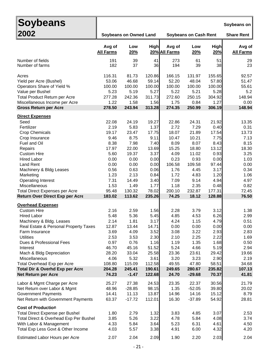| <b>Soybeans</b>                                                                                                                                                                                                                                                                                                                                                                                                                                                                                                                                                                                             |                                                                                                                                                                                                       |                                                                                                                                                                                                          |                                                                                                                                                                                                       |                                                                                                                                                                                                        |                                                                                                                                                                                                         |                                                                                                                                                                                                       | Soybeans on                                                                                                                                                                                        |
|-------------------------------------------------------------------------------------------------------------------------------------------------------------------------------------------------------------------------------------------------------------------------------------------------------------------------------------------------------------------------------------------------------------------------------------------------------------------------------------------------------------------------------------------------------------------------------------------------------------|-------------------------------------------------------------------------------------------------------------------------------------------------------------------------------------------------------|----------------------------------------------------------------------------------------------------------------------------------------------------------------------------------------------------------|-------------------------------------------------------------------------------------------------------------------------------------------------------------------------------------------------------|--------------------------------------------------------------------------------------------------------------------------------------------------------------------------------------------------------|---------------------------------------------------------------------------------------------------------------------------------------------------------------------------------------------------------|-------------------------------------------------------------------------------------------------------------------------------------------------------------------------------------------------------|----------------------------------------------------------------------------------------------------------------------------------------------------------------------------------------------------|
| 2002                                                                                                                                                                                                                                                                                                                                                                                                                                                                                                                                                                                                        |                                                                                                                                                                                                       | <b>Soybeans on Owned Land</b>                                                                                                                                                                            |                                                                                                                                                                                                       |                                                                                                                                                                                                        | <b>Soybeans on Cash Rent</b>                                                                                                                                                                            |                                                                                                                                                                                                       | <b>Share Rent</b>                                                                                                                                                                                  |
|                                                                                                                                                                                                                                                                                                                                                                                                                                                                                                                                                                                                             | Avg of<br><b>All Farms</b>                                                                                                                                                                            | Low<br>20%                                                                                                                                                                                               | High                                                                                                                                                                                                  | Avg of<br>20% All Farms                                                                                                                                                                                | Low<br>20%                                                                                                                                                                                              | High<br>20%                                                                                                                                                                                           | Avg of<br><b>All Farms</b>                                                                                                                                                                         |
| Number of fields<br>Number of farms                                                                                                                                                                                                                                                                                                                                                                                                                                                                                                                                                                         | 191<br>182                                                                                                                                                                                            | 39<br>37                                                                                                                                                                                                 | 41<br>36                                                                                                                                                                                              | 273<br>194                                                                                                                                                                                             | 61<br>39                                                                                                                                                                                                | 51<br>38                                                                                                                                                                                              | 29<br>23                                                                                                                                                                                           |
| Acres<br>Yield per Acre (Bushel)<br>Operators Share of Yield %<br>Value per Bushel<br>Total Product Return per Acre<br>Miscellaneous Income per Acre<br><b>Gross Return per Acre</b>                                                                                                                                                                                                                                                                                                                                                                                                                        | 116.31<br>53.06<br>100.00<br>5.23<br>277.28<br>1.22<br>278.50                                                                                                                                         | 81.73<br>46.68<br>100.00<br>5.19<br>242.36<br>1.58<br>243.94                                                                                                                                             | 120.86<br>59.14<br>100.00<br>5.27<br>311.73<br>1.56<br>313.28                                                                                                                                         | 166.15<br>52.20<br>100.00<br>5.22<br>272.60<br>1.75<br>274.35                                                                                                                                          | 131.97<br>48.04<br>100.00<br>5.21<br>250.15<br>0.84<br>250.99                                                                                                                                           | 155.65<br>57.80<br>100.00<br>5.28<br>304.92<br>1.27<br>306.19                                                                                                                                         | 92.57<br>51.47<br>55.61<br>5.2<br>148.94<br>0.00<br>148.94                                                                                                                                         |
| <b>Direct Expenses</b><br>Seed<br>Fertilizer<br><b>Crop Chemicals</b><br>Crop Insurance<br>Fuel and Oil<br>Repairs<br><b>Custom Hire</b><br><b>Hired Labor</b><br><b>Land Rent</b><br>Machinery & Bldg Leases<br>Marketing<br><b>Operating Interest</b><br>Miscellaneous<br><b>Total Direct Expenses per Acre</b><br>Return Over Direct Exp per Acre<br><b>Overhead Expenses</b><br><b>Custom Hire</b><br><b>Hired Labor</b><br>Machinery & Bldg. Leases<br>Real Estate & Personal Property Taxes<br>Farm Insurance<br><b>Utilities</b><br>Dues & Professional Fees<br>Interest<br>Mach & Bldg Depreciation | 22.08<br>2.19<br>19.17<br>9.46<br>8.38<br>17.97<br>5.60<br>0.00<br>0.00<br>0.56<br>1.23<br>7.31<br>1.53<br>95.48<br>183.02<br>2.16<br>5.48<br>2.14<br>12.87<br>3.69<br>2.53<br>0.97<br>46.70<br>28.20 | 24.19<br>5.83<br>23.47<br>8.75<br>7.98<br>22.00<br>19.37<br>0.00<br>0.00<br>0.63<br>2.13<br>14.49<br>1.49<br>130.32<br>113.62<br>2.59<br>5.36<br>1.81<br>13.44<br>4.09<br>3.53<br>0.76<br>45.16<br>33.04 | 19.27<br>1.37<br>17.75<br>9.11<br>7.40<br>13.69<br>3.37<br>0.00<br>0.00<br>0.06<br>0.84<br>3.40<br>1.77<br>78.02<br>235.26<br>1.56<br>5.45<br>3.17<br>14.71<br>3.52<br>2.30<br>1.16<br>51.52<br>25.58 | 22.86<br>2.72<br>18.07<br>10.47<br>8.09<br>15.25<br>4.09<br>0.23<br>106.58<br>1.76<br>1.72<br>7.09<br>1.18<br>200.10<br>74.25<br>2.28<br>4.85<br>4.24<br>0.00<br>3.08<br>2.10<br>1.19<br>5.24<br>23.36 | 24.31<br>7.29<br>21.89<br>10.21<br>8.07<br>18.80<br>11.02<br>0.93<br>109.58<br>4.45<br>4.83<br>9.14<br>2.35<br>232.87<br>18.12<br>3.79<br>4.53<br>1.15<br>0.00<br>3.22<br>2.25<br>1.35<br>4.66<br>23.61 | 21.92<br>0.40<br>17.54<br>7.75<br>8.43<br>13.12<br>0.93<br>0.00<br>97.44<br>3.17<br>1.20<br>4.94<br>0.48<br>177.31<br>128.88<br>3.12<br>6.26<br>4.79<br>0.00<br>2.93<br>2.22<br>1.68<br>5.19<br>29.42 | 13.35<br>0.31<br>13.73<br>7.13<br>8.15<br>18.30<br>3.25<br>1.03<br>0.00<br>0.34<br>1.06<br>4.97<br>0.82<br>72.45<br>76.50<br>1.38<br>2.99<br>0.51<br>0.00<br>2.83<br>1.69<br>0.50<br>2.94<br>19.66 |
| Miscellaneous<br>Total Overhead Exp per Acre<br>Total Dir & Overhd Exp per Acre<br><b>Net Return per Acre</b>                                                                                                                                                                                                                                                                                                                                                                                                                                                                                               | 4.06<br>108.80<br>204.28<br>74.23                                                                                                                                                                     | 5.32<br>115.09<br>245.41<br>$-1.47$                                                                                                                                                                      | 3.61<br>112.58<br>190.61<br>122.68                                                                                                                                                                    | 3.20<br>49.55<br>249.65<br>24.70                                                                                                                                                                       | 3.23<br>47.80<br>280.67<br>$-29.68$                                                                                                                                                                     | 2.90<br>58.51<br>235.82<br>70.37                                                                                                                                                                      | 2.19<br>34.68<br>107.13<br>41.81                                                                                                                                                                   |
| Labor & Mgmt Charge per Acre<br>Net Return over Labor & Mgmt<br><b>Government Payments</b><br>Net Return with Government Payments                                                                                                                                                                                                                                                                                                                                                                                                                                                                           | 25.27<br>48.96<br>14.41<br>63.37                                                                                                                                                                      | 27.38<br>$-28.85$<br>11.13<br>$-17.72$                                                                                                                                                                   | 24.53<br>98.15<br>13.87<br>112.01                                                                                                                                                                     | 23.35<br>1.35<br>14.96<br>16.30                                                                                                                                                                        | 22.37<br>$-52.05$<br>14.16<br>$-37.89$                                                                                                                                                                  | 30.56<br>39.80<br>15.12<br>54.92                                                                                                                                                                      | 21.79<br>20.02<br>8.79<br>28.81                                                                                                                                                                    |
| <b>Cost of Production</b><br><b>Total Direct Expense per Bushel</b><br>Total Direct & Overhead Exp Per Bushel<br>With Labor & Management<br>Total Exp Less Govt & Other Income<br>Estimated Labor Hours per Acre                                                                                                                                                                                                                                                                                                                                                                                            | 1.80<br>3.85<br>4.33<br>4.03<br>2.07                                                                                                                                                                  | 2.79<br>5.26<br>5.84<br>5.57<br>2.04                                                                                                                                                                     | 1.32<br>3.22<br>3.64<br>3.38<br>2.09                                                                                                                                                                  | 3.83<br>4.78<br>5.23<br>4.91<br>1.90                                                                                                                                                                   | 4.85<br>5.84<br>6.31<br>6.00<br>2.20                                                                                                                                                                    | 3.07<br>4.08<br>4.61<br>4.32<br>2.03                                                                                                                                                                  | 2.53<br>3.74<br>4.50<br>4.20<br>2.04                                                                                                                                                               |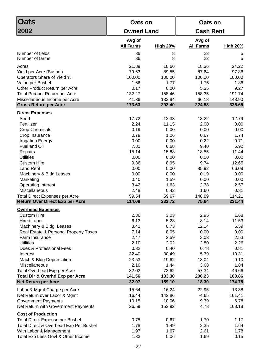| <b>Oats</b>                                                                     | Oats on           |                 | Oats on          |                  |  |
|---------------------------------------------------------------------------------|-------------------|-----------------|------------------|------------------|--|
| 2002                                                                            | <b>Owned Land</b> |                 | <b>Cash Rent</b> |                  |  |
|                                                                                 | Avg of            |                 | Avg of           |                  |  |
|                                                                                 | <b>All Farms</b>  | <b>High 20%</b> | <b>All Farms</b> | <b>High 20%</b>  |  |
| Number of fields                                                                | 36<br>36          | 8               | 23<br>22         | 5<br>5           |  |
| Number of farms                                                                 |                   | 8               |                  |                  |  |
| Acres                                                                           | 21.89<br>79.63    | 18.66           | 18.36<br>87.64   | 24.22<br>97.86   |  |
| Yield per Acre (Bushel)<br>Operators Share of Yield %                           | 100.00            | 89.55<br>100.00 | 100.00           | 100.00           |  |
| Value per Bushel                                                                | 1.66              | 1.77            | 1.75             | 1.86             |  |
| Other Product Return per Acre                                                   | 0.17              | 0.00            | 5.35             | 9.27             |  |
| <b>Total Product Return per Acre</b>                                            | 132.27            | 158.46          | 158.35           | 191.74           |  |
| Miscellaneous Income per Acre                                                   | 41.36             | 133.94          | 66.18            | 143.90           |  |
| <b>Gross Return per Acre</b>                                                    | 173.63            | 292.40          | 224.53           | 335.65           |  |
| <b>Direct Expenses</b>                                                          |                   |                 |                  |                  |  |
| Seed                                                                            | 17.72             | 12.33           | 18.22            | 12.79            |  |
| Fertilizer                                                                      | 2.24              | 11.15           | 2.00             | 0.00             |  |
| <b>Crop Chemicals</b>                                                           | 0.19              | 0.00            | 0.00             | 0.00             |  |
| Crop Insurance                                                                  | 0.79              | 1.06            | 0.67             | 1.74             |  |
| <b>Irrigation Energy</b><br>Fuel and Oil                                        | 0.00<br>7.81      | 0.00<br>6.68    | 0.22<br>9.40     | 0.71<br>5.92     |  |
| Repairs                                                                         | 15.14             | 15.88           | 18.55            | 11.44            |  |
| <b>Utilities</b>                                                                | 0.00              | 0.00            | 0.00             | 0.00             |  |
| <b>Custom Hire</b>                                                              | 9.36              | 8.95            | 9.74             | 12.65            |  |
| <b>Land Rent</b>                                                                | 0.00              | 0.00            | 85.92            | 66.09            |  |
| Machinery & Bldg Leases                                                         | 0.00              | 0.00            | 0.19             | 0.00             |  |
| Marketing                                                                       | 0.40              | 1.59            | 0.00             | 0.00             |  |
| <b>Operating Interest</b>                                                       | 3.42              | 1.63            | 2.38             | 2.57             |  |
| Miscellaneous                                                                   | 2.48              | 0.42            | 1.60             | 0.31             |  |
| <b>Total Direct Expenses per Acre</b><br><b>Return Over Direct Exp per Acre</b> | 59.54<br>114.09   | 59.67<br>232.72 | 148.89<br>75.64  | 114.21<br>221.44 |  |
|                                                                                 |                   |                 |                  |                  |  |
| <b>Overhead Expenses</b><br><b>Custom Hire</b>                                  | 2.36              | 3.03            | 2.95             | 1.68             |  |
| <b>Hired Labor</b>                                                              | 6.13              | 5.23            | 8.14             | 11.53            |  |
| Machinery & Bldg. Leases                                                        | 3.41              | 0.73            | 12.14            | 6.59             |  |
| Real Estate & Personal Property Taxes                                           | 7.14              | 8.05            | 0.00             | 0.00             |  |
| Farm Insurance                                                                  | 2.47              | 2.59            | 3.03             | 2.53             |  |
| <b>Utilities</b>                                                                | 2.10              | 2.02            | 2.80             | 2.26             |  |
| Dues & Professional Fees                                                        | 0.32              | 0.40            | 0.78             | 0.81             |  |
| Interest                                                                        | 32.40             | 30.49           | 5.79             | 10.31            |  |
| Mach & Bldg Depreciation                                                        | 23.53             | 19.62           | 18.04            | 9.10             |  |
| Miscellaneous<br>Total Overhead Exp per Acre                                    | 2.16<br>82.02     | 1.44<br>73.62   | 3.68<br>57.34    | 1.84<br>46.66    |  |
| <b>Total Dir &amp; Overhd Exp per Acre</b>                                      | 141.56            | 133.30          | 206.23           | 160.86           |  |
| <b>Net Return per Acre</b>                                                      | 32.07             | 159.10          | 18.30            | 174.78           |  |
|                                                                                 | 15.64             | 16.24           |                  | 13.38            |  |
| Labor & Mgmt Charge per Acre<br>Net Return over Labor & Mgmt                    | 16.44             | 142.86          | 22.95<br>$-4.65$ | 161.41           |  |
| <b>Government Payments</b>                                                      | 10.15             | 10.06           | 9.39             | 6.78             |  |
| Net Return with Government Payments                                             | 26.59             | 152.92          | 4.73             | 168.18           |  |
| <b>Cost of Production</b>                                                       |                   |                 |                  |                  |  |
| <b>Total Direct Expense per Bushel</b>                                          | 0.75              | 0.67            | 1.70             | 1.17             |  |
| Total Direct & Overhead Exp Per Bushel                                          | 1.78              | 1.49            | 2.35             | 1.64             |  |
| With Labor & Management                                                         | 1.97              | 1.67            | 2.61             | 1.78             |  |
| Total Exp Less Govt & Other Income                                              | 1.33              | 0.06            | 1.69             | 0.15             |  |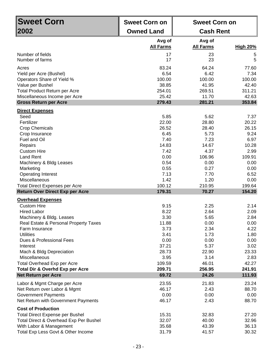| <b>Sweet Corn</b>                                                                | <b>Sweet Corn on</b>       | <b>Sweet Corn on</b>       |                 |
|----------------------------------------------------------------------------------|----------------------------|----------------------------|-----------------|
| 2002                                                                             | <b>Owned Land</b>          | <b>Cash Rent</b>           |                 |
|                                                                                  | Avg of<br><b>All Farms</b> | Avg of<br><b>All Farms</b> | <b>High 20%</b> |
|                                                                                  |                            |                            |                 |
| Number of fields<br>Number of farms                                              | 17<br>17                   | 23<br>23                   | 5<br>5          |
|                                                                                  |                            |                            |                 |
| Acres                                                                            | 83.24                      | 64.24                      | 77.60           |
| Yield per Acre (Bushel)<br>Operators Share of Yield %                            | 6.54<br>100.00             | 6.42<br>100.00             | 7.34<br>100.00  |
| Value per Bushel                                                                 | 38.85                      | 41.95                      | 42.40           |
| <b>Total Product Return per Acre</b>                                             | 254.01                     | 269.51                     | 311.21          |
| Miscellaneous Income per Acre                                                    | 25.42                      | 11.70                      | 42.63           |
| <b>Gross Return per Acre</b>                                                     | 279.43                     | 281.21                     | 353.84          |
|                                                                                  |                            |                            |                 |
| <b>Direct Expenses</b>                                                           |                            |                            |                 |
| Seed                                                                             | 5.85                       | 5.62                       | 7.37            |
| Fertilizer                                                                       | 22.00                      | 28.80                      | 20.22           |
| <b>Crop Chemicals</b>                                                            | 26.52                      | 28.40                      | 26.15           |
| Crop Insurance                                                                   | 6.45                       | 5.73                       | 9.24            |
| Fuel and Oil                                                                     | 7.40                       | 7.23                       | 6.97            |
| Repairs                                                                          | 14.83                      | 14.67                      | 10.28           |
| <b>Custom Hire</b>                                                               | 7.42<br>0.00               | 4.37<br>106.96             | 2.99            |
| <b>Land Rent</b>                                                                 | 0.54                       | 0.00                       | 109.91<br>0.00  |
| Machinery & Bldg Leases<br>Marketing                                             | 0.55                       | 0.27                       | 0.00            |
| <b>Operating Interest</b>                                                        | 7.13                       | 7.70                       | 6.52            |
| Miscellaneous                                                                    | 1.42                       | 1.20                       | 0.00            |
| <b>Total Direct Expenses per Acre</b>                                            | 100.12                     | 210.95                     | 199.64          |
| <b>Return Over Direct Exp per Acre</b>                                           | 179.31                     | 70.27                      | 154.20          |
|                                                                                  |                            |                            |                 |
| <b>Overhead Expenses</b><br><b>Custom Hire</b>                                   | 9.15                       | 2.25                       | 2.14            |
| <b>Hired Labor</b>                                                               | 8.22                       | 2.64                       | 2.09            |
| Machinery & Bldg. Leases                                                         | 3.30                       | 5.65                       | 2.84            |
| Real Estate & Personal Property Taxes                                            | 11.88                      | 0.00                       | 0.00            |
| Farm Insurance                                                                   | 3.73                       | 2.34                       | 4.22            |
| <b>Utilities</b>                                                                 | 3.41                       | 1.73                       | 1.80            |
| Dues & Professional Fees                                                         | 0.00                       | 0.00                       | 0.00            |
| Interest                                                                         | 37.21                      | 5.37                       | 3.02            |
| Mach & Bldg Depreciation                                                         | 28.73                      | 22.90                      | 23.33           |
| <b>Miscellaneous</b>                                                             | 3.95                       | 3.14                       | 2.83            |
| <b>Total Overhead Exp per Acre</b>                                               | 109.59                     | 46.01                      | 42.27           |
| <b>Total Dir &amp; Overhd Exp per Acre</b>                                       | 209.71                     | 256.95                     | 241.91          |
| <b>Net Return per Acre</b>                                                       | 69.72                      | 24.26                      | 111.93          |
| Labor & Mgmt Charge per Acre                                                     | 23.55                      | 21.83                      | 23.24           |
| Net Return over Labor & Mgmt                                                     | 46.17                      | 2.43                       | 88.70           |
| <b>Government Payments</b>                                                       | 0.00                       | 0.00                       | 0.00            |
| Net Return with Government Payments                                              | 46.17                      | 2.43                       | 88.70           |
| <b>Cost of Production</b>                                                        |                            |                            |                 |
|                                                                                  | 15.31                      | 32.83                      | 27.20           |
| <b>Total Direct Expense per Bushel</b><br>Total Direct & Overhead Exp Per Bushel | 32.07                      | 40.00                      | 32.96           |
| With Labor & Management                                                          | 35.68                      | 43.39                      | 36.13           |
| Total Exp Less Govt & Other Income                                               | 31.79                      | 41.57                      | 30.32           |
|                                                                                  |                            |                            |                 |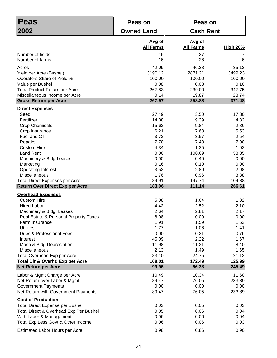| <b>Peas</b>                                                                                                                                                                    | Peas on                      | Peas on                      |                              |
|--------------------------------------------------------------------------------------------------------------------------------------------------------------------------------|------------------------------|------------------------------|------------------------------|
| 2002                                                                                                                                                                           | <b>Owned Land</b>            | <b>Cash Rent</b>             |                              |
|                                                                                                                                                                                | Avg of<br><b>All Farms</b>   | Avg of<br><b>All Farms</b>   | <b>High 20%</b>              |
| Number of fields                                                                                                                                                               | 16                           | 27                           | 7                            |
| Number of farms                                                                                                                                                                | 16                           | 26                           | 6                            |
| Acres                                                                                                                                                                          | 42.09                        | 46.38                        | 35.13                        |
| Yield per Acre (Bushel)                                                                                                                                                        | 3190.12                      | 2871.21                      | 3499.23                      |
| Operators Share of Yield %                                                                                                                                                     | 100.00                       | 100.00                       | 100.00                       |
| Value per Bushel                                                                                                                                                               | 0.08                         | 0.08                         | 0.10                         |
| Total Product Return per Acre                                                                                                                                                  | 267.83                       | 239.00                       | 347.75                       |
| Miscellaneous Income per Acre                                                                                                                                                  | 0.14                         | 19.87                        | 23.74                        |
| <b>Gross Return per Acre</b>                                                                                                                                                   | 267.97                       | 258.88                       | 371.48                       |
| <b>Direct Expenses</b>                                                                                                                                                         |                              |                              |                              |
| Seed                                                                                                                                                                           | 27.49                        | 3.50                         | 17.80                        |
| Fertilizer                                                                                                                                                                     | 14.38                        | 9.39                         | 4.32                         |
| <b>Crop Chemicals</b>                                                                                                                                                          | 15.62                        | 9.84                         | 2.86                         |
| Crop Insurance                                                                                                                                                                 | 6.21                         | 7.68                         | 5.53                         |
| Fuel and Oil                                                                                                                                                                   | 3.72                         | 3.57                         | 2.54                         |
| Repairs                                                                                                                                                                        | 7.70                         | 7.48                         | 7.00                         |
| <b>Custom Hire</b>                                                                                                                                                             | 4.34                         | 1.35                         | 1.02                         |
| <b>Land Rent</b>                                                                                                                                                               | 0.00                         | 100.69                       | 58.35                        |
| Machinery & Bldg Leases                                                                                                                                                        | 0.00                         | 0.40                         | 0.00                         |
| Marketing                                                                                                                                                                      | 0.16                         | 0.10                         | 0.00                         |
| <b>Operating Interest</b>                                                                                                                                                      | 3.52                         | 2.80                         | 2.08                         |
| Miscellaneous                                                                                                                                                                  | 1.76                         | 0.96                         | 3.38                         |
| <b>Total Direct Expenses per Acre</b>                                                                                                                                          | 84.91                        | 147.74                       | 104.88                       |
| <b>Return Over Direct Exp per Acre</b>                                                                                                                                         | 183.06                       | 111.14                       | 266.61                       |
| <b>Overhead Expenses</b><br><b>Custom Hire</b><br><b>Hired Labor</b><br>Machinery & Bldg. Leases                                                                               | 5.08<br>4.42<br>2.64         | 1.64<br>2.52<br>2.81         | 1.32<br>2.10<br>2.17         |
| Real Estate & Personal Property Taxes                                                                                                                                          | 8.08                         | 0.00                         | 0.00                         |
| Farm Insurance                                                                                                                                                                 | 1.91                         | 1.59                         | 1.63                         |
| <b>Utilities</b>                                                                                                                                                               | 1.77                         | 1.06                         | 1.41                         |
| Dues & Professional Fees                                                                                                                                                       | 0.00                         | 0.21                         | 0.76                         |
| Interest                                                                                                                                                                       | 45.09                        | 2.22                         | 1.67                         |
| Mach & Bldg Depreciation                                                                                                                                                       | 11.98                        | 11.21                        | 8.40                         |
| Miscellaneous                                                                                                                                                                  | 2.13                         | 1.49                         | 1.65                         |
| Total Overhead Exp per Acre                                                                                                                                                    | 83.10                        | 24.75                        | 21.12                        |
| <b>Total Dir &amp; Overhd Exp per Acre</b>                                                                                                                                     | 168.01                       | 172.49                       | 125.99                       |
| <b>Net Return per Acre</b>                                                                                                                                                     | 99.96                        | 86.38                        | 245.49                       |
| Labor & Mgmt Charge per Acre                                                                                                                                                   | 10.49                        | 10.34                        | 11.60                        |
| Net Return over Labor & Mgmt                                                                                                                                                   | 89.47                        | 76.05                        | 233.89                       |
| <b>Government Payments</b>                                                                                                                                                     | 0.00                         | 0.00                         | 0.00                         |
| Net Return with Government Payments                                                                                                                                            | 89.47                        | 76.05                        | 233.89                       |
| <b>Cost of Production</b><br><b>Total Direct Expense per Bushel</b><br>Total Direct & Overhead Exp Per Bushel<br>With Labor & Management<br>Total Exp Less Govt & Other Income | 0.03<br>0.05<br>0.06<br>0.06 | 0.05<br>0.06<br>0.06<br>0.06 | 0.03<br>0.04<br>0.04<br>0.03 |
| <b>Estimated Labor Hours per Acre</b>                                                                                                                                          | 0.98                         | 0.86                         | 0.90                         |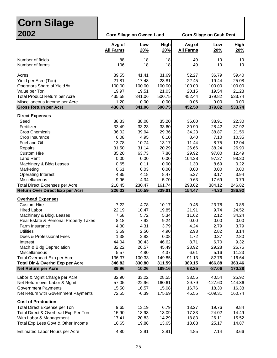| ∥Corn Silage                                                                                                                                                                                                                                                                                                                     |                                                                                                                        |                                                                                                                        |                                                                                                                       |                                                                                                                          |                                                                                                                          |                                                                                                                          |
|----------------------------------------------------------------------------------------------------------------------------------------------------------------------------------------------------------------------------------------------------------------------------------------------------------------------------------|------------------------------------------------------------------------------------------------------------------------|------------------------------------------------------------------------------------------------------------------------|-----------------------------------------------------------------------------------------------------------------------|--------------------------------------------------------------------------------------------------------------------------|--------------------------------------------------------------------------------------------------------------------------|--------------------------------------------------------------------------------------------------------------------------|
| 2002                                                                                                                                                                                                                                                                                                                             | <b>Corn Silage on Owned Land</b>                                                                                       |                                                                                                                        |                                                                                                                       |                                                                                                                          | <b>Corn Silage on Cash Rent</b>                                                                                          |                                                                                                                          |
|                                                                                                                                                                                                                                                                                                                                  | Avg of<br><b>All Farms</b>                                                                                             | Low<br>20%                                                                                                             | <b>High</b><br>20%                                                                                                    | Avg of<br><b>All Farms</b>                                                                                               | Low<br>20%                                                                                                               | <b>High</b><br>20%                                                                                                       |
| Number of fields<br>Number of farms                                                                                                                                                                                                                                                                                              | 88<br>106                                                                                                              | 18<br>18                                                                                                               | 18<br>18                                                                                                              | 49<br>49                                                                                                                 | 10<br>10                                                                                                                 | 10<br>10                                                                                                                 |
| Acres<br>Yield per Acre (Ton)<br>Operators Share of Yield %<br>Value per Ton<br><b>Total Product Return per Acre</b><br>Miscellaneous Income per Acre<br><b>Gross Return per Acre</b>                                                                                                                                            | 39.55<br>21.81<br>100.00<br>19.97<br>435.58<br>1.20<br>436.78                                                          | 41.41<br>17.48<br>100.00<br>19.51<br>341.06<br>0.00<br>341.06                                                          | 31.69<br>23.81<br>100.00<br>21.03<br>500.75<br>0.00<br>500.75                                                         | 52.27<br>22.45<br>100.00<br>20.15<br>452.44<br>0.06<br>452.50                                                            | 36.79<br>19.44<br>100.00<br>19.54<br>379.82<br>0.00<br>379.82                                                            | 59.40<br>25.08<br>100.00<br>21.28<br>533.74<br>0.00<br>533.74                                                            |
| <b>Direct Expenses</b>                                                                                                                                                                                                                                                                                                           |                                                                                                                        |                                                                                                                        |                                                                                                                       |                                                                                                                          |                                                                                                                          |                                                                                                                          |
| Seed<br>Fertilizer<br><b>Crop Chemicals</b><br>Crop Insurance<br>Fuel and Oil<br>Repairs<br><b>Custom Hire</b><br><b>Land Rent</b><br>Machinery & Bldg Leases<br>Marketing<br><b>Operating Interest</b><br>Miscellaneous<br><b>Total Direct Expenses per Acre</b><br>Return Over Direct Exp per Acre<br><b>Overhead Expenses</b> | 38.33<br>33.49<br>36.02<br>6.08<br>13.78<br>31.50<br>35.20<br>0.00<br>0.65<br>0.61<br>4.85<br>9.96<br>210.45<br>226.33 | 38.08<br>33.23<br>39.94<br>4.95<br>10.74<br>31.14<br>63.73<br>0.00<br>0.11<br>0.03<br>4.18<br>4.34<br>230.47<br>110.59 | 35.20<br>33.60<br>29.36<br>8.10<br>13.17<br>20.29<br>7.86<br>0.00<br>0.00<br>0.00<br>8.47<br>5.70<br>161.74<br>339.01 | 36.00<br>30.90<br>34.23<br>8.40<br>11.44<br>26.66<br>29.92<br>104.28<br>1.30<br>0.00<br>5.27<br>9.63<br>298.02<br>154.47 | 38.91<br>28.42<br>38.87<br>7.10<br>8.75<br>38.24<br>97.00<br>97.27<br>8.69<br>0.00<br>3.17<br>17.69<br>384.12<br>$-4.30$ | 22.30<br>37.92<br>21.56<br>10.35<br>12.04<br>26.90<br>12.49<br>98.30<br>0.22<br>0.00<br>3.94<br>0.79<br>246.82<br>286.92 |
| <b>Custom Hire</b><br><b>Hired Labor</b>                                                                                                                                                                                                                                                                                         | 7.22<br>22.19                                                                                                          | 4.78<br>10.47                                                                                                          | 10.17<br>19.85                                                                                                        | 9.46<br>21.91                                                                                                            | 23.78<br>9.74                                                                                                            | 0.85<br>24.52                                                                                                            |
| Machinery & Bldg. Leases<br>Real Estate & Personal Property Taxes<br>Farm Insurance<br><b>Utilities</b><br>Dues & Professional Fees<br>Interest<br>Mach & Bldg Depreciation                                                                                                                                                      | 7.58<br>8.18<br>4.30<br>3.69<br>1.38<br>44.04<br>32.22                                                                 | 5.72<br>7.92<br>4.31<br>2.50<br>2.83<br>30.43<br>26.57                                                                 | 5.34<br>9.24<br>3.79<br>4.90<br>0.08<br>46.62<br>45.49                                                                | 11.62<br>0.00<br>4.24<br>2.93<br>1.72<br>8.71<br>23.92                                                                   | 2.12<br>0.00<br>2.79<br>2.82<br>0.37<br>6.70<br>29.28                                                                    | 34.24<br>0.00<br>3.79<br>3.14<br>2.80<br>9.32<br>26.76                                                                   |
| Miscellaneous                                                                                                                                                                                                                                                                                                                    | 5.57                                                                                                                   | 4.80                                                                                                                   | 4.37                                                                                                                  | 6.61                                                                                                                     | 5.16                                                                                                                     | 11.23                                                                                                                    |
| Total Overhead Exp per Acre<br>Total Dir & Overhd Exp per Acre                                                                                                                                                                                                                                                                   | 136.37<br>346.82                                                                                                       | 100.33<br>330.80                                                                                                       | 149.85<br>311.59                                                                                                      | 91.13<br>389.15                                                                                                          | 82.76<br>466.88                                                                                                          | 116.64<br>363.46                                                                                                         |
| <b>Net Return per Acre</b>                                                                                                                                                                                                                                                                                                       | 89.96                                                                                                                  | 10.26                                                                                                                  | 189.16                                                                                                                | 63.35                                                                                                                    | $-87.06$                                                                                                                 | 170.28                                                                                                                   |
| Labor & Mgmt Charge per Acre<br>Net Return over Labor & Mgmt<br><b>Government Payments</b><br>Net Return with Government Payments                                                                                                                                                                                                | 32.90<br>57.05<br>15.50<br>72.55                                                                                       | 33.22<br>$-22.96$<br>16.57<br>$-6.39$                                                                                  | 28.55<br>160.61<br>15.08<br>175.69                                                                                    | 33.55<br>29.79<br>16.76<br>46.55                                                                                         | 40.54<br>$-127.60$<br>18.30<br>$-109.31$                                                                                 | 25.92<br>144.36<br>16.38<br>160.74                                                                                       |
| <b>Cost of Production</b><br>Total Direct Expense per Ton<br>Total Direct & Overhead Exp Per Ton<br>With Labor & Management<br>Total Exp Less Govt & Other Income                                                                                                                                                                | 9.65<br>15.90<br>17.41<br>16.65                                                                                        | 13.19<br>18.93<br>20.83<br>19.88                                                                                       | 6.79<br>13.09<br>14.29<br>13.65                                                                                       | 13.27<br>17.33<br>18.83<br>18.08                                                                                         | 19.76<br>24.02<br>26.11<br>25.17                                                                                         | 9.84<br>14.49<br>15.52<br>14.87                                                                                          |
| Estimated Labor Hours per Acre                                                                                                                                                                                                                                                                                                   | 4.80                                                                                                                   | 2.91                                                                                                                   | 3.81                                                                                                                  | 4.85                                                                                                                     | 7.14                                                                                                                     | 3.66                                                                                                                     |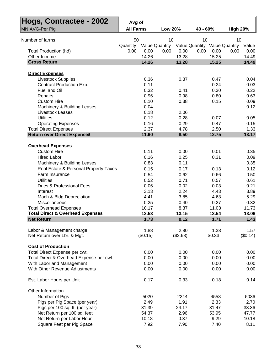| Hogs, Contractee - 2002                                          | Avg of           |               |                       |               |                               |                       |
|------------------------------------------------------------------|------------------|---------------|-----------------------|---------------|-------------------------------|-----------------------|
| MN AVG-Per Pig                                                   | <b>All Farms</b> |               | <b>Low 20%</b>        |               | 40 - 60%                      | <b>High 20%</b>       |
|                                                                  |                  |               |                       |               |                               |                       |
| Number of farms                                                  | 50               |               | 10                    |               | 10                            | 10                    |
|                                                                  | Quantity         |               | <b>Value Quantity</b> |               | Value Quantity Value Quantity | Value                 |
| Total Production (hd)<br>Other Income                            | 0.00             | 0.00<br>14.26 | 0.00                  | 0.00<br>13.28 | 0.00<br>0.00<br>15.25         | 0.00<br>0.00<br>14.49 |
| <b>Gross Return</b>                                              |                  | 14.26         |                       | 13.28         | 15.25                         | 14.49                 |
|                                                                  |                  |               |                       |               |                               |                       |
| <b>Direct Expenses</b>                                           |                  |               |                       |               |                               |                       |
| <b>Livestock Supplies</b>                                        |                  | 0.36          |                       | 0.37          | 0.47                          | 0.04                  |
| Contract Production Exp.                                         |                  | 0.11          |                       |               | 0.24                          | 0.03                  |
| Fuel and Oil                                                     |                  | 0.32          |                       | 0.41          | 0.30                          | 0.22                  |
| Repairs                                                          |                  | 0.96          |                       | 0.98          | 0.80                          | 0.63                  |
| <b>Custom Hire</b>                                               |                  | 0.10          |                       | 0.38          | 0.15                          | 0.09                  |
| Machinery & Building Leases                                      |                  | 0.04          |                       |               |                               | 0.12                  |
| Livestock Leases                                                 |                  | 0.18          |                       | 2.06          |                               |                       |
| <b>Utilities</b>                                                 |                  | 0.12          |                       | 0.28          | 0.07                          | 0.05                  |
| <b>Operating Expenses</b><br><b>Total Direct Expenses</b>        |                  | 0.16<br>2.37  |                       | 0.29<br>4.78  | 0.47<br>2.50                  | 0.15<br>1.33          |
| <b>Return over Direct Expenses</b>                               |                  | 11.90         |                       | 8.50          | 12.75                         | 13.17                 |
|                                                                  |                  |               |                       |               |                               |                       |
| <b>Overhead Expenses</b>                                         |                  |               |                       |               |                               |                       |
| <b>Custom Hire</b>                                               |                  | 0.11          |                       | 0.00          | 0.01                          | 0.35                  |
| <b>Hired Labor</b>                                               |                  | 0.16          |                       | 0.25          | 0.31                          | 0.09                  |
| Machinery & Building Leases                                      |                  | 0.83          |                       | 0.11          |                               | 0.35                  |
| Real Estate & Personal Property Taxes                            |                  | 0.15          |                       | 0.17          | 0.13                          | 0.12                  |
| Farm Insurance                                                   |                  | 0.54          |                       | 0.62          | 0.66                          | 0.50                  |
| <b>Utilities</b>                                                 |                  | 0.52          |                       | 0.71          | 0.57                          | 0.61                  |
| Dues & Professional Fees                                         |                  | 0.06          |                       | 0.02          | 0.03                          | 0.21                  |
| Interest                                                         |                  | 3.13          |                       | 2.24          | 4.43                          | 3.89                  |
| Mach & Bldg Depreciation                                         |                  | 4.41          |                       | 3.85          | 4.63                          | 5.29                  |
| Miscellaneous                                                    |                  | 0.25          |                       | 0.40          | 0.27                          | 0.32                  |
| <b>Total Overhead Expenses</b>                                   |                  | 10.17         |                       | 8.37          | 11.03                         | 11.73                 |
| <b>Total Direct &amp; Overhead Expenses</b><br><b>Net Return</b> |                  | 12.53         |                       | 13.15         | 13.54                         | 13.06<br>1.43         |
|                                                                  |                  | 1.73          |                       | 0.12          | 1.71                          |                       |
| Labor & Management charge                                        |                  | 1.88          |                       | 2.80          | 1.38                          | 1.57                  |
| Net Return over Lbr. & Mgt.                                      |                  | (\$0.15)      |                       | (\$2.68)      | \$0.33                        | (\$0.14)              |
| <b>Cost of Production</b>                                        |                  |               |                       |               |                               |                       |
| Total Direct Expense per cwt.                                    |                  | 0.00          |                       | 0.00          | 0.00                          | 0.00                  |
| Total Direct & Overhead Expense per cwt.                         |                  | 0.00          |                       | 0.00          | 0.00                          | 0.00                  |
| With Labor and Management                                        |                  | 0.00          |                       | 0.00          | 0.00                          | 0.00                  |
| With Other Revenue Adjustments                                   |                  | 0.00          |                       | 0.00          | 0.00                          | 0.00                  |
| Est. Labor Hours per Unit                                        |                  | 0.17          |                       | 0.33          | 0.18                          | 0.14                  |
| Other Information                                                |                  |               |                       |               |                               |                       |
| Number of Pigs                                                   |                  | 5020          |                       | 2244          | 4558                          | 5036                  |
| Pigs per Pig Space (per year)                                    |                  | 2.49          |                       | 1.91          | 2.33                          | 2.70                  |
| Pigs per 100 sq. ft. (per year)                                  |                  | 31.39         |                       | 24.17         | 31.47                         | 33.36                 |
| Net Return per 100 sq. feet                                      |                  | 54.37         |                       | 2.96          | 53.95                         | 47.77                 |
| Net Return per Labor Hour                                        |                  | 10.18         |                       | 0.37          | 9.29                          | 10.18                 |
| Square Feet per Pig Space                                        |                  | 7.92          |                       | 7.90          | 7.40                          | 8.11                  |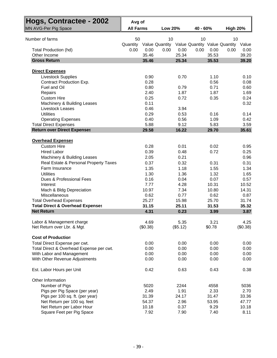| Hogs, Contractee - 2002                     |                  |          |                |          |          |        |                               |          |
|---------------------------------------------|------------------|----------|----------------|----------|----------|--------|-------------------------------|----------|
|                                             | Avg of           |          |                |          |          |        |                               |          |
| MN AVG-Per Pig Space                        | <b>All Farms</b> |          | <b>Low 20%</b> |          | 40 - 60% |        | <b>High 20%</b>               |          |
| Number of farms                             | 50               |          | 10             |          | 10       |        | 10                            |          |
|                                             | Quantity         |          | Value Quantity |          |          |        | Value Quantity Value Quantity | Value    |
| <b>Total Production (hd)</b>                | 0.00             | 0.00     | 0.00           | 0.00     | 0.00     | 0.00   | 0.00                          | 0.00     |
| Other Income                                |                  | 35.46    |                | 25.34    |          | 35.53  |                               | 39.20    |
| <b>Gross Return</b>                         |                  | 35.46    |                | 25.34    |          | 35.53  |                               | 39.20    |
| <b>Direct Expenses</b>                      |                  |          |                |          |          |        |                               |          |
| <b>Livestock Supplies</b>                   |                  | 0.90     |                | 0.70     |          | 1.10   |                               | 0.10     |
| Contract Production Exp.                    |                  | 0.28     |                |          |          | 0.56   |                               | 0.08     |
| Fuel and Oil                                |                  | 0.80     |                | 0.79     |          | 0.71   |                               | 0.60     |
| Repairs                                     |                  | 2.40     |                | 1.87     |          | 1.87   |                               | 1.69     |
| <b>Custom Hire</b>                          |                  | 0.25     |                | 0.72     |          | 0.35   |                               | 0.24     |
| Machinery & Building Leases                 |                  | 0.11     |                |          |          |        |                               | 0.32     |
| <b>Livestock Leases</b>                     |                  | 0.46     |                | 3.94     |          |        |                               |          |
| <b>Utilities</b>                            |                  | 0.29     |                | 0.53     |          | 0.16   |                               | 0.14     |
| <b>Operating Expenses</b>                   |                  | 0.40     |                | 0.56     |          | 1.09   |                               | 0.42     |
| <b>Total Direct Expenses</b>                |                  | 5.88     |                | 9.12     |          | 5.83   |                               | 3.59     |
| <b>Return over Direct Expenses</b>          |                  | 29.58    |                | 16.22    |          | 29.70  |                               | 35.61    |
| <b>Overhead Expenses</b>                    |                  |          |                |          |          |        |                               |          |
| <b>Custom Hire</b>                          |                  | 0.28     |                | 0.01     |          | 0.02   |                               | 0.95     |
| <b>Hired Labor</b>                          |                  | 0.39     |                | 0.48     |          | 0.72   |                               | 0.25     |
| Machinery & Building Leases                 |                  | 2.05     |                | 0.21     |          |        |                               | 0.96     |
| Real Estate & Personal Property Taxes       |                  | 0.37     |                | 0.32     |          | 0.31   |                               | 0.31     |
| Farm Insurance                              |                  | 1.35     |                | 1.18     |          | 1.55   |                               | 1.34     |
| <b>Utilities</b>                            |                  | 1.30     |                | 1.36     |          | 1.32   |                               | 1.65     |
| Dues & Professional Fees                    |                  | 0.16     |                | 0.04     |          | 0.07   |                               | 0.57     |
| Interest                                    |                  | 7.77     |                | 4.28     |          | 10.31  |                               | 10.52    |
| Mach & Bldg Depreciation                    |                  | 10.97    |                | 7.34     |          | 10.80  |                               | 14.31    |
| Miscellaneous                               |                  | 0.62     |                | 0.77     |          | 0.62   |                               | 0.87     |
| <b>Total Overhead Expenses</b>              |                  | 25.27    |                | 15.98    |          | 25.70  |                               | 31.74    |
| <b>Total Direct &amp; Overhead Expenses</b> |                  | 31.15    |                | 25.11    |          | 31.53  |                               | 35.32    |
| <b>Net Return</b>                           |                  | 4.31     |                | 0.23     |          | 3.99   |                               | 3.87     |
| Labor & Management charge                   |                  | 4.69     |                | 5.35     |          | 3.21   |                               | 4.25     |
| Net Return over Lbr. & Mgt.                 |                  | (\$0.38) |                | (\$5.12) |          | \$0.78 |                               | (\$0.38) |
| <b>Cost of Production</b>                   |                  |          |                |          |          |        |                               |          |
| Total Direct Expense per cwt.               |                  | 0.00     |                | 0.00     |          | 0.00   |                               | 0.00     |
| Total Direct & Overhead Expense per cwt.    |                  | 0.00     |                | 0.00     |          | 0.00   |                               | 0.00     |
| With Labor and Management                   |                  | 0.00     |                | 0.00     |          | 0.00   |                               | 0.00     |
| With Other Revenue Adjustments              |                  | 0.00     |                | 0.00     |          | 0.00   |                               | 0.00     |
| Est. Labor Hours per Unit                   |                  | 0.42     |                | 0.63     |          | 0.43   |                               | 0.38     |
|                                             |                  |          |                |          |          |        |                               |          |
| Other Information<br>Number of Pigs         |                  | 5020     |                | 2244     |          | 4558   |                               | 5036     |
| Pigs per Pig Space (per year)               |                  | 2.49     |                | 1.91     |          | 2.33   |                               | 2.70     |
| Pigs per 100 sq. ft. (per year)             |                  | 31.39    |                | 24.17    |          | 31.47  |                               | 33.36    |
| Net Return per 100 sq. feet                 |                  | 54.37    |                | 2.96     |          | 53.95  |                               | 47.77    |
| Net Return per Labor Hour                   |                  | 10.18    |                | 0.37     |          | 9.29   |                               | 10.18    |
| Square Feet per Pig Space                   |                  | 7.92     |                | 7.90     |          | 7.40   |                               | 8.11     |
|                                             |                  |          |                |          |          |        |                               |          |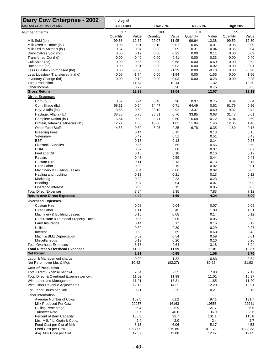| <b>Dairy Cow Enterprise - 2002</b>                                        | Avg of            |                |                   |                |                   |                |                   |                |
|---------------------------------------------------------------------------|-------------------|----------------|-------------------|----------------|-------------------|----------------|-------------------|----------------|
| MN AVG-Per CWT of Milk                                                    | <b>All Farms</b>  |                | <b>Low 20%</b>    |                | 40 - 60%          |                | <b>High 20%</b>   |                |
| Number of farms                                                           | 507               |                | 103               |                | 101               |                | 99                |                |
| Milk Sold (lb.)                                                           | Quantity<br>99.58 | Value<br>12.52 | Quantity<br>99.07 | Value<br>11.95 | Quantity<br>99.64 | Value<br>12.38 | Quantity<br>99.59 | Value<br>12.80 |
| Milk Used in Home (lb.)                                                   | 0.05              | 0.01           | 0.10              | 0.01           | 0.05              | 0.01           | 0.05              | 0.00           |
| Milk Fed to Animals (lb.)                                                 | 0.37              | 0.04           | 0.83              | 0.09           | 0.31              | 0.04           | 0.36              | 0.04           |
| Dairy Calves Sold (hd)                                                    | 0.00              | 0.12           | 0.00              | 0.22           | 0.00              | 0.11           | 0.00              | 0.09           |
| Transferred Out (hd)                                                      | 0.00              | 0.40           | 0.00              | 0.41           | 0.00              | 0.33           | 0.00              | 0.40           |
| Cull Sales (hd)<br>Butchered (hd)                                         | 0.00<br>0.00      | 0.56<br>0.01   | 0.00<br>0.00      | 0.68<br>0.03   | 0.00<br>0.00      | 0.60<br>0.02   | 0.00<br>0.00      | 0.52<br>0.01   |
| Less Livestock Purchased (hd)                                             | 0.00              | $-0.58$        | 0.00              | $-1.29$        | 0.00              | $-0.73$        | 0.00              | $-0.28$        |
| Less Livestock Transferred In (hd)                                        | 0.00              | $-1.74$        | 0.00              | $-1.94$        | 0.00              | $-1.66$        | 0.00              | $-1.56$        |
| Inventory Change (hd)                                                     | 0.00              | 0.19           | 0.00              | $-0.03$        | 0.00              | 0.23           | 0.00              | 0.28           |
| <b>Total Production</b>                                                   |                   | 11.54          |                   | 10.14          |                   | 11.32          |                   | 12.30          |
| Other Income<br><b>Gross Return</b>                                       |                   | 0.79<br>12.33  |                   | 0.90<br>11.04  |                   | 0.75<br>12.07  |                   | 0.83<br>13.13  |
| <b>Direct Expenses</b>                                                    |                   |                |                   |                |                   |                |                   |                |
| Corn (bu.)                                                                | 0.37              | 0.74           | 0.46              | 0.90           | 0.37              | 0.75           | 0.32              | 0.64           |
| Corn Silage (lb.)                                                         | 68.11             | 0.64           | 74.47             | 0.71           | 64.49             | 0.62           | 61.79             | 0.56           |
| Hay, Alfalfa (lb.)                                                        | 13.66             | 0.60           | 23.19             | 0.92           | 13.37             | 0.60           | 9.32              | 0.42           |
| Haylage, Alfalfa (lb.)                                                    | 33.86             | 0.70           | 35.81             | 0.76           | 33.85             | 0.68           | 31.48             | 0.61           |
| Complete Ration (lb.)                                                     | 5.64              | 0.59           | 8.71              | 0.60           | 6.68              | 0.72           | 6.04              | 0.69           |
| Protein, Vitamins, Minerals (lb.)<br><b>Other Feed Stuffs</b>             | 12.72<br>4.53     | 1.56<br>0.30   | 13.80<br>5.95     | 1.83<br>0.35   | 11.84<br>6.78     | 1.46<br>0.35   | 12.05<br>1.89     | 1.46<br>0.15   |
| <b>Breeding Fees</b>                                                      |                   | 0.14           |                   | 0.15           |                   | 0.13           |                   | 0.15           |
| Veterinary                                                                |                   | 0.47           |                   | 0.51           |                   | 0.51           |                   | 0.43           |
| <b>BST</b>                                                                |                   | 0.18           |                   | 0.13           |                   | 0.14           |                   | 0.23           |
| <b>Livestock Supplies</b>                                                 |                   | 0.56           |                   | 0.65           |                   | 0.56           |                   | 0.50           |
| DHIA                                                                      |                   | 0.07           |                   | 0.08           |                   | 0.07           |                   | 0.07           |
| Fuel and Oil<br>Repairs                                                   |                   | 0.15<br>0.47   |                   | 0.18<br>0.59   |                   | 0.16<br>0.44   |                   | 0.12<br>0.43   |
| <b>Custom Hire</b>                                                        |                   | 0.11           |                   | 0.13           |                   | 0.13           |                   | 0.15           |
| <b>Hired Labor</b>                                                        |                   | 0.02           |                   | 0.15           |                   | 0.02           |                   | 0.01           |
| Machinery & Building Leases                                               |                   | 0.04           |                   | 0.06           |                   | 0.02           |                   | 0.05           |
| Hauling and trucking                                                      |                   | 0.13           |                   | 0.21           |                   | 0.13           |                   | 0.12           |
| Marketing<br>Bedding                                                      |                   | 0.22<br>0.07   |                   | 0.23<br>0.04   |                   | 0.23<br>0.07   |                   | 0.22<br>0.09   |
| <b>Operating Interest</b>                                                 |                   | 0.08           |                   | 0.15           |                   | 0.05           |                   | 0.03           |
| <b>Total Direct Expenses</b>                                              |                   | 7.84           |                   | 9.35           |                   | 7.83           |                   | 7.12           |
| <b>Return over Direct Expenses</b>                                        |                   | 4.49           |                   | 1.69           |                   | 4.24           |                   | 6.00           |
| <b>Overhead Expenses</b>                                                  |                   |                |                   |                |                   |                |                   |                |
| <b>Custom Hire</b>                                                        |                   | 0.08           |                   | 0.04           |                   | 0.07           |                   | 0.09           |
| <b>Hired Labor</b><br>Machinery & Building Leases                         |                   | 1.11<br>0.15   |                   | 0.45<br>0.08   |                   | 1.09<br>0.14   |                   | 1.31<br>0.12   |
| Real Estate & Personal Property Taxes                                     |                   | 0.05           |                   | 0.06           |                   | 0.05           |                   | 0.03           |
| Farm Insurance                                                            |                   | 0.14           |                   | 0.17           |                   | 0.16           |                   | 0.12           |
| <b>Utilities</b>                                                          |                   | 0.30           |                   | 0.39           |                   | 0.29           |                   | 0.27           |
| Interest                                                                  |                   | 0.58           |                   | 0.69           |                   | 0.63           |                   | 0.48           |
| Mach & Bldg Depreciation                                                  |                   | 0.59           |                   | 0.54           |                   | 0.59           |                   | 0.61           |
| Miscellaneous<br><b>Total Overhead Expenses</b>                           |                   | 0.19<br>3.18   |                   | 0.20<br>2.64   |                   | 0.16<br>3.18   |                   | 0.20<br>3.24   |
| <b>Total Direct &amp; Overhead Expenses</b>                               |                   | 11.02          |                   | 11.99          |                   | 11.01          |                   | 10.37          |
| <b>Net Return</b>                                                         |                   | 1.31           |                   | $-0.95$        |                   | 1.06           |                   | 2.76           |
| Labor & Management charge                                                 |                   | 0.90           |                   | 1.32           |                   | 0.83           |                   | 0.84           |
| Net Return over Lbr. & Mgt.                                               |                   | \$0.42         |                   | (\$2.27)       |                   | \$0.22         |                   | \$1.92         |
| <b>Cost of Production</b>                                                 |                   |                |                   |                |                   |                |                   |                |
| Total Direct Expense per cwt.<br>Total Direct & Overhead Expense per cwt. |                   | 7.84<br>11.02  |                   | 9.35<br>11.99  |                   | 7.83<br>11.01  |                   | 7.12<br>10.37  |
| With Labor and Management                                                 |                   | 11.91          |                   | 13.31          |                   | 11.85          |                   | 11.20          |
| With Other Revenue Adjustments                                            |                   | 12.15          |                   | 14.32          |                   | 12.20          |                   | 10.91          |
| Est. Labor Hours per Unit                                                 |                   | 0.21           |                   | 0.25           |                   | 0.21           |                   | 0.19           |
| Other Information                                                         |                   |                |                   |                |                   |                |                   |                |
| Average Number of Cows                                                    |                   | 102.5          |                   | 61.2           |                   | 97.1           |                   | 131.7          |
| Milk Produced Per Cow                                                     |                   | 20037          |                   | 16163          |                   | 19555          |                   | 22941          |
| <b>Culling Percentage</b><br><b>Turnover Rate</b>                         |                   | 26.4<br>35.7   |                   | 25.9<br>40.6   |                   | 27.7<br>36.0   |                   | 26.6<br>33.6   |
| Percent of Barn Capacity                                                  |                   | 106.3          |                   | 92.7           |                   | 101.1          |                   | 115.8          |
| Lbs. Milk / lb. Grain & Conc.                                             |                   | 2.4            |                   | 2.0            |                   | 2.4            |                   | 2.7            |
| Feed Cost per Cwt of Milk                                                 |                   | 5.13           |                   | 6.06           |                   | 5.17           |                   | 4.53           |
| Feed Cost per Cow                                                         |                   | 1027.09        |                   | 979.85         |                   | 1011.72        |                   | 1038.33        |
| Avg. Milk Price per Cwt.                                                  |                   | 12.57          |                   | 12.06          |                   | 12.42          |                   | 12.85          |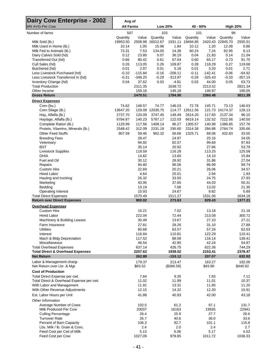| <b>Dairy Cow Enterprise - 2002</b>                                 | Avg of           |                   |                  |                      |                  |                   |                  |                    |
|--------------------------------------------------------------------|------------------|-------------------|------------------|----------------------|------------------|-------------------|------------------|--------------------|
| <b>MN AVG-Per Cow</b>                                              | <b>All Farms</b> |                   | <b>Low 20%</b>   |                      | 40 - 60%         |                   | <b>High 20%</b>  |                    |
| Number of farms                                                    | 507              |                   | 103              |                      | 101              |                   | 99               |                    |
|                                                                    | Quantity         | Value             | Quantity         | Value                | Quantity         | Value             | Quantity         | Value              |
| Milk Sold (lb.)<br>Milk Used in Home (lb.)                         | 19953.50         |                   | 2508.98 16012.67 |                      | 1931.11 19494.85 | 1.20              | 2420.43 22845.70 | 2935.51            |
| Milk Fed to Animals (lb.)                                          | 10.14<br>73.31   | 1.05<br>7.53      | 15.96<br>134.00  | 1.84<br>14.38        | 10.12<br>60.24   | 7.24              | 12.08<br>82.95   | 0.86<br>8.13       |
| Dairy Calves Sold (hd)                                             | 0.12             | 23.80             | 0.07             | 36.19                | 0.04             | 21.83             | 0.14             | 21.04              |
| Transferred Out (hd)                                               | 0.66             | 80.42             | 0.61             | 67.04                | 0.60             | 65.17             | 0.73             | 91.75              |
| Cull Sales (hd)                                                    | 0.26             | 113.05            | 0.26             | 109.87               | 0.28             | 118.29            | 0.27             | 119.68             |
| Butchered (hd)                                                     | 0.01             | 2.97              | 0.01             | 5.18                 | 0.01             | 3.20              | 0.01             | 2.71               |
| Less Livestock Purchased (hd)                                      | $-0.10$          | $-115.84$         | $-0.16$          | $-208.11$            | $-0.11$          | $-142.41$         | $-0.06$          | $-64.92$           |
| Less Livestock Transferred In (hd)                                 | $-0.31$          | $-348.25$         | $-0.29$          | $-313.97$            | $-0.29$          | $-325.43$         | $-0.33$          | $-357.15$          |
| Inventory Change (hd)                                              | 0.04             | 37.62             | 0.03             | $-4.81$              | 0.03             | 44.00             | 0.05             | 63.73              |
| <b>Total Production</b>                                            |                  | 2311.35           |                  | 1638.72              |                  | 2213.52           |                  | 2821.34            |
| Other Income<br><b>Gross Return</b>                                |                  | 159.16<br>2470.51 |                  | 146.18<br>1784.90    |                  | 146.97<br>2360.48 |                  | 190.05<br>3011.39  |
| <b>Direct Expenses</b>                                             |                  |                   |                  |                      |                  |                   |                  |                    |
| Corn (bu.)                                                         | 74.62            | 148.57            | 74.77            | 146.03               | 72.78            | 145.71            | 73.13            | 146.63             |
| Corn Silage (lb.)                                                  | 13647.20         |                   | 129.08 12035.75  |                      | 114.77 12611.56  |                   | 121.73 14174.37  | 128.13             |
| Hay, Alfalfa (lb.)                                                 | 2737.70          | 120.09            | 3747.45          | 148.49               | 2614.20          | 117.83            | 2137.34          | 96.10              |
| Haylage, Alfalfa (lb.)                                             | 6784.87          | 140.23            | 5787.17          | 122.03               | 6619.14          | 132.52            | 7222.56          | 140.50             |
| Complete Ration (lb.)                                              | 1129.99          | 117.56            | 1408.14          | 96.27                | 1305.57          | 140.98            | 1386.65          | 157.76             |
| Protein, Vitamins, Minerals (lb.)                                  | 2548.42          | 312.09            | 2231.18          | 295.60               | 2314.38          | 284.88            | 2764.74          | 335.66             |
| <b>Other Feed Stuffs</b>                                           | 907.59           | 59.46             | 962.32           | 56.66                | 1325.71          | 68.06             | 432.83           | 33.55              |
| <b>Breeding Fees</b>                                               |                  | 28.47             |                  | 24.97                |                  | 25.16             |                  | 34.05              |
| Veterinary                                                         |                  | 94.92             |                  | 82.57                |                  | 99.69             |                  | 97.83              |
| <b>BST</b>                                                         |                  | 35.14             |                  | 20.92                |                  | 27.66             |                  | 53.79              |
| <b>Livestock Supplies</b>                                          |                  | 118.59            |                  | 116.28               |                  | 113.25            |                  | 125.58             |
| <b>DHIA</b>                                                        |                  | 14.62             |                  | 13.60                |                  | 14.10             |                  | 15.84              |
| Fuel and Oil                                                       |                  | 30.12             |                  | 28.92                |                  | 31.86             |                  | 27.04              |
| Repairs<br><b>Custom Hire</b>                                      |                  | 94.80<br>22.69    |                  | 96.06<br>20.21       |                  | 86.99<br>26.06    |                  | 99.74<br>34.57     |
| <b>Hired Labor</b>                                                 |                  | 4.64              |                  | 25.01                |                  | 2.94              |                  | 1.93               |
| Hauling and trucking                                               |                  | 26.32             |                  | 33.50                |                  | 24.75             |                  | 27.93              |
| Marketing                                                          |                  | 43.95             |                  | 37.65                |                  | 44.03             |                  | 50.31              |
| Bedding                                                            |                  | 13.19             |                  | 7.06                 |                  | 13.02             |                  | 21.35              |
| <b>Operating Interest</b>                                          |                  | 15.93             |                  | 24.67                |                  | 9.82              |                  | 5.89               |
| <b>Total Direct Expenses</b><br><b>Return over Direct Expenses</b> |                  | 1570.49<br>900.02 |                  | 1511.27<br>273.63    |                  | 1531.05<br>829.43 |                  | 1634.18<br>1377.21 |
|                                                                    |                  |                   |                  |                      |                  |                   |                  |                    |
| <b>Overhead Expenses</b><br><b>Custom Hire</b>                     |                  | 15.21             |                  | 7.02                 |                  | 13.18             |                  | 21.16              |
| <b>Hired Labor</b>                                                 |                  | 222.04            |                  | 72.44                |                  | 213.08            |                  | 300.72             |
| Machinery & Building Leases                                        |                  | 30.49             |                  | 13.67                |                  | 27.10             |                  | 27.21              |
| Farm Insurance                                                     |                  | 27.81             |                  | 28.26                |                  | 31.10             |                  | 27.89              |
| <b>Utilities</b>                                                   |                  | 60.68             |                  | 63.57                |                  | 57.24             |                  | 62.63              |
| Interest                                                           |                  | 116.84            |                  | 110.81               |                  | 122.29            |                  | 110.41             |
| Mach & Bldg Depreciation                                           |                  | 117.52            |                  | 88.08                |                  | 116.14            |                  | 139.41             |
| <b>Miscellaneous</b>                                               |                  | 46.54             |                  | 42.90                |                  | 42.24             |                  | 54.87              |
| <b>Total Overhead Expenses</b>                                     |                  | 637.14            |                  | 426.75               |                  | 622.36            |                  | 744.29             |
| <b>Total Direct &amp; Overhead Expenses</b><br><b>Net Return</b>   |                  | 2207.62<br>262.88 |                  | 1938.02<br>$-153.12$ |                  | 2153.41<br>207.07 |                  | 2378.47<br>632.92  |
|                                                                    |                  |                   |                  |                      |                  |                   |                  |                    |
| Labor & Management charge<br>Net Return over Lbr. & Mgt            |                  | 179.37<br>\$83.52 |                  | 213.47<br>(\$366.59) |                  | 163.27<br>\$43.80 |                  | 192.00<br>\$440.92 |
| <b>Cost of Production</b>                                          |                  |                   |                  |                      |                  |                   |                  |                    |
| Total Direct Expense per cwt.                                      |                  | 7.84              |                  | 9.35                 |                  | 7.83              |                  | 7.12               |
| Total Direct & Overhead Expense per cwt.                           |                  | 11.02             |                  | 11.99                |                  | 11.01             |                  | 10.37              |
| With Labor and Management                                          |                  | 11.91             |                  | 13.31                |                  | 11.85             |                  | 11.20              |
| With Other Revenue Adjustments                                     |                  | 12.15             |                  | 14.32                |                  | 12.20             |                  | 10.91              |
| Est. Labor Hours per Unit                                          |                  | 41.88             |                  | 40.93                |                  | 42.00             |                  | 43.18              |
| Other Information                                                  |                  |                   |                  |                      |                  |                   |                  |                    |
| Average Number of Cows                                             |                  | 102.5             |                  | 61.2                 |                  | 97.1              |                  | 131.7              |
| Milk Produced Per Cow                                              |                  | 20037             |                  | 16163                |                  | 19555             |                  | 22941              |
| <b>Culling Percentage</b>                                          |                  | 26.4              |                  | 25.9                 |                  | 27.7              |                  | 26.6               |
| <b>Turnover Rate</b>                                               |                  | 35.7              |                  | 40.6                 |                  | 36.0              |                  | 33.6               |
| Percent of Barn Capacity                                           |                  | 106.3             |                  | 92.7                 |                  | 101.1             |                  | 115.8              |
| Lbs. Milk / lb. Grain & Conc.<br>Feed Cost per Cwt of Milk         |                  | 2.4<br>5.13       |                  | 2.0<br>6.06          |                  | 2.4<br>5.17       |                  | 2.7<br>4.53        |
| Feed Cost per Cow                                                  |                  | 1027.09           |                  | 979.85               |                  | 1011.72           |                  | 1038.33            |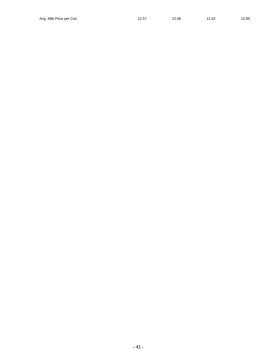- 41 -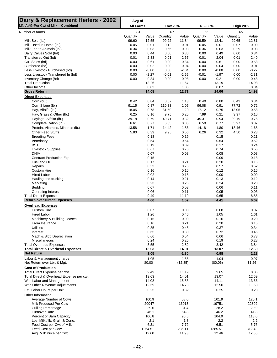| Dairy & Replacement Heifers - 2002<br>MN AVG-Per Cwt of Milk Combined | Avg of<br><b>All Farms</b> |                  | <b>Low 20%</b><br>40 - 60% |                | <b>High 20%</b> |                |              |                  |
|-----------------------------------------------------------------------|----------------------------|------------------|----------------------------|----------------|-----------------|----------------|--------------|------------------|
| Number of farms                                                       | 331                        |                  | 67                         |                | 66              |                | 65           |                  |
|                                                                       | Quantity                   | Value            | Quantity                   | Value          | Quantity        | Value          | Quantity     | Value            |
| Milk Sold (lb.)                                                       | 99.60                      | 12.55            | 99.22                      | 11.84          | 99.59           | 12.41          | 99.65        | 12.81            |
| Milk Used in Home (lb.)                                               | 0.05                       | 0.01             | 0.12                       | 0.01           | 0.05            | 0.01           | 0.07         | 0.00             |
| Milk Fed to Animals (lb.)                                             | 0.34                       | 0.03             | 0.66                       | 0.08           | 0.36            | 0.03           | 0.29         | 0.03             |
| Dairy Calves Sold (hd)<br>Transferred Out (hd)                        | 0.00<br>0.01               | 0.44<br>2.33     | 0.00<br>0.01               | 0.80<br>2.67   | 0.00<br>0.01    | 0.49<br>2.04   | 0.00<br>0.01 | 0.34<br>2.40     |
| Cull Sales (hd)                                                       | 0.00                       | 0.61             | 0.00                       | 0.84           | 0.00            | 0.61           | 0.00         | 0.58             |
| Butchered (hd)                                                        | 0.00                       | 0.02             | 0.00                       | 0.04           | 0.00            | 0.04           | 0.00         | 0.01             |
| Less Livestock Purchased (hd)                                         | 0.00                       | $-0.80$          | 0.00                       | $-2.04$        | 0.00            | $-0.68$        | 0.00         | $-0.27$          |
| Less Livestock Transferred In (hd)                                    | 0.00                       | $-2.27$          | $-0.01$                    | $-2.65$        | $-0.01$         | $-1.97$        | 0.00         | $-2.31$          |
| Inventory Change (hd)                                                 | 0.00                       | 0.34             | 0.00                       | 0.08           | 0.00            | 0.21           | 0.00         | 0.48             |
| <b>Total Production</b>                                               |                            | 13.26            |                            | 11.67          |                 | 13.19          |              | 14.08            |
| Other Income<br><b>Gross Return</b>                                   |                            | 0.82<br>14.08    |                            | 1.05<br>12.71  |                 | 0.87<br>14.06  |              | 0.84<br>14.92    |
| <b>Direct Expenses</b>                                                |                            |                  |                            |                |                 |                |              |                  |
| Corn (bu.)                                                            | 0.42                       | 0.84             | 0.57                       | 1.13           | 0.40            | 0.80           | 0.43         | 0.84             |
| Corn Silage (lb.)                                                     | 91.15                      | 0.87             | 110.33                     | 1.05           | 96.08           | 0.91           | 77.72        | 0.72             |
| Hay, Alfalfa (lb.)                                                    | 18.05                      | 0.78             | 31.50                      | 1.20           | 17.12           | 0.75           | 13.05        | 0.58             |
| Hay, Grass & Other (lb.)                                              | 6.25                       | 0.16             | 9.75                       | 0.25           | 7.99            | 0.21           | 3.97         | 0.10             |
| Haylage, Alfalfa (lb.)                                                | 39.18                      | 0.79             | 40.71                      | 0.82           | 45.31           | 0.94           | 39.19        | 0.76             |
| Complete Ration (lb.)                                                 | 6.61                       | 0.77             | 6.35                       | 0.85           | 6.59            | 0.77           | 5.97         | 0.87             |
| Protein, Vitamins, Minerals (lb.)                                     | 13.58                      | 1.71             | 14.42                      | 1.86           | 14.18           | 1.80           | 13.46        | 1.68             |
| Other Feed Stuffs                                                     | 5.80                       | 0.39             | 9.95                       | 0.56           | 6.26            | 0.32           | 4.50         | 0.23             |
| <b>Breeding Fees</b>                                                  |                            | 0.18             |                            | 0.19           |                 | 0.15           |              | 0.21             |
| Veterinary                                                            |                            | 0.54             |                            | 0.54           |                 | 0.54           |              | 0.52<br>0.24     |
| <b>BST</b><br>Livestock Supplies                                      |                            | 0.19<br>0.67     |                            | 0.09<br>0.76   |                 | 0.17<br>0.74   |              | 0.55             |
| <b>DHIA</b>                                                           |                            | 0.07             |                            | 0.08           |                 | 0.08           |              | 0.08             |
| Contract Production Exp.                                              |                            | 0.15             |                            |                |                 | 0.09           |              | 0.18             |
| Fuel and Oil                                                          |                            | 0.17             |                            | 0.21           |                 | 0.20           |              | 0.16             |
| Repairs                                                               |                            | 0.53             |                            | 0.76           |                 | 0.57           |              | 0.52             |
| <b>Custom Hire</b>                                                    |                            | 0.16             |                            | 0.10           |                 | 0.12           |              | 0.16             |
| <b>Hired Labor</b>                                                    |                            | 0.02             |                            | 0.15           |                 | 0.00           |              | 0.00             |
| Hauling and trucking                                                  |                            | 0.14             |                            | 0.21           |                 | 0.13           |              | 0.12             |
| Marketing<br>Bedding                                                  |                            | 0.23<br>0.07     |                            | 0.25<br>0.03   |                 | 0.24<br>0.06   |              | 0.23<br>0.11     |
| <b>Operating Interest</b>                                             |                            | 0.06             |                            | 0.11           |                 | 0.05           |              | 0.03             |
| <b>Total Direct Expenses</b>                                          |                            | 9.49             |                            | 11.19          |                 | 9.65           |              | 8.85             |
| <b>Return over Direct Expenses</b>                                    |                            | 4.60             |                            | 1.52           |                 | 4.41           |              | 6.07             |
| <b>Overhead Expenses</b>                                              |                            |                  |                            |                |                 |                |              |                  |
| <b>Custom Hire</b>                                                    |                            | 0.07             |                            | 0.03           |                 | 0.08           |              | 0.07             |
| <b>Hired Labor</b>                                                    |                            | 1.26             |                            | 0.46           |                 | 1.05           |              | 1.61             |
| Machinery & Building Leases                                           |                            | 0.15             |                            | 0.09           |                 | 0.16           |              | 0.20             |
| Farm Insurance<br><b>Utilities</b>                                    |                            | 0.16<br>0.35     |                            | 0.21<br>0.45   |                 | 0.20<br>0.37   |              | 0.15<br>0.34     |
| Interest                                                              |                            | 0.65             |                            | 0.80           |                 | 0.72           |              | 0.45             |
| Mach & Bldg Depreciation                                              |                            | 0.66             |                            | 0.54           |                 | 0.66           |              | 0.73             |
| Miscellaneous                                                         |                            | 0.24             |                            | 0.25           |                 | 0.19           |              | 0.28             |
| <b>Total Overhead Expenses</b>                                        |                            | 3.55             |                            | 2.82           |                 | 3.42           |              | 3.84             |
| <b>Total Direct &amp; Overhead Expenses</b>                           |                            | 13.03            |                            | 14.01          |                 | 13.07          |              | 12.69            |
| <b>Net Return</b>                                                     |                            | 1.05             |                            | $-1.30$        |                 | 0.98           |              | 2.23             |
| Labor & Management charge                                             |                            | 1.05             |                            | 1.55           |                 | 1.04           |              | 0.97             |
| Net Return over Lbr. & Mgt.                                           |                            | \$0.00           |                            | (\$2.85)       |                 | (\$0.06)       |              | \$1.26           |
| <b>Cost of Production</b>                                             |                            |                  |                            |                |                 |                |              |                  |
| Total Direct Expense per cwt.                                         |                            | 9.49             |                            | 11.19          |                 | 9.65           |              | 8.85             |
| Total Direct & Overhead Expense per cwt.<br>With Labor and Management |                            | 13.03<br>14.08   |                            | 14.01<br>15.56 |                 | 13.07<br>14.11 |              | 12.69<br>13.66   |
| With Other Revenue Adjustments                                        |                            | 12.59            |                            | 14.78          |                 | 12.50          |              | 11.58            |
| Est. Labor Hours per Unit                                             |                            | 0.25             |                            | 0.32           |                 | 0.25           |              | 0.23             |
| Other Information                                                     |                            |                  |                            |                |                 |                |              |                  |
| Average Number of Cows                                                |                            | 100.9            |                            | 58.0           |                 | 101.9          |              | 120.1            |
| Milk Produced Per Cow                                                 |                            | 20047            |                            | 16013          |                 | 19751          |              | 22802            |
| <b>Culling Percentage</b>                                             |                            | 29.6             |                            | 31.4           |                 | 28.2           |              | 29.9             |
| <b>Turnover Rate</b>                                                  |                            | 46.1             |                            | 54.8           |                 | 46.2           |              | 41.8             |
| Percent of Barn Capacity                                              |                            | 106.8            |                            | 90.5           |                 | 104.9          |              | 118.0            |
| Lbs. Milk / lb. Grain & Conc.                                         |                            | 2.1              |                            | 1.8            |                 | 2.2            |              | 2.2              |
| Feed Cost per Cwt of Milk                                             |                            | 6.31             |                            | 7.72           |                 | 6.51           |              | 5.76             |
| Feed Cost per Cow<br>Avg. Milk Price per Cwt.                         |                            | 1264.51<br>12.60 |                            | 1236.11        |                 | 1285.51        |              | 1312.42<br>12.86 |
|                                                                       |                            |                  |                            | 11.93          |                 | 12.46          |              |                  |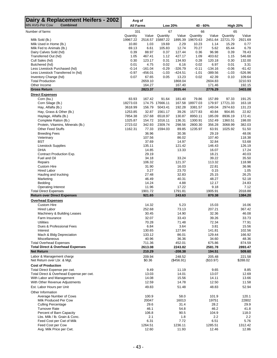| Dairy & Replacement Heifers - 2002<br><b>MN AVG-Per Cow</b><br><b>Combined</b> | Avg of<br><b>All Farms</b> |                        | <b>Low 20%</b>     |                        | 40 - 60%           |                        | <b>High 20%</b>    |                       |
|--------------------------------------------------------------------------------|----------------------------|------------------------|--------------------|------------------------|--------------------|------------------------|--------------------|-----------------------|
|                                                                                | 331                        |                        | 67                 |                        | 66                 |                        | 65                 |                       |
| Number of farms                                                                | Quantity                   | Value                  | Quantity           | Value                  | Quantity           | Value                  | Quantity           | Value                 |
| Milk Sold (lb.)                                                                | 19967.22                   |                        | 2516.57 15887.22   | 1895.39                | 19670.63           |                        | 2451.64 22721.70   | 2921.69               |
| Milk Used in Home (lb.)                                                        | 10.80                      | 1.03                   | 19.69              | 2.29                   | 10.23              | 1.14                   | 15.29              | 0.77                  |
| Milk Fed to Animals (lb.)                                                      | 69.13                      | 6.61                   | 105.83             | 12.74                  | 70.27              | 5.62                   | 65.44              | 6.79                  |
| Dairy Calves Sold (hd)                                                         | 0.39                       | 88.97                  | 0.37               | 127.44                 | 0.36               | 96.98                  | 0.39               | 78.43                 |
| Transferred Out (hd)                                                           | 1.05                       | 467.41                 | 1.12               | 427.17                 | 1.09               | 403.62                 | 1.15               | 546.68                |
| Cull Sales (hd)                                                                | 0.30                       | 123.17                 | 0.31               | 134.93                 | 0.28               | 120.18                 | 0.30               | 132.00                |
| Butchered (hd)                                                                 | 0.01                       | 4.75                   | 0.02               | 6.16                   | 0.02               | 6.97                   | 0.01               | 3.31                  |
| Less Livestock Purchased (hd)<br>Less Livestock Transferred In (hd)            | $-0.14$<br>$-0.97$         | $-161.04$<br>$-456.01$ | $-0.29$<br>$-1.03$ | $-326.79$<br>$-424.51$ | $-0.11$<br>$-1.01$ | $-134.16$<br>$-389.56$ | $-0.06$<br>$-1.03$ | $-61.42$<br>$-526.96$ |
| Inventory Change (hd)                                                          | 0.07                       | 67.65                  | 0.05               | 13.23                  | 0.02               | 42.39                  | 0.10               | 109.64                |
| <b>Total Production</b>                                                        |                            | 2659.10                |                    | 1868.04                |                    | 2604.83                |                    | 3210.93               |
| Other Income                                                                   |                            | 164.27                 |                    | 167.40                 |                    | 171.46                 |                    | 192.15                |
| <b>Gross Return</b>                                                            |                            | 2823.37                |                    | 2035.44                |                    | 2776.29                |                    | 3403.08               |
| <b>Direct Expenses</b>                                                         |                            |                        |                    |                        |                    |                        |                    |                       |
| Corn (bu.)                                                                     | 83.93                      | 167.42                 | 91.64              | 181.40                 | 79.86              | 157.89                 | 97.33              | 191.25                |
| Corn Silage (lb.)                                                              | 18273.03                   |                        | 174.75 17666.11    |                        | 167.58 18977.03    |                        | 179.97 17721.33    | 163.18                |
| Hay, Alfalfa (lb.)                                                             | 3618.99                    | 156.79                 | 5043.41            | 192.28                 | 3381.57            | 149.04                 | 2974.63            | 131.23                |
| Hay, Grass & Other (lb.)                                                       | 1253.85                    | 32.87                  | 1561.17            | 39.26                  | 1577.83            | 40.84                  | 904.85             | 22.82                 |
| Haylage, Alfalfa (lb.)                                                         | 7854.38                    | 157.68                 | 6518.97            | 130.87                 | 8950.11            | 185.09                 | 8936.19            | 172.41                |
| Complete Ration (lb.)                                                          | 1325.87                    | 154.72                 | 1016.11            | 136.31                 | 1300.91            | 152.49                 | 1360.51            | 198.00                |
| Protein, Vitamins, Minerals (lb.)                                              | 2723.02                    | 342.93                 | 2309.74            | 298.56                 | 2800.30            | 356.28                 | 3068.99            | 382.03                |
| <b>Other Feed Stuffs</b>                                                       | 1162.31                    | 77.33                  | 1594.03            | 89.85                  | 1235.97            | 63.91                  | 1025.92            | 51.50                 |
| <b>Breeding Fees</b>                                                           |                            | 36.96                  |                    | 30.36                  |                    | 29.19                  |                    | 48.06                 |
| Veterinary                                                                     |                            | 107.56                 |                    | 86.02                  |                    | 107.40                 |                    | 118.38                |
| <b>BST</b><br><b>Livestock Supplies</b>                                        |                            | 37.69<br>135.11        |                    | 14.97<br>121.42        |                    | 32.84<br>146.43        |                    | 53.68<br>126.19       |
| <b>DHIA</b>                                                                    |                            | 14.85                  |                    | 13.33                  |                    | 16.07                  |                    | 17.24                 |
| Contract Production Exp.                                                       |                            | 29.19                  |                    |                        |                    | 18.21                  |                    | 40.03                 |
| Fuel and Oil                                                                   |                            | 34.18                  |                    | 33.24                  |                    | 39.22                  |                    | 35.50                 |
| Repairs                                                                        |                            | 106.32                 |                    | 121.37                 |                    | 113.32                 |                    | 118.98                |
| <b>Custom Hire</b>                                                             |                            | 31.90                  |                    | 16.03                  |                    | 22.81                  |                    | 36.96                 |
| <b>Hired Labor</b>                                                             |                            | 3.27                   |                    | 23.70                  |                    | 0.15                   |                    | 1.05                  |
| Hauling and trucking                                                           |                            | 27.48                  |                    | 32.83                  |                    | 25.15                  |                    | 26.25                 |
| Marketing                                                                      |                            | 46.49                  |                    | 40.31                  |                    | 48.27                  |                    | 52.18                 |
| Bedding                                                                        |                            | 14.24                  |                    | 4.88                   |                    | 12.17                  |                    | 24.83                 |
| <b>Operating Interest</b>                                                      |                            | 11.96                  |                    | 17.22                  |                    | 9.18                   |                    | 7.12                  |
| <b>Total Direct Expenses</b><br><b>Return over Direct Expenses</b>             |                            | 1901.72<br>921.65      |                    | 1791.81<br>243.63      |                    | 1905.91<br>870.38      |                    | 2018.88<br>1384.20    |
| <b>Overhead Expenses</b>                                                       |                            |                        |                    |                        |                    |                        |                    |                       |
| <b>Custom Hire</b>                                                             |                            | 14.32                  |                    | 5.23                   |                    | 15.03                  |                    | 16.06                 |
| <b>Hired Labor</b>                                                             |                            | 252.68                 |                    | 73.13                  |                    | 207.21                 |                    | 367.42                |
| Machinery & Building Leases                                                    |                            | 30.45                  |                    | 14.90                  |                    | 32.36                  |                    | 46.08                 |
| Farm Insurance                                                                 |                            | 32.07                  |                    | 33.43                  |                    | 39.26                  |                    | 33.73                 |
| <b>Utilities</b>                                                               |                            | 70.28                  |                    | 71.48                  |                    | 72.34                  |                    | 77.91                 |
| Dues & Professional Fees                                                       |                            | 6.84                   |                    | 3.64                   |                    | 3.81                   |                    | 15.56                 |
| Interest                                                                       |                            | 130.65                 |                    | 127.84                 |                    | 141.81                 |                    | 102.56                |
| Mach & Bldg Depreciation                                                       |                            | 133.12                 |                    | 86.01                  |                    | 129.44                 |                    | 166.92                |
| Miscellaneous                                                                  |                            | 40.96                  |                    | 36.36                  |                    | 34.60                  |                    | 48.36                 |
| <b>Total Overhead Expenses</b>                                                 |                            | 711.36                 |                    | 452.01                 |                    | 675.86                 |                    | 874.59                |
| <b>Total Direct &amp; Overhead Expenses</b>                                    |                            | 2613.08                |                    | 2243.82                |                    | 2581.78                |                    | 2893.47               |
| <b>Net Return</b>                                                              |                            | 210.29                 |                    | $-208.38$              |                    | 194.51                 |                    | 509.60                |
| Labor & Management charge<br>Net Return over Lbr. & Mgt.                       |                            | 209.94<br>\$0.36       |                    | 248.52<br>$(\$456.91)$ |                    | 205.48<br>(\$10.97)    |                    | 221.58<br>\$288.02    |
|                                                                                |                            |                        |                    |                        |                    |                        |                    |                       |
| <b>Cost of Production</b>                                                      |                            |                        |                    |                        |                    |                        |                    |                       |
| Total Direct Expense per cwt.<br>Total Direct & Overhead Expense per cwt.      |                            | 9.49<br>13.03          |                    | 11.19<br>14.01         |                    | 9.65<br>13.07          |                    | 8.85                  |
| With Labor and Management                                                      |                            | 14.08                  |                    | 15.56                  |                    | 14.11                  |                    | 12.69<br>13.66        |
| With Other Revenue Adjustments                                                 |                            | 12.59                  |                    | 14.78                  |                    | 12.50                  |                    | 11.58                 |
| Est. Labor Hours per Unit                                                      |                            | 49.83                  |                    | 51.48                  |                    | 48.83                  |                    | 52.94                 |
| Other Information                                                              |                            |                        |                    |                        |                    |                        |                    |                       |
| Average Number of Cows                                                         |                            | 100.9                  |                    | 58.0                   |                    | 101.9                  |                    | 120.1                 |
| Milk Produced Per Cow                                                          |                            | 20047                  |                    | 16013                  |                    | 19751                  |                    | 22802                 |
| <b>Culling Percentage</b>                                                      |                            | 29.6                   |                    | 31.4                   |                    | 28.2                   |                    | 29.9                  |
| <b>Turnover Rate</b>                                                           |                            | 46.1                   |                    | 54.8                   |                    | 46.2                   |                    | 41.8                  |
| Percent of Barn Capacity                                                       |                            | 106.8                  |                    | 90.5                   |                    | 104.9                  |                    | 118.0                 |
| Lbs. Milk / lb. Grain & Conc.                                                  |                            | 2.1                    |                    | 1.8                    |                    | 2.2                    |                    | 2.2                   |
| Feed Cost per Cwt of Milk                                                      |                            | 6.31                   |                    | 7.72                   |                    | 6.51                   |                    | 5.76                  |
| Feed Cost per Cow                                                              |                            | 1264.51                |                    | 1236.11                |                    | 1285.51                |                    | 1312.42               |
| Avg. Milk Price per Cwt.                                                       |                            | 12.60                  |                    | 11.93                  |                    | 12.46                  |                    | 12.86                 |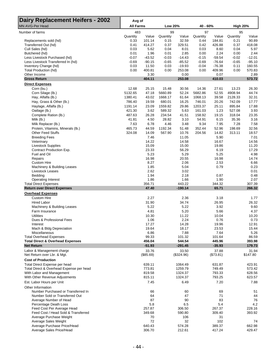| <b>Dairy Replacement Heifers - 2002</b><br>MN AVG-Per Head | Avg of<br><b>All Farms</b> |                    | Low 20%        |                     | 40 - 60%       |                    | <b>High 20%</b> |                   |
|------------------------------------------------------------|----------------------------|--------------------|----------------|---------------------|----------------|--------------------|-----------------|-------------------|
|                                                            |                            |                    |                |                     |                |                    |                 |                   |
| Number of farms                                            | 483<br>Quantity            | Value              | 99<br>Quantity | Value               | 97<br>Quantity | Value              | 95<br>Quantity  | Value             |
| Replacements sold (hd)                                     | 0.33                       | 101.14             | 0.15           | 32.59               | 0.44           | 184.81             | 0.21            | 90.89             |
| Transferred Out (hd)                                       | 0.41                       | 414.27             | 0.37           | 329.51              | 0.42           | 426.88             | 0.37            | 418.08            |
| Cull Sales (hd)                                            | 0.03                       | 5.62               | 0.04           | 8.01                | 0.03           | 8.60               | 0.04            | 5.97              |
| Butchered (hd)                                             | 0.01                       | 1.96               | 0.01           | 2.85                | 0.00           | 2.24               | 0.00            | 2.44              |
| Less Livestock Purchased (hd)                              | $-0.07$                    | $-43.52$           | $-0.03$        | $-14.43$            | $-0.15$        | $-59.54$           | $-0.02$         | $-12.01$          |
| Less Livestock Transferred In (hd)                         | $-0.69$                    | $-90.15$           | $-0.65$        | $-85.52$            | $-0.69$        | $-76.64$           | $-0.65$         | $-95.10$          |
| Inventory Change (hd)                                      | 0.03                       | 11.50              | 0.03           | $-19.93$            | $-0.04$        | $-76.38$           | 0.11            | 160.55            |
| Total Production (hd)<br>Other Income                      | 0.00                       | 400.81             | 0.00           | 253.08              | 0.00           | 409.96             | 0.00            | 570.83<br>2.89    |
| <b>Gross Return</b>                                        |                            | 3.30<br>404.11     |                | 0.00<br>253.08      |                | 0.07<br>410.03     |                 | 573.72            |
| <b>Direct Expenses</b>                                     |                            |                    |                |                     |                |                    |                 |                   |
| Corn (bu.)                                                 | 12.68                      | 25.15              | 15.48          | 30.56               | 14.36          | 27.61              | 13.23           | 26.30             |
| Corn Silage (lb.)                                          | 5132.65                    | 47.18              | 5660.89        | 52.24               | 5682.86        | 52.55              | 4908.94         | 44.74             |
| Hay, Alfalfa (lb.)                                         | 1380.41                    | 43.02              | 1668.17        | 61.64               | 1068.13        | 39.58              | 2128.33         | 32.31             |
| Hay, Grass & Other (lb.)                                   | 786.40                     | 19.59              | 680.01         | 16.25               | 746.01         | 20.26              | 742.09          | 17.77             |
| Haylage, Alfalfa (lb.)                                     | 1191.14                    | 23.09              | 1559.82        | 29.86               | 1203.37        | 25.11              | 895.84          | 17.88             |
| Oatlage (lb.)                                              | 421.30                     | 3.62               | 589.32         | 5.63                | 161.03         | 1.23               | 527.08          | 3.93              |
| Complete Ration (lb.)                                      | 487.63                     | 26.28              | 234.54         | 41.51               | 158.92         | 19.15              | 318.04          | 23.35             |
| Milk (lb.)                                                 | 41.81                      | 4.50               | 28.82          | 3.10                | 54.91          | 6.15               | 35.36           | 3.16              |
| Milk Replacer (lb.)                                        | 7.63                       | 6.78               | 4.46           | 3.48                | 9.34           | 7.95               | 7.28            | 7.58              |
| Protein, Vitamins, Minerals (lb.)                          | 465.73                     | 44.59              | 1192.34        | 51.48               | 352.44         | 52.96              | 198.69          | 32.56             |
| <b>Other Feed Stuffs</b>                                   | 324.08                     | 14.09              | 567.90         | 10.76               | 204.56         | 14.82              | 313.11          | 18.57             |
| <b>Breeding Fees</b>                                       |                            | 7.46               |                | 11.05               |                | 5.90               |                 | 7.01              |
| Veterinary                                                 |                            | 14.22              |                | 14.58               |                | 16.67              |                 | 14.56             |
| <b>Livestock Supplies</b>                                  |                            | 15.09              |                | 15.00               |                | 19.86              |                 | 11.20             |
| Contract Production Exp.                                   |                            | 23.33              |                | 56.29               |                | 6.19               |                 | 17.29             |
| Fuel and Oil                                               |                            | 5.23               |                | 5.29                |                | 5.25               |                 | 4.98              |
| Repairs                                                    |                            | 16.98              |                | 20.55               |                | 16.98              |                 | 14.74             |
| <b>Custom Hire</b>                                         |                            | 8.27               |                | 2.06                |                | 2.53               |                 | 6.66              |
| Machinery & Building Leases                                |                            | 1.85               |                | 5.04                |                | 0.79               |                 | 0.23              |
| Livestock Leases                                           |                            | 2.62               |                | 3.02                |                |                    |                 | 0.01              |
| Bedding                                                    |                            | 1.94               |                | 2.18                |                | 0.87               |                 | 0.48              |
| Operating Interest<br><b>Total Direct Expenses</b>         |                            | 1.86<br>356.71     |                | 1.66<br>443.22      |                | 1.90<br>344.32     |                 | 2.07<br>307.39    |
| <b>Return over Direct Expenses</b>                         |                            | 47.40              |                | $-190.14$           |                | 65.71              |                 | 266.32            |
| <b>Overhead Expenses</b>                                   |                            |                    |                |                     |                |                    |                 |                   |
| <b>Custom Hire</b>                                         |                            | 2.27               |                | 2.36                |                | 3.18               |                 | 1.77              |
| <b>Hired Labor</b>                                         |                            | 31.90              |                | 34.74               |                | 26.95              |                 | 26.32             |
| Machinery & Building Leases                                |                            | 5.22               |                | 5.22                |                | 3.92               |                 | 9.60              |
| Farm Insurance                                             |                            | 4.81               |                | 5.20                |                | 5.66               |                 | 4.37              |
| <b>Utilities</b>                                           |                            | 10.30              |                | 11.22               |                | 10.04              |                 | 10.20             |
| Dues & Professional Fees                                   |                            | 1.06               |                | 2.24                |                | 0.76               |                 | 0.73              |
| Interest                                                   |                            | 17.27              |                | 14.28               |                | 19.96              |                 | 12.91             |
| Mach & Bldg Depreciation                                   |                            | 19.64              |                | 18.17               |                | 23.53              |                 | 15.44             |
| Miscellaneous                                              |                            | 6.86               |                | 7.88                |                | 7.64               |                 | 5.26              |
| <b>Total Overhead Expenses</b>                             |                            | 99.33              |                | 101.32              |                | 101.64             |                 | 86.59             |
| <b>Total Direct &amp; Overhead Expenses</b>                |                            | 456.04             |                | 544.54              |                | 445.96             |                 | 393.98            |
| <b>Net Return</b>                                          |                            | $-51.93$           |                | $-291.45$           |                | $-35.93$           |                 | 179.73            |
| Labor & Management charge<br>Net Return over Lbr. & Mgt.   |                            | 33.76<br>(\$85.69) |                | 33.50<br>(\$324.96) |                | 37.88<br>(\$73.81) |                 | 31.94<br>\$147.80 |
| <b>Cost of Production</b>                                  |                            |                    |                |                     |                |                    |                 |                   |
| Total Direct Expense per head                              |                            | 639.11             |                | 1064.49             |                | 631.87             |                 | 423.91            |
| Total Direct & Overhead Expense per head                   |                            | 773.81             |                | 1259.79             |                | 749.49             |                 | 573.42            |
| With Labor and Management                                  |                            | 819.58             |                | 1324.37             |                | 793.33             |                 | 628.56            |
| With Other Revenue Adjustments                             |                            | 815.11             |                | 1324.37             |                | 793.25             |                 | 623.57            |
| Est. Labor Hours per Unit<br>Other Information             |                            | 7.45               |                | 6.49                |                | 7.20               |                 | 7.88              |
| Number Purchased or Transferred In                         |                            | 66                 |                | 60                  |                | 69                 |                 | 51                |
| Number Sold or Transferred Out                             |                            | 64                 |                | 47                  |                | 71                 |                 | 44                |
| Average Number of Head                                     |                            | 87                 |                | 90                  |                | 83                 |                 | 76                |
| Percentage Death Loss                                      |                            | 5.8                |                | 6.5                 |                | 5.4                |                 | 4.2               |
| Feed Cost Per Average Head                                 |                            | 257.87             |                | 306.50              |                | 267.37             |                 | 228.16            |
| Feed Cost / Head Sold & Transferred                        |                            | 349.68             |                | 590.80              |                | 309.40             |                 | 393.92            |
| Average Purchase Weight                                    |                            | 70                 |                | 106                 |                | 31                 |                 |                   |
| Average Sales Weight                                       |                            | 72                 |                | 32                  |                | 102                |                 | 74                |
| Average Purchase Price/Head                                |                            | 640.43             |                | 574.28              |                | 389.37             |                 | 662.98            |
| Average Sales Price/Head                                   |                            | 306.70             |                | 212.61              |                | 417.24             |                 | 429.47            |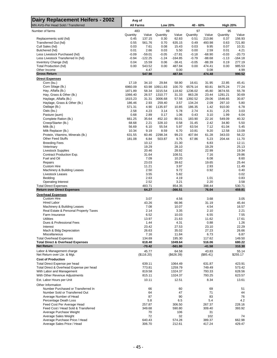| <b>Dairy Replacement Heifers - 2002</b>                  | Avg of           |                  |                 |                 |                 |                  |                 |                  |
|----------------------------------------------------------|------------------|------------------|-----------------|-----------------|-----------------|------------------|-----------------|------------------|
| MN AVG-Per Head Sold / Transferred                       | <b>All Farms</b> |                  | <b>Low 20%</b>  |                 | 40 - 60%        |                  | <b>High 20%</b> |                  |
| Number of farms                                          | 483              |                  | 99              |                 | 97              |                  | 95              |                  |
|                                                          | Quantity         | Value            | Quantity        | Value           | Quantity        | Value            | Quantity        | Value            |
| Replacements sold (hd)<br>Transferred Out (hd)           | 0.45<br>0.55     | 137.15<br>561.76 | 0.30<br>0.70    | 62.83<br>635.15 | 0.51<br>0.49    | 213.86<br>493.98 | 0.37<br>0.63    | 156.93<br>721.80 |
| Cull Sales (hd)                                          | 0.03             | 7.61             | 0.08            | 15.43           | 0.03            | 9.95             | 0.07            | 10.31            |
| Butchered (hd)                                           | 0.01             | 2.66             | 0.03            | 5.50            | 0.00            | 2.59             | 0.01            | 4.21             |
| Less Livestock Purchased (hd)                            | $-0.09$          | $-59.01$         | $-0.05$         | $-27.81$        | $-0.18$         | $-68.90$         | $-0.03$         | $-20.73$         |
| Less Livestock Transferred In (hd)                       | $-0.94$          | $-122.25$        | $-1.24$         | $-164.85$       | $-0.79$         | $-88.68$         | $-1.13$         | $-164.18$        |
| Inventory Change (hd)                                    | 0.04             | 15.59            | 0.06            | $-38.41$        | $-0.05$         | $-88.39$         | 0.19            | 277.19           |
| Total Production (hd)                                    | 0.00             | 543.52           | 0.00            | 487.84          | 0.00            | 474.41           | 0.00            | 985.53           |
| Other Income                                             |                  | 4.47             |                 | 0.00            |                 | 0.08             |                 | 4.99             |
| <b>Gross Return</b>                                      |                  | 547.98           |                 | 487.84          |                 | 474.48           |                 | 990.52           |
| <b>Direct Expenses</b><br>Corn (bu.)                     | 17.19            | 34.10            | 29.84           | 58.90           | 16.61           | 31.95            | 22.85           | 45.41            |
| Corn Silage (lb.)                                        | 6960.09          |                  | 63.98 10911.83  | 100.70          | 6576.14         | 60.81            | 8475.24         | 77.24            |
| Hay, Alfalfa (lb.)                                       | 1871.89          | 58.34            | 3215.54         | 118.82          | 1236.02         | 45.80            | 3674.55         | 55.78            |
| Hay, Grass & Other (lb.)                                 | 1066.40          | 26.57            | 1310.77         | 31.33           | 863.28          | 23.44            | 1281.21         | 30.69            |
| Haylage, Alfalfa (lb.)                                   | 1615.23          | 31.31            | 3006.68         | 57.56           | 1392.52         | 29.06            | 1546.65         | 30.87            |
| Haylage, Grass & Other (lb.)                             | 186.46           | 2.93             | 259.40          | 3.57            | 134.24          | 2.09             | 297.10          | 5.80             |
| Oatlage (lb.)                                            | 571.31           | 4.90             | 1135.97         | 10.85           | 186.35          | 1.42             | 910.00          | 6.78             |
| Oats (bu.)                                               | 2.58             | 4.23             | 3.14            | 5.78            | 2.74            | 4.31             | 2.25            | 3.03             |
| Pasture (aum)                                            | 0.68             | 2.89             | 0.17            | 1.06            | 0.43            | 3.10             | 1.99            | 6.04             |
| Complete Ration (lb.)                                    | 661.25           | 35.64            | 452.10          | 80.01           | 183.90          | 22.16            | 549.09          | 40.32            |
| Creep/Starter (lb.)                                      | 68.68            | 2.21             | 328.10          | 0.58            | 31.45           | 2.42             | 34.80           | 5.50             |
| Milk (lb.)<br>Milk Replacer (lb.)                        | 56.69            | 6.10             | 55.54           | 5.97            | 63.54           | 7.12             | 61.04           | 5.45             |
| Protein, Vitamins, Minerals (lb.)                        | 10.34<br>631.55  | 9.19<br>60.46    | 8.59<br>2298.34 | 6.70<br>99.23   | 10.81<br>407.84 | 9.20<br>61.28    | 12.58<br>343.03 | 13.09<br>56.22   |
| <b>Other Feed Stuffs</b>                                 | 181.08           | 6.84             | 503.87          | 9.75            | 67.86           | 5.23             | 204.44          | 11.70            |
| <b>Breeding Fees</b>                                     |                  | 10.12            |                 | 21.30           |                 | 6.83             |                 | 12.11            |
| Veterinary                                               |                  | 19.29            |                 | 28.10           |                 | 19.29            |                 | 25.13            |
| <b>Livestock Supplies</b>                                |                  | 20.46            |                 | 28.92           |                 | 22.99            |                 | 19.34            |
| Contract Production Exp.                                 |                  | 31.64            |                 | 108.51          |                 | 7.16             |                 | 29.86            |
| Fuel and Oil                                             |                  | 7.09             |                 | 10.20           |                 | 6.08             |                 | 8.60             |
| Repairs                                                  |                  | 23.03            |                 | 39.62           |                 | 19.65            |                 | 25.44            |
| <b>Custom Hire</b>                                       |                  | 11.21            |                 | 3.97            |                 | 2.93             |                 | 11.49            |
| Machinery & Building Leases                              |                  | 2.50             |                 | 9.72            |                 | 0.92             |                 | 0.40             |
| Livestock Leases                                         |                  | 3.55             |                 | 5.82            |                 |                  |                 | 0.02             |
| Bedding<br><b>Operating Interest</b>                     |                  | 2.63<br>2.52     |                 | 4.19<br>3.21    |                 | 1.01<br>2.20     |                 | 0.83<br>3.58     |
| <b>Total Direct Expenses</b>                             |                  | 483.71           |                 | 854.35          |                 | 398.44           |                 | 530.71           |
| <b>Return over Direct Expenses</b>                       |                  | 64.27            |                 | $-366.51$       |                 | 76.04            |                 | 459.81           |
| <b>Overhead Expenses</b>                                 |                  |                  |                 |                 |                 |                  |                 |                  |
| <b>Custom Hire</b>                                       |                  | 3.07             |                 | 4.56            |                 | 3.68             |                 | 3.05             |
| <b>Hired Labor</b>                                       |                  | 43.26            |                 | 66.96           |                 | 31.19            |                 | 45.44            |
| Machinery & Building Leases                              |                  | 7.08             |                 | 10.07           |                 | 4.54             |                 | 16.57            |
| Real Estate & Personal Property Taxes                    |                  | 2.14             |                 | 3.35            |                 | 2.10             |                 | 2.21             |
| Farm Insurance                                           |                  | 6.52             |                 | 10.03           |                 | 6.55             |                 | 7.55             |
| <b>Utilities</b>                                         |                  | 13.97            |                 | 21.63           |                 | 11.62            |                 | 17.61            |
| Dues & Professional Fees<br>Interest                     |                  | 1.44<br>23.42    |                 | 4.31<br>27.53   |                 | 0.88<br>23.10    |                 | 1.26<br>22.29    |
| Mach & Bldg Depreciation                                 |                  | 26.63            |                 | 35.02           |                 | 27.23            |                 | 26.66            |
| Miscellaneous                                            |                  | 7.16             |                 | 11.84           |                 | 6.73             |                 | 6.87             |
| <b>Total Overhead Expenses</b>                           |                  | 134.69           |                 | 195.30          |                 | 117.62           |                 | 149.50           |
| <b>Total Direct &amp; Overhead Expenses</b>              |                  | 618.40           |                 | 1049.64         |                 | 516.06           |                 | 680.22           |
| <b>Net Return</b>                                        |                  | $-70.42$         |                 | $-561.80$       |                 | $-41.58$         |                 | 310.30           |
| Labor & Management charge                                |                  | 45.77            |                 | 64.58           |                 | 43.83            |                 | 55.14            |
| Net Return over Lbr. & Mgt.                              |                  | (\$116.20)       |                 | $(\$626.39)$    |                 | $(\$85.41)$      |                 | \$255.17         |
| <b>Cost of Production</b>                                |                  |                  |                 |                 |                 |                  |                 |                  |
| Total Direct Expense per head                            |                  | 639.11           |                 | 1064.49         |                 | 631.87           |                 | 423.91           |
| Total Direct & Overhead Expense per head                 |                  | 773.81           |                 | 1259.79         |                 | 749.49           |                 | 573.42           |
| With Labor and Management                                |                  | 819.58           |                 | 1324.37         |                 | 793.33           |                 | 628.56<br>623.57 |
| With Other Revenue Adjustments                           |                  | 815.11           |                 | 1324.37         |                 | 793.25           |                 |                  |
| Est. Labor Hours per Unit                                |                  | 10.11            |                 | 12.51           |                 | 8.34             |                 | 13.61            |
| Other Information                                        |                  |                  |                 |                 |                 |                  |                 |                  |
| Number Purchased or Transferred In                       |                  | 66               |                 | 60              |                 | 69               |                 | 51               |
| Number Sold or Transferred Out<br>Average Number of Head |                  | 64<br>87         |                 | 47<br>90        |                 | 71<br>83         |                 | 44<br>76         |
| Percentage Death Loss                                    |                  | 5.8              |                 | 6.5             |                 | 5.4              |                 | 4.2              |
| Feed Cost Per Average Head                               |                  | 257.87           |                 | 306.50          |                 | 267.37           |                 | 228.16           |
| Feed Cost / Head Sold & Transferred                      |                  | 349.68           |                 | 590.80          |                 | 309.40           |                 | 393.92           |
| Average Purchase Weight                                  |                  | 70               |                 | 106             |                 | 31               |                 |                  |
| Average Sales Weight                                     |                  | 72               |                 | 32              |                 | 102              |                 | 74               |
| Average Purchase Price / Head                            |                  | 640.43           |                 | 574.28          |                 | 389.37           |                 | 662.98           |
| Average Sales Price / Head                               |                  | 306.70           |                 | 212.61          |                 | 417.24           |                 | 429.47           |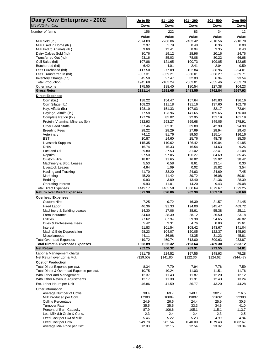| <b>Dairy Cow Enterprise - 2002</b><br><b>MN AVG-Per Cow</b> | <u>Up to 50</u><br>Cows | $51 - 100$<br>Cows | 101 - 200<br>Cows | $201 - 500$<br>Cows | <b>Over 500</b><br>Cows |
|-------------------------------------------------------------|-------------------------|--------------------|-------------------|---------------------|-------------------------|
| Number of farms                                             | 156                     | 222                | 83                | 34                  | 12                      |
|                                                             | Value                   | Value              | Value             | Value               | Value                   |
| Milk Sold (lb.)                                             | 2074.03                 | 2268.06            | 2483.42           | 2810.56             | 2918.78                 |
| Milk Used in Home (lb.)                                     | 2.97                    | 1.79               | 0.48              | 0.36                | 0.00                    |
| Milk Fed to Animals (lb.)                                   | 9.60                    | 12.41              | 8.94              | 3.35                | 0.43                    |
| Dairy Calves Sold (hd)                                      | 30.76                   | 19.12              | 28.96             | 20.16               | 24.76                   |
| Transferred Out (hd)                                        | 93.16                   | 85.03              | 78.08             | 80.22               | 66.68                   |
| Cull Sales (hd)                                             | 107.88                  | 121.65             | 100.73            | 109.05              | 122.65                  |
| Butcherded (hd)                                             | 6.42                    | 4.01               | 2.41              | 2.04                | 0.59                    |
| Less Purchased (hd)                                         | $-117.50$               | $-77.09$           | $-102.84$         | $-38.96$            | $-294.01$               |
| Less Transferred In (hd)                                    | $-307.31$               | $-359.21$          | $-330.01$         | $-358.27$           | $-369.71$               |
| Inventory Change (hd)<br><b>Total Production</b>            | 45.58<br>1945.60        | 27.47<br>2103.24   | 32.83<br>2303.01  | 6.94<br>2635.46     | 93.54<br>2563.70        |
| Other Income                                                | 175.55                  | 188.40             | 180.54            | 127.38              | 104.23                  |
| <b>Gross Return</b>                                         | 2121.14                 | 2291.65            | 2483.55           | 2762.84             | 2667.93                 |
| <b>Direct Expenses</b>                                      |                         |                    |                   |                     |                         |
| Corn (bu.)                                                  | 138.22                  | 154.47             | 157.64            | 145.83              | 136.16                  |
| Corn Silage (lb.)                                           | 108.23                  | 111.18             | 131.16            | 137.60              | 162.78                  |
| Hay, Alfalfa (lb.)                                          | 198.10                  | 151.33             | 107.03            | 82.17               | 72.64                   |
| Haylage, Alfalfa (lb.)                                      | 77.58                   | 123.96             | 141.65            | 169.65              | 176.00                  |
| Complete Ration (lb.)                                       | 127.26                  | 85.02              | 92.95             | 152.19              | 161.19                  |
| Protein, Vitamins, Minerals (lb.)                           | 232.93                  | 293.27             | 369.68            | 349.05              | 278.91                  |
| <b>Other Feed Stuffs</b>                                    | 67.46                   | 62.31              | 39.89             | 42.99               | 94.98                   |
| <b>Breeding Fees</b>                                        | 28.22                   | 28.29              | 27.69             | 28.94               | 29.43                   |
| Veterinary                                                  | 74.12                   | 81.76              | 89.53             | 115.14              | 116.16                  |
| <b>BST</b><br><b>Livestock Supplies</b>                     | 10.87<br>115.35         | 14.60<br>110.62    | 25.76<br>126.42   | 48.78<br>110.04     | 85.36<br>91.85          |
| <b>DHIA</b>                                                 | 16.74                   | 15.33              | 16.54             | 14.63               | 9.26                    |
| Fuel and Oil                                                | 29.80                   | 27.53              | 31.02             | 32.41               | 31.08                   |
| Repairs                                                     | 97.50                   | 97.05              | 106.27            | 84.69               | 85.45                   |
| <b>Custom Hire</b>                                          | 18.87                   | 11.65              | 16.82             | 35.02               | 38.42                   |
| Machinery & Bldg. Leases                                    | 5.53                    | 6.58               | 8.61              | 13.14               | 0.30                    |
| Livestock Leases                                            | 4.64                    | 1.09               | 0.02              | 15.82               | 3.54                    |
| Hauling and Trucking                                        | 41.70                   | 33.20              | 24.63             | 24.69               | 7.45                    |
| Marketing                                                   | 45.20                   | 41.42              | 39.72             | 46.08               | 50.81                   |
| Bedding                                                     | 0.93                    | 3.89               | 13.40             | 21.36               | 28.39                   |
| <b>Operating Interest</b><br><b>Total Direct Expenses</b>   | 9.93<br>1449.17         | 11.01<br>1465.58   | 14.20<br>1580.64  | 9.43<br>1679.67     | 39.08<br>1699.25        |
| <b>Return over Direct Expenses</b>                          | 671.98                  | 826.06             | 902.90            | 1083.18             | 968.68                  |
| <b>Overhead Expenses</b>                                    |                         |                    |                   |                     |                         |
| <b>Custom Hire</b>                                          | 7.25                    | 9.72               | 16.39             | 21.57               | 21.45                   |
| <b>Hired Labor</b>                                          | 46.36                   | 91.33              | 194.00            | 345.47              | 469.72                  |
| Machinery & Building Leases                                 | 14.30                   | 17.06              | 38.61             | 55.38               | 25.11                   |
| Farm Insurance                                              | 34.60                   | 28.39              | 28.12             | 26.50               | 23.18                   |
| Utilities                                                   | 77.62                   | 67.34              | 59.30             | 54.65               | 46.02                   |
| Dues & Professional Fees                                    | 5.42                    | 3.31               | 4.76              | 8.80                | 15.61                   |
| Interest                                                    | 91.83                   | 101.54             | 108.42            | 143.67              | 141.04                  |
| Mach & Bldg Depreciation                                    | 98.23                   | 104.07             | 120.05            | 122.37              | 145.93                  |
| Miscellaneous<br><b>Total Overhead Expenses</b>             | 44.11<br>419.72         | 36.98<br>459.74    | 43.35<br>613.00   | 31.23<br>809.63     | 45.81<br>933.87         |
| <b>Total Direct &amp; Overhead Expenses</b>                 | 1868.89                 | 1925.32            | 2193.64           | 2489.30             | 2633.12                 |
| <b>Net Return</b>                                           | 252.25                  | 366.32             | 289.91            | 273.55              | 34.81                   |
| Labor & Management charge                                   | 281.75                  | 224.52             | 167.55            | 148.93              | 79.28                   |
| Net Return over Lbr. & Mgt.                                 | (\$29.50)               | \$141.80           | \$122.36          | \$124.62            | $(\$44.47)$             |
| <b>Cost of Production</b>                                   |                         |                    |                   |                     |                         |
| Total Direct Expense per cwt.                               | 8.34                    | 7.79               | 7.94              | 7.76                | 7.59                    |
| Total Direct & Overhead Expense per cwt.                    | 10.75                   | 10.24              | 11.03             | 11.51               | 11.76                   |
| With Labor and Management                                   | 12.37                   | 11.43              | 11.87             | 12.20               | 12.12                   |
| With Other Revenue Adjustments                              | 12.17                   | 11.38              | 11.91             | 12.43               | 13.24                   |
| Est. Labor Hours per Unit                                   | 46.86                   | 41.59              | 36.77             | 43.20               | 44.28                   |
| Other Information                                           |                         |                    |                   |                     |                         |
| Average Number of Cows                                      | 38.4                    | 69.7               | 140.1             | 302.7               | 716.5                   |
| Milk Produced per Cow                                       | 17383                   | 18804              | 19897             | 21632               | 22383                   |
| <b>Culling Percentage</b>                                   | 24.9                    | 26.6               | 24.4              | 25.9                | 30.5                    |
| <b>Turnover Rate</b>                                        | 35.5                    | 35.5               | 33.3              | 34.5                | 41.0                    |
| Percent of Barn Capacity                                    | 87.9                    | 106.6              | 105.1             | 115.1               | 113.7                   |
| Lbs. Milk /Lb Grain & Conc.<br>Feed Cost per Cwt of Milk    | 2.3<br>5.46             | 2.4<br>5.22        | 2.4<br>5.23       | 2.3<br>4.99         | $2.5\,$<br>4.84         |
| Feed Cost per Cow                                           | 949.78                  | 981.54             | 1040.00           | 1079.48             | 1082.67                 |
| Average Milk Price per Cwt.                                 | 12.00                   | 12.15              | 12.54             | 13.02               | 13.04                   |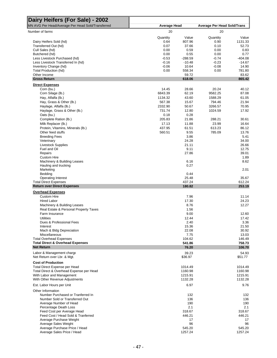| Dairy Heifers (For Sale) - 2002                                  |              |                 |                                    |                  |
|------------------------------------------------------------------|--------------|-----------------|------------------------------------|------------------|
| MN AVG Per Head/Average Per Head Sold/Transferred                | Average Head |                 | <b>Average Per Head Sold/Trans</b> |                  |
| Number of farms                                                  | 20           |                 | 20                                 |                  |
|                                                                  | Quantity     | Value           | Quantity                           | Value            |
| Dairy Heifers Sold (hd)<br>Transferred Out (hd)                  | 0.64         | 807.96          | 0.90                               | 1131.33          |
| Cull Sales (hd)                                                  | 0.07<br>0.00 | 37.66<br>0.59   | 0.10<br>0.00                       | 52.73<br>0.83    |
| Butchered (hd)                                                   | 0.00         | 0.55            | 0.00                               | 0.77             |
| Less Livestock Purchased (hd)                                    | $-0.53$      | $-288.59$       | $-0.74$                            | $-404.08$        |
| Less Livestock Transferred In (hd)                               | $-0.16$      | $-10.48$        | $-0.23$                            | $-14.67$         |
| Inventory Change (hd)                                            | $-0.06$      | 10.64           | $-0.08$                            | 14.90            |
| Total Production (hd)                                            | 0.00         | 558.34          | 0.00                               | 781.80           |
| Other Income                                                     |              | 59.72           |                                    | 83.62            |
| <b>Gross Return</b>                                              |              | 618.06          |                                    | 865.42           |
| <b>Direct Expenses</b>                                           |              |                 |                                    |                  |
| Corn (bu.)                                                       | 14.45        | 28.66           | 20.24                              | 40.12            |
| Corn Silage (lb.)                                                | 6843.39      | 62.19           | 9582.25                            | 87.08            |
| Hay, Alfalfa (lb.)                                               | 1134.32      | 43.60           | 1588.29                            | 61.05            |
| Hay, Grass & Other (lb.)                                         | 567.38       | 15.67           | 794.46                             | 21.94            |
| Haylage, Alfalfa (lb.)                                           | 2332.90      | 50.67           | 3266.57                            | 70.95            |
| Haylage, Grass & Other (lb.)                                     | 731.74       | 12.80           | 1024.59                            | 17.92            |
| Oats (bu.)                                                       | 0.18         | 0.28            |                                    |                  |
| Complete Ration (lb.)                                            | 205.83       | 21.86           | 288.21                             | 30.61            |
| Milk Replacer (lb.)                                              | 17.13        | 11.88           | 23.99                              | 16.64            |
| Protein, Vitamins, Minerals (lb.)                                | 437.95       | 61.51           | 613.23                             | 86.12            |
| Other feed stuffs                                                | 560.51       | 9.55            | 785.09                             | 13.76            |
| <b>Breeding Fees</b>                                             |              | 3.86            |                                    | 5.41             |
| Veterinary                                                       |              | 24.28           |                                    | 34.00            |
| <b>Livestock Supplies</b>                                        |              | 21.11           |                                    | 26.66            |
| Fuel and Oil                                                     |              | 9.11            |                                    | 12.75            |
| Repairs                                                          |              | 27.86           |                                    | 39.01            |
| Custom Hire                                                      |              |                 |                                    | 1.89             |
| Machinery & Building Leases                                      |              | 6.16            |                                    | 8.62             |
| Hauling and trucking                                             |              | 0.27            |                                    |                  |
| Marketing                                                        |              |                 |                                    | 2.01             |
| Bedding                                                          |              | 0.44            |                                    |                  |
| <b>Operating Interest</b>                                        |              | 25.48           |                                    | 35.67            |
| <b>Total Direct Expenses</b>                                     |              | 437.24          |                                    | 612.24           |
| <b>Return over Direct Expenses</b>                               |              | 180.82          |                                    | 253.19           |
| <b>Overhead Expenses</b><br><b>Custom Hire</b>                   |              | 7.96            |                                    | 11.14            |
|                                                                  |              | 17.30           |                                    | 24.23            |
| <b>Hired Labor</b>                                               |              |                 |                                    |                  |
| Machinery & Building Leases                                      |              | 8.76            |                                    | 12.27            |
| Real Estate & Personal Property Taxes                            |              | 1.56            |                                    |                  |
| Farm Insurance                                                   |              | 9.00            |                                    | 12.60            |
| Utilities                                                        |              | 12.44           |                                    | 17.42            |
| Dues & Professional Fees                                         |              | 2.40            |                                    | 3.36             |
| Interest                                                         |              | 15.36           |                                    | 21.50            |
| Mach & Bldg Depreciation                                         |              | 22.08           |                                    | 30.92            |
| Miscellaneous                                                    |              | 7.75            |                                    | 13.03            |
| <b>Total Overhead Expenses</b>                                   |              | 104.62          |                                    | 146.49           |
| <b>Total Direct &amp; Overhead Expenses</b><br><b>Net Return</b> |              | 541.86<br>76.20 |                                    | 758.73<br>106.70 |
| Labor & Management charge                                        |              | 39.23           |                                    | 54.93            |
| Net Return over Lbr. & Mgt.                                      |              | \$36.97         |                                    | \$51.77          |
| <b>Cost of Production</b>                                        |              |                 |                                    |                  |
| <b>Total Direct Expense per Head</b>                             |              | 1014.49         |                                    | 1014.49          |
| Total Direct & Overhead Expense per Head                         |              | 1160.98         |                                    | 1160.98          |
| With Labor and Management                                        |              | 1215.91         |                                    | 1215.91          |
| With Other Revenue Adjustments                                   |              | 1132.28         |                                    | 1132.28          |
| Est. Labor Hours per Unit                                        |              | 6.97            |                                    | 9.76             |
| Other Information                                                |              |                 |                                    |                  |
| Number Purchased or Tranferred In                                |              | 132             |                                    | 132              |
| Number Sold or Transferred Out                                   |              | 136             |                                    | 136              |
| Average Number of Head                                           |              | 190             |                                    | 190              |
| Percentage Death Loss                                            |              | 2.1             |                                    | 2.1              |
| Feed Cost per Average Head                                       |              | 318.67          |                                    | 318.67           |
| Feed Cost / Head Sold & Tranferred                               |              | 446.21          |                                    | 446.21           |
| Average Purchase Weight                                          |              | 17              |                                    | 17               |
| Average Sales Weight                                             |              | 96              |                                    | 96               |
| Average Purchase Price / Head                                    |              | 545.20          |                                    | 545.20           |
| Average Sales Price / Head                                       |              | 1257.24         |                                    | 1257.24          |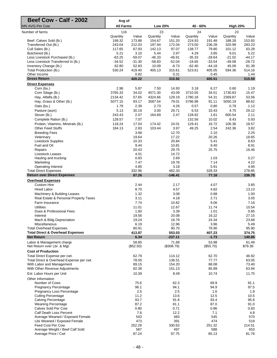| Beef Cow - Calf - 2002                                     | Avg of             |                    |                    |                     |                    |                    |                    |                  |
|------------------------------------------------------------|--------------------|--------------------|--------------------|---------------------|--------------------|--------------------|--------------------|------------------|
| <b>MN AVG-Per Cow</b>                                      | <b>All Farms</b>   |                    | Low 20%            |                     | 40 - 60%           |                    | <b>High 20%</b>    |                  |
| Number of farms                                            | 116                |                    | 23                 |                     | 24                 |                    | 23                 |                  |
| Beef Calves Sold (lb.)                                     | Quantity<br>199.32 | Value<br>173.88    | Quantity<br>154.67 | Value<br>151.20     | Quantity<br>224.93 | Value<br>191.48    | Quantity<br>188.28 | Value<br>153.93  |
| Transferred Out (lb.)                                      | 243.04             | 212.03             | 197.94             | 172.04              | 273.00             | 236.28             | 320.99             | 283.23           |
| Cull Sales (lb.)                                           | 117.65             | 67.93              | 142.13             | 97.07               | 138.77             | 79.80              | 101.12             | 63.28            |
| Butchered (lb.)                                            | 5.21               | 3.10               | 5.44               | 2.97                | 4.29               | 3.85               | 9.01               | 5.22             |
| Less Livestock Purchased (lb.)                             | $-63.25$           | $-59.07$           | $-46.33$           | $-46.91$            | $-35.33$           | $-28.64$           | $-21.02$           | $-44.17$         |
| Less Livestock Transferred In (lb.)                        | $-34.52$           | $-31.30$           | $-58.83$           | $-52.04$            | $-19.65$           | $-33.54$           | $-49.08$           | $-28.72$         |
| Inventory Change (lb.)                                     | 62.80              | 52.83              | 10.09              | $-8.73$             | $-62.40$           | $-44.18$           | 45.06              | 81.39            |
| Total Production (lb.)                                     | 530.24             | 419.40             | 405.13             | 315.61              | 523.61             | 405.05             | 594.36             | 514.16           |
| Other Income<br><b>Gross Return</b>                        |                    | 0.82<br>420.22     |                    | 0.31<br>315.92      |                    | 0.45<br>405.51     |                    | 1.44<br>515.59   |
| <b>Direct Expenses</b>                                     |                    |                    |                    |                     |                    |                    |                    |                  |
| Corn (bu.)                                                 | 2.96               | 5.87               | 7.50               | 14.93               | 3.18               | 6.27               | 0.60               | 1.19             |
| Corn Silage (lb.)                                          | 3765.33            | 34.02              | 4571.30            | 43.09               | 3710.55            | 34.51              | 1730.83            | 15.47            |
| Hay, Alfalfa (lb.)                                         | 2134.42            | 57.65              | 4324.66            | 129.19              | 1780.18            | 54.31              | 2369.87            | 53.56            |
| Hay, Grass & Other (lb.)                                   | 5077.15            | 93.17              | 3587.54            | 79.01               | 5796.98            | 91.11              | 5050.19            | 88.62            |
| Oats (bu.)                                                 | 1.79               | 2.39               | 2.73               | 4.26                | 0.57               | 0.80               | 0.79               | 1.12             |
| Pasture (aum)                                              | 5.13               | 30.19              | 3.00               | 29.71               | 6.53               | 33.43              | 4.75               | 29.12            |
| Stover (lb.)                                               | 243.43             | 2.07               | 164.69             | 2.47                | 128.92             | 1.61               | 600.54             | 2.11             |
| Complete Ration (lb.)<br>Protein, Vitamins, Minerals (lb.) | 128.57<br>118.24   | 7.07<br>17.04      | 174.42             | 24.01               | 132.56<br>129.41   | 10.02<br>16.72     | 8.43<br>106.36     | 0.93<br>18.57    |
| <b>Other Feed Stuffs</b>                                   | 184.13             | 2.83               | 103.44             | 3.97                | 49.25              | 2.54               | 242.36             | 3.82             |
| <b>Breeding Fees</b>                                       |                    | 3.68               |                    | 12.70               |                    | 2.10               |                    | 2.25             |
| Veterinary                                                 |                    | 19.64              |                    | 17.22               |                    | 20.26              |                    | 18.65            |
| <b>Livestock Supplies</b>                                  |                    | 10.33              |                    | 20.84               |                    | 5.41               |                    | 8.63             |
| Fuel and Oil                                               |                    | 9.44               |                    | 10.81               |                    | 9.40               |                    | 8.91             |
| Repairs                                                    |                    | 20.43              |                    | 29.75               |                    | 25.75              |                    | 16.46            |
| Livestock Leases                                           |                    | 4.01               |                    | 14.72               |                    |                    |                    |                  |
| Hauling and trucking                                       |                    | 0.83               |                    | 2.69                |                    | 1.03               |                    | 0.27             |
| Marketing                                                  |                    | 7.47               |                    | 19.78               |                    | 7.14               |                    | 4.22             |
| <b>Operating Interest</b><br><b>Total Direct Expenses</b>  |                    | 4.85<br>332.96     |                    | 3.18<br>462.33      |                    | 5.91<br>328.33     |                    | 4.95<br>278.85   |
| <b>Return over Direct Expenses</b>                         |                    | 87.26              |                    | $-146.41$           |                    | 77.18              |                    | 236.75           |
| <b>Overhead Expenses</b>                                   |                    |                    |                    |                     |                    |                    |                    |                  |
| <b>Custom Hire</b>                                         |                    | 2.44               |                    | 2.17                |                    | 4.07               |                    | 3.85             |
| <b>Hired Labor</b>                                         |                    | 8.70               |                    | 4.57                |                    | 4.82               |                    | 13.13            |
| Machinery & Building Leases                                |                    | 1.32               |                    | 3.08                |                    | 0.98               |                    | 1.00             |
| Real Estate & Personal Property Taxes                      |                    | 3.11               |                    | 4.18                |                    | 2.71               |                    | 3.05             |
| Farm Insurance                                             |                    | 7.74               |                    | 10.82               |                    | 9.06               |                    | 7.16             |
| <b>Utilities</b>                                           |                    | 11.01              |                    | 12.67               |                    | 11.74              |                    | 10.54            |
| Dues & Professional Fees<br>Interest                       |                    | 1.60<br>19.56      |                    | 3.39<br>20.08       |                    | 1.01<br>16.22      |                    | 0.85<br>27.15    |
| Mach & Bldg Depreciation                                   |                    | 19.24              |                    | 16.79               |                    | 24.34              |                    | 23.68            |
| Miscellaneous                                              |                    | 6.19               |                    | 12.96               |                    | 3.96               |                    | 5.49             |
| <b>Total Overhead Expenses</b>                             |                    | 80.91              |                    | 90.70               |                    | 78.90              |                    | 95.90            |
| <b>Total Direct &amp; Overhead Expenses</b>                |                    | 413.87             |                    | 553.03              |                    | 407.23             |                    | 374.75           |
| <b>Net Return</b>                                          |                    | 6.34               |                    | $-237.11$           |                    | $-1.73$            |                    | 140.85           |
| Labor & Management charge<br>Net Return over Lbr. & Mgt.   |                    | 58.85<br>(\$52.50) |                    | 71.68<br>(\$308.79) |                    | 53.98<br>(\$55.70) |                    | 61.49<br>\$79.36 |
| <b>Cost of Production</b>                                  |                    |                    |                    |                     |                    |                    |                    |                  |
| Total Direct Expense per cwt.                              |                    | 62.79              |                    | 114.12              |                    | 62.70              |                    | 46.92            |
| Total Direct & Overhead Expense per cwt.                   |                    | 78.05              |                    | 136.51              |                    | 77.77              |                    | 63.05            |
| With Labor and Management                                  |                    | 89.15              |                    | 154.20              |                    | 88.08              |                    | 73.40            |
| With Other Revenue Adjustments                             |                    | 82.36              |                    | 151.13              |                    | 85.89              |                    | 63.94            |
| Est. Labor Hours per Unit                                  |                    | 10.39              |                    | 8.49                |                    | 10.74              |                    | 11.75            |
| Other Information                                          |                    |                    |                    |                     |                    |                    |                    |                  |
| Number of Cows                                             |                    | 75.6               |                    | 62.3                |                    | 69.9               |                    | 81.1             |
| <b>Pregnancy Percentage</b>                                |                    | 96.1               |                    | 94.1                |                    | 94.9               |                    | 97.5             |
| Pregnancy Loss Percentage                                  |                    | 2.5                |                    | 2.5                 |                    | 1.6                |                    | 1.9              |
| <b>Culling Percentage</b><br>Calving Percentage            |                    | 11.2<br>93.7       |                    | 13.6<br>91.8        |                    | 12.5<br>93.4       |                    | 10.5<br>95.6     |
| <b>Weaning Percentage</b>                                  |                    | 87.2               |                    | 81.1                |                    | 87.0               |                    | 91.0             |
| Calves Sold Per Cow                                        |                    | 0.80               |                    | 0.71                |                    | 0.86               |                    | 0.83             |
| Calf Death Loss Percent                                    |                    | 7.6                |                    | 12.2                |                    | 7.1                |                    | 4.8              |
| Average Weaned / Exposed Female                            |                    | 543                |                    | 483                 |                    | 545                |                    | 570              |
| Lbs Weaned / Exposed Female                                |                    | 473                |                    | 391                 |                    | 474                |                    | 519              |
| Feed Cost Per Cow                                          |                    | 252.29             |                    | 330.63              |                    | 251.32             |                    | 214.51           |
| Average Weight / Beef Calf Sold                            |                    | 587                |                    | 497                 |                    | 588                |                    | 653              |
| Average Price / Cwt                                        |                    | 87.24              |                    | 97.75               |                    | 85.13              |                    | 81.76            |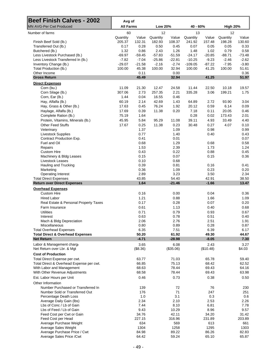| <b>Beef Finish Calves - 2002</b>                        | Avg of           |                  |                |                   |                |                   |                 |                |  |
|---------------------------------------------------------|------------------|------------------|----------------|-------------------|----------------|-------------------|-----------------|----------------|--|
| <b>MN AVG-Per Cwt Produced</b>                          | <b>All Farms</b> |                  | <b>Low 20%</b> |                   | 40 - 60%       |                   | <b>High 20%</b> |                |  |
| Number of farms                                         | 60<br>Quantity   | Value            | 12<br>Quantity |                   | 13<br>Quantity | Value             | 12<br>Quantity  | Value          |  |
| Finish Beef Sold (lb.)                                  | 205.37           | 132.31           | 182.93         | Value<br>108.37   | 241.92         | 157.48            | 198.28          | 130.60         |  |
| Transferred Out (lb.)                                   | 0.17             | 0.28             | 0.50           | 0.45              | 0.07           | 0.05              | 0.05            | 0.33           |  |
| Butchered (lb.)                                         | 1.32             | 0.86             | 2.43           | 1.26              | 1.48           | 1.02              | 0.79            | 0.58           |  |
| Less Livestock Purchased (lb.)                          | $-69.97$         | $-59.45$         | $-57.83$       | $-51.59$          | $-24.17$       | $-20.85$          | $-88.71$        | $-73.48$       |  |
| Less Livestock Transferred In (lb.)                     | $-7.82$          | $-7.04$          | $-25.86$       | $-22.81$          | $-10.25$       | $-9.23$           | $-2.46$         | $-2.62$        |  |
| Inventory Change (lb.)                                  | $-29.07$         | $-21.58$         | $-2.16$        | $-2.74$           | $-109.05$      | $-87.22$          | $-7.95$         | $-3.80$        |  |
| Total Production (lb.)                                  | 100.00           | 45.38            | 100.00         | 32.94             | 100.00         | 41.25             | 100.00          | 51.61          |  |
| Other Income                                            |                  | 0.11             |                | 0.00              |                |                   |                 | 0.36           |  |
| <b>Gross Return</b>                                     |                  | 45.49            |                | 32.94             |                | 41.25             |                 | 51.97          |  |
| <b>Direct Expenses</b><br>Corn (bu.)                    | 11.09            | 21.30            | 12.47          | 24.58             | 11.44          | 22.50             | 10.18           | 19.57          |  |
| Corn Silage (lb.)                                       | 307.06           | 2.73             | 257.35         | 2.21              | 335.28         | 3.06              | 199.21          | 1.75           |  |
| Corn, Ear (lb.)                                         | 1.44             | 0.04             | 16.55          | 0.46              |                |                   |                 |                |  |
| Hay, Alfalfa (lb.)                                      | 60.19            | 2.14             | 42.69          | 1.43              | 64.89          | 2.72              | 93.90           | 3.04           |  |
| Hay, Grass & Other (lb.)                                | 17.63            | 0.45             | 76.24          | 1.92              | 20.12          | 0.59              | 6.14            | 0.09           |  |
| Haylage, Alfalfa (lb.)                                  | 17.69            | 0.39             | 11.38          | 0.20              | 7.18           | 0.11              | 20.05           | 0.46           |  |
| Complete Ration (lb.)                                   | 75.19            | 1.64             |                |                   | 0.28           | 0.02              | 173.43          | 2.01           |  |
| Protein, Vitamins, Minerals (lb.)                       | 45.95            | 5.84             | 95.29          | 11.08             | 39.11          | 4.93              | 33.49           | 4.40           |  |
| <b>Other Feed Stuffs</b>                                | 17.67            | 0.25             | 11.38          | 0.23              | 30.48          | 0.27              | 4.07            | 0.10           |  |
|                                                         |                  |                  |                |                   |                |                   |                 |                |  |
| Veterinary                                              |                  | 1.37             |                | 1.09              |                | 0.98              |                 | 0.99           |  |
| <b>Livestock Supplies</b><br>Contract Production Exp.   |                  | 0.77<br>0.41     |                | 1.40<br>0.01      |                | 0.40              |                 | 0.43<br>0.07   |  |
| Fuel and Oil                                            |                  |                  |                | 1.29              |                |                   |                 |                |  |
|                                                         |                  | 0.68<br>1.53     |                | 2.39              |                | 0.68<br>1.73      |                 | 0.58<br>1.24   |  |
| Repairs<br><b>Custom Hire</b>                           |                  | 0.43             |                | 0.22              |                | 0.88              |                 | 0.45           |  |
|                                                         |                  | 0.15             |                | 0.07              |                | 0.15              |                 | 0.36           |  |
| Machinery & Bldg Leases<br>Livestock Leases             |                  | 0.10             |                | 0.68              |                |                   |                 |                |  |
| Hauling and Trucking                                    |                  | 0.39             |                | 0.81              |                | 0.16              |                 | 0.41           |  |
| Marketing                                               |                  | 0.36             |                | 1.09              |                | 0.23              |                 | 0.20           |  |
| <b>Operating Interest</b>                               |                  | 2.89             |                | 3.23              |                | 3.50              |                 | 2.34           |  |
| <b>Total Direct Expenses</b>                            |                  | 43.85            |                | 54.40             |                | 42.91             |                 | 38.50          |  |
| <b>Return over Direct Expenses</b>                      |                  | 1.64             |                | $-21.46$          |                | $-1.66$           |                 | 13.47          |  |
| <b>Overhead Expenses</b>                                |                  |                  |                |                   |                |                   |                 |                |  |
| <b>Custom Hire</b>                                      |                  | 0.16             |                | 0.00              |                | 0.04              |                 | 0.36           |  |
| <b>Hired Labor</b>                                      |                  | 1.21             |                | 0.88              |                | 1.66              |                 | 1.09           |  |
| Real Estate & Personal Property Taxes                   |                  | 0.17             |                | 0.28              |                | 0.07              |                 | 0.20           |  |
| Farm Insurance                                          |                  | 0.61             |                | 1.13              |                | 0.40              |                 | 0.68           |  |
| <b>Utilities</b>                                        |                  | 0.71             |                | 0.79              |                | 0.93              |                 | 0.67           |  |
| Interest                                                |                  | 0.63             |                | 0.78              |                | 0.51              |                 | 0.40           |  |
| Mach & Bldg Depreciation                                |                  | 2.06             |                | 2.76              |                | 2.51              |                 | 1.91           |  |
| Miscellaneous                                           |                  | 0.80             |                | 0.89              |                | 0.28              |                 | 0.87           |  |
| <b>Total Overhead Expenses</b>                          |                  | 6.35             |                | 7.51              |                | 6.39              |                 | 6.17           |  |
| <b>Total Direct &amp; Overhead Expenses</b>             |                  | 50.20            |                | 61.92             |                | 49.30             |                 | 44.67          |  |
| <b>Net Return</b>                                       |                  | $-4.71$          |                | $-28.98$          |                | $-8.05$           |                 | 7.30           |  |
| Labor & Management charge<br>Net Return over Lbr. & Mgt |                  | 3.65<br>(\$8.36) |                | 6.08<br>(\$35.06) |                | 2.43<br>(\$10.48) |                 | 3.27<br>\$4.03 |  |
|                                                         |                  |                  |                |                   |                |                   |                 |                |  |
| <b>Cost of Production</b>                               |                  |                  |                |                   |                |                   |                 |                |  |
| Total Direct Expense per cwt.                           |                  | 63.77            |                | 71.03             |                | 65.78             |                 | 59.40          |  |
| Total Direct & Overhead Expense per cwt.                |                  | 66.85            |                | 75.13             |                | 68.42             |                 | 62.52          |  |
| With Labor and Management                               |                  | 68.63            |                | 78.44             |                | 69.43             |                 | 64.16          |  |
| With Other Revenue Adjustments                          |                  | 68.58            |                | 78.44             |                | 69.43             |                 | 63.98          |  |
| Est. Labor Hours per Unit                               |                  | 0.46             |                | 0.73              |                | 0.38              |                 | 0.50           |  |
| Other Information                                       |                  |                  |                |                   |                |                   |                 |                |  |
| Number Purchased or Transferred In                      |                  | 139              |                | 72                |                | 76                |                 | 230            |  |
| Number Sold or Transferred Out                          |                  | 176              |                | 71                |                | 247               |                 | 251            |  |
| Percentage Death Loss                                   |                  | 1.0              |                | 3.1               |                | 0.3               |                 | 0.6            |  |
| Average Daily Gain (lbs)                                |                  | 2.34             |                | 2.10              |                | 2.53              |                 | 2.26           |  |
| Lbs of Conc / Lb of Gain                                |                  | 7.44             |                | 8.10              |                | 6.81              |                 | 7.78           |  |
| Lbs of Feed / Lb of Gain                                |                  | 9.43             |                | 10.29             |                | 8.96              |                 | 9.57           |  |
| Feed Cost per Cwt or Gain                               |                  | 34.76            |                | 42.11             |                | 34.20             |                 | 31.42          |  |
| Feed Cost per Head                                      |                  | 227.15           |                | 316.96            |                | 231.89            |                 | 203.89         |  |
| Average Purchase Weight                                 |                  | 634              |                | 569               |                | 613               |                 | 661            |  |
| Average Sales Weight                                    |                  | 1304             |                | 1258              |                | 1295              |                 | 1303           |  |
| Average Purchase Price / Cwt                            |                  | 84.98<br>64.42   |                | 89.22<br>59.24    |                | 86.26<br>65.10    |                 | 82.83<br>65.87 |  |
| Average Sales Price / Cwt                               |                  |                  |                |                   |                |                   |                 |                |  |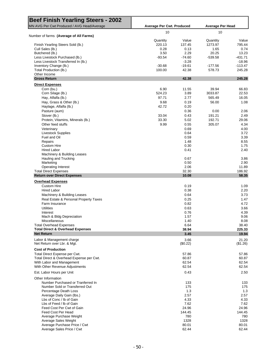| <b>Beef Finish Yearling Steers - 2002</b>                          |                                  |                         |               |                   |  |  |
|--------------------------------------------------------------------|----------------------------------|-------------------------|---------------|-------------------|--|--|
| MN AVG Per Cwt Produced / AVG Head/Average                         | <b>Average Per Cwt. Produced</b> | <b>Average Per Head</b> |               |                   |  |  |
| Number of farms (Average of All Farms)                             | 10                               |                         | 10            |                   |  |  |
|                                                                    | Quantity                         | Value                   | Quantity      | Value             |  |  |
| Finish Yearling Steers Sold (lb.)                                  | 220.13                           | 137.45                  | 1273.97       | 795.44            |  |  |
| Cull Sales (lb.)                                                   | 0.28<br>3.50                     | 0.13<br>2.29            | 1.65<br>20.25 | 0.74<br>13.23     |  |  |
| Butchered (lb.)<br>Less Livestock Purchased (lb.)                  | $-93.54$                         | $-74.60$                | $-539.58$     | -431.71           |  |  |
| Less Livestock Transferred In (lb.)                                |                                  | $-3.28$                 |               | $-18.96$          |  |  |
| Inventory Change (lb.)                                             | $-30.68$                         | $-19.61$                | $-177.56$     | $-113.47$         |  |  |
| Total Production (lb.)                                             | 100.00                           | 42.38                   | 578.73        | 245.28            |  |  |
| Other Income                                                       |                                  |                         |               |                   |  |  |
| <b>Gross Return</b>                                                |                                  | 42.38                   |               | 245.28            |  |  |
| <b>Direct Expenses</b>                                             |                                  |                         |               |                   |  |  |
| Corn (bu.)                                                         | 6.90<br>524.23                   | 11.55<br>3.89           | 39.94         | 66.83<br>22.53    |  |  |
| Corn Silage (lb.)                                                  |                                  |                         | 3033.87       |                   |  |  |
| Hay, Alfalfa (lb.)                                                 | 97.71                            | 2.77                    | 565.49        | 16.05             |  |  |
| Hay, Grass & Other (lb.)                                           | 9.68                             | 0.19                    | 56.00         | 1.08              |  |  |
| Haylage, Alfalfa (lb.)                                             | 42.72                            | 0.20                    |               |                   |  |  |
| Pasture (aum)                                                      |                                  | 0.36                    | 0.00          | 2.06              |  |  |
| Stover (lb.)                                                       | 33.04                            | 0.43                    | 191.21        | 2.49              |  |  |
| Protein, Vitamins, Minerals (lb.)                                  | 33.30                            | 5.02                    | 192.71        | 29.06             |  |  |
| Other feed stuffs                                                  | 9.99                             | 0.55                    | 305.07        | 4.34              |  |  |
| Veterinary                                                         |                                  | 0.69                    |               | 4.00              |  |  |
| <b>Livestock Supplies</b>                                          |                                  | 0.64                    |               | 3.72              |  |  |
| Fuel and Oil                                                       |                                  | 0.59                    |               | 3.39              |  |  |
|                                                                    |                                  | 1.48                    |               | 8.55              |  |  |
| Repairs                                                            |                                  |                         |               |                   |  |  |
| <b>Custom Hire</b>                                                 |                                  | 0.30                    |               | 1.75              |  |  |
| <b>Hired Labor</b>                                                 |                                  | 0.41                    |               | 2.40              |  |  |
| Machinery & Building Leases                                        |                                  |                         |               |                   |  |  |
| Hauling and Trucking                                               |                                  | 0.67                    |               | 3.86              |  |  |
| Marketing                                                          |                                  | 0.50                    |               | 2.90              |  |  |
| <b>Operating Interest</b>                                          |                                  | 2.06                    |               | 11.89             |  |  |
| <b>Total Direct Expenses</b><br><b>Return over Direct Expenses</b> |                                  | 32.30<br>10.08          |               | 186.92<br>58.35   |  |  |
| <b>Overhead Expenses</b>                                           |                                  |                         |               |                   |  |  |
| <b>Custom Hire</b>                                                 |                                  | 0.19                    |               | 1.09              |  |  |
|                                                                    |                                  | 0.38                    |               | 2.20              |  |  |
| <b>Hired Labor</b>                                                 |                                  |                         |               |                   |  |  |
| Machinery & Building Leases                                        |                                  | 0.64                    |               | 3.73              |  |  |
| Real Estate & Personal Property Taxes                              |                                  | 0.25                    |               | 1.47              |  |  |
| Farm Insurance                                                     |                                  | 0.82                    |               | 4.72              |  |  |
| <b>Utilities</b>                                                   |                                  | 0.63                    |               | 3.66              |  |  |
| Interest                                                           |                                  | 0.76                    |               | 4.39              |  |  |
| Mach & Bldg Depreciation                                           |                                  | 1.57                    |               | 9.06              |  |  |
| Miscellaneous                                                      |                                  | 1.40                    |               | 8.08              |  |  |
| <b>Total Overhead Expenses</b>                                     |                                  | 6.64                    |               | 38.40             |  |  |
| <b>Total Direct &amp; Overhead Expenses</b>                        |                                  | 38.94                   |               | 225.33            |  |  |
| <b>Net Return</b>                                                  |                                  | 3.45                    |               | 19.94             |  |  |
| Labor & Management charge<br>Net Return over Lbr. & Mgt.           |                                  | 3.66<br>(\$0.22)        |               | 21.20<br>(\$1.26) |  |  |
| <b>Cost of Production</b>                                          |                                  |                         |               |                   |  |  |
|                                                                    |                                  |                         |               |                   |  |  |
| Total Direct Expense per Cwt.                                      |                                  | 57.86                   |               | 57.86             |  |  |
| Total Direct & Overhead Expense per Cwt.                           |                                  | 60.87                   |               | 60.87             |  |  |
| With Labor and Management                                          |                                  | 62.54                   |               | 62.54             |  |  |
| With Other Revenue Adjustments                                     |                                  | 62.54                   |               | 62.54             |  |  |
| Est. Labor Hours per Unit                                          |                                  | 0.43                    |               | 2.50              |  |  |
| Other Information                                                  |                                  |                         |               |                   |  |  |
| Number Purchased or Tranferred In                                  |                                  | 133                     |               | 133               |  |  |
| Number Sold or Transferred Out                                     |                                  | 175                     |               | 175               |  |  |
| Percentage Death Loss                                              |                                  | 1.3                     |               | 1.3               |  |  |
| Average Daily Gain (lbs.)                                          |                                  | 2.57                    |               | 2.57              |  |  |
| Lbs of Conc / Ib of Gain                                           |                                  | 4.33                    |               | 4.33              |  |  |
| Lbs of Feed / Ib of Gain                                           |                                  | 7.62                    |               | 7.62              |  |  |
| Feed Cost Per Cwt of Gain                                          |                                  | 24.96                   |               | 24.96             |  |  |
| Feed Cost Per Head                                                 |                                  | 144.45                  |               | 144.45            |  |  |
|                                                                    |                                  |                         |               |                   |  |  |
| Average Purchase Weight                                            |                                  | 780                     |               | 780               |  |  |
| Average Sales Weight                                               |                                  | 1328                    |               | 1328              |  |  |
| Average Purchase Price / Cwt                                       |                                  | 80.01                   |               | 80.01             |  |  |
| Average Sales Price / Cwt                                          |                                  | 62.44                   |               | 62.44             |  |  |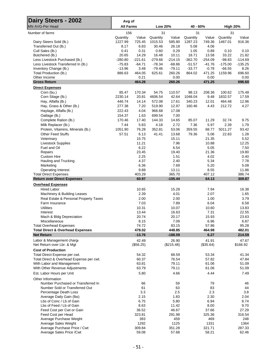| Dairy Steers - 2002                                         | Avg of           |                    |                |                     |              |                    |                 |                   |  |
|-------------------------------------------------------------|------------------|--------------------|----------------|---------------------|--------------|--------------------|-----------------|-------------------|--|
| MN AVG-Per Head                                             | <b>All Farms</b> |                    | <b>Low 20%</b> |                     | 40 - 60%     |                    | <b>High 20%</b> |                   |  |
| Number of farms                                             | 156              |                    | 31             |                     | 31           |                    | 31              |                   |  |
|                                                             | Quantity         | Value              | Quantity       | Value               | Quantity     | Value              | Quantity        | Value             |  |
| Dairy Steers Sold (lb.)                                     | 1227.99          | 725.45             | 1015.53        | 585.80              | 1287.23      | 749.36             | 1467.01         | 916.36            |  |
| Transferred Out (lb.)<br>Cull Sales (lb.)                   | 8.17<br>0.41     | 6.83<br>0.31       | 30.46<br>0.60  | 26.18<br>0.29       | 5.08<br>1.05 | 4.06<br>0.89       | 0.10            | 0.10              |  |
| Butchered (lb.)                                             | 20.65            | 14.29              | 16.48          | 10.11               | 18.71        | 13.58              | 33.22           | 21.82             |  |
| Less Livestock Purchased (lb.)                              | $-280.80$        | $-221.61$          | $-279.66$      | $-214.15$           | $-362.70$    | $-254.09$          | $-98.83$        | $-114.69$         |  |
| Less Livestock Transferred In (lb.)                         | $-75.83$         | $-64.71$           | $-78.34$       | $-68.86$            | $-51.57$     | $-41.76$           | $-175.00$       | $-135.25$         |  |
| Inventory Change (lb.)                                      | $-13.96$         | 3.48               | $-79.46$       | $-79.11$            | $-33.77$     | $-0.78$            | $-66.55$        | 8.26              |  |
| Total Production (lb.)                                      | 886.63           | 464.05             | 625.61         | 260.26              | 864.02       | 471.25             | 1159.96         | 696.60            |  |
| Other Income                                                |                  | 0.21               |                | 0.00                |              | 0.00               |                 | 0.00              |  |
| <b>Gross Return</b>                                         |                  | 464.26             |                | 260.26              |              | 471.25             |                 | 696.60            |  |
| <b>Direct Expenses</b>                                      |                  |                    |                |                     |              |                    |                 |                   |  |
| Corn (bu.)                                                  | 85.47            | 170.34             | 54.75          | 110.57              | 98.13        | 208.36             | 100.62          | 175.48            |  |
| Corn Silage (lb.)                                           | 2230.14          | 20.81              | 4606.54        | 42.64               | 1048.04      | 9.48               | 1832.57         | 17.59             |  |
| Hay, Alfalfa (lb.)                                          | 446.74           | 14.14              | 572.08         | 17.61               | 340.23       | 12.01              | 464.48          | 12.96             |  |
| Hay, Grass & Other (lb.)                                    | 277.38           | 7.20               | 519.90         | 12.97               | 160.46       | 4.43               | 212.72          | 4.27              |  |
| Haylage, Alfalfa (lb.)                                      | 222.43           | 4.04               | 966.68         | 17.08               |              |                    |                 |                   |  |
| Oatlage (lb.)                                               | 154.37           | 1.63               | 699.54         | 7.00                |              |                    |                 |                   |  |
| Complete Ration (lb.)                                       | 170.46           | 17.40              | 144.33         | 14.65               | 85.07        | 11.29              | 32.74           | 9.75              |  |
| Milk Replacer (lb.)                                         | 7.44             | 5.83               | 4.18           | 2.72                | 7.36         | 5.97               | 2.39            | 1.79              |  |
| Protein, Vitamins, Minerals (lb.)                           | 1051.90          | 76.28              | 352.81         | 53.06               | 359.55       | 68.77              | 5011.27         | 93.42             |  |
| <b>Other Feed Stuffs</b>                                    | 57.51            | 6.13               | 41.41          | 13.68               | 79.36        | 5.06               | 22.83           | 1.28              |  |
| Veterinary                                                  |                  | 15.75              |                | 15.11               |              | 21.35              |                 | 5.52              |  |
| <b>Livestock Supplies</b>                                   |                  | 11.21              |                | 7.96                |              | 10.88              |                 | 12.25             |  |
| Fuel and Oil                                                |                  | 6.22               |                | 6.54                |              | 5.05               |                 | 7.50              |  |
| Repairs                                                     |                  | 23.45<br>2.25      |                | 19.40               |              | 21.36              |                 | 19.80             |  |
| <b>Custom Hire</b>                                          |                  | 4.37               |                | 1.51<br>2.40        |              | 4.02<br>5.34       |                 | 0.40<br>7.78      |  |
| Hauling and Trucking<br>Marketing                           |                  | 6.36               |                | 7.69                |              | 5.20               |                 | 5.08              |  |
| <b>Operating Interest</b>                                   |                  | 9.88               |                | 13.11               |              | 8.55               |                 | 11.86             |  |
| <b>Total Direct Expenses</b>                                |                  | 403.29             |                | 365.70              |              | 407.12             |                 | 386.74            |  |
| <b>Return over Direct Expenses</b>                          |                  | 60.97              |                | $-105.44$           |              | 64.13              |                 | 309.87            |  |
| <b>Overhead Expenses</b>                                    |                  |                    |                |                     |              |                    |                 |                   |  |
| <b>Hired Labor</b>                                          |                  | 10.65              |                | 15.28               |              | 7.94               |                 | 16.38             |  |
| Machinery & Building Leases                                 |                  | 2.39               |                | 4.01                |              | 2.07               |                 | 1.65              |  |
| Real Estate & Personal Property Taxes                       |                  | 2.00               |                | 2.00                |              | 1.00               |                 | 3.79              |  |
| Farm Insurance                                              |                  | 7.03               |                | 7.89                |              | 6.04               |                 | 6.58              |  |
| <b>Utilities</b>                                            |                  | 10.31              |                | 10.07               |              | 10.60              |                 | 13.83             |  |
| Interest                                                    |                  | 13.44              |                | 16.63               |              | 7.31               |                 | 22.55             |  |
| Mach & Bldg Depreciation                                    |                  | 20.74              |                | 20.17               |              | 15.93              |                 | 23.63             |  |
| Miscellaneous                                               |                  | 8.15               |                | 7.09                |              | 6.96               |                 | 6.87              |  |
| <b>Total Overhead Expenses</b>                              |                  | 74.72              |                | 83.15               |              | 57.86              |                 | 95.28             |  |
| <b>Total Direct &amp; Overhead Expenses</b>                 |                  | 478.02             |                | 448.85              |              | 464.98             |                 | 482.01            |  |
| <b>Net Return</b>                                           |                  | $-13.76$           |                | $-188.59$           |              | 6.27               |                 | 214.59            |  |
| Labor & Management charge<br>Net Return over Lbr. & Mgt     |                  | 42.49<br>(\$56.25) |                | 26.90<br>(\$215.48) |              | 41.91<br>(\$35.64) |                 | 47.67<br>\$166.92 |  |
|                                                             |                  |                    |                |                     |              |                    |                 |                   |  |
| <b>Cost of Production</b>                                   |                  |                    |                |                     |              |                    |                 |                   |  |
| Total Direct Expense per cwt.                               |                  | 54.32              |                | 68.59               |              | 53.34              |                 | 41.34             |  |
| Total Direct & Overhead Expense per cwt.                    |                  | 60.37              |                | 76.54               |              | 57.82              |                 | 47.84             |  |
| With Labor and Management<br>With Other Revenue Adjustments |                  | 63.81<br>63.79     |                | 79.11<br>79.11      |              | 61.06<br>61.06     |                 | 51.09<br>51.09    |  |
|                                                             |                  |                    |                |                     |              |                    |                 |                   |  |
| Est. Labor Hours per Unit                                   |                  | 5.80               |                | 4.66                |              | 4.44               |                 | 7.49              |  |
| Other Information                                           |                  |                    |                |                     |              |                    |                 |                   |  |
| Number Purchased or Transferred In                          |                  | 66                 |                | 59                  |              | 79                 |                 | 46                |  |
| Number Sold or Transferred Out                              |                  | 61                 |                | 63                  |              | 83                 |                 | 44                |  |
| Percentage Death Loss<br>Average Daily Gain (lbs)           |                  | 3.3<br>2.15        |                | 2.5<br>1.83         |              | 2.3<br>2.30        |                 | 3.8<br>2.04       |  |
| Lbs of Conc / Lb of Gain                                    |                  | 6.75               |                | 5.80                |              | 6.94               |                 | 8.74              |  |
| Lbs of Feed / Lb of Gain                                    |                  | 8.63               |                | 11.42               |              | 8.00               |                 | 9.70              |  |
| Feed Cost per Cwt or Gain                                   |                  | 36.52              |                | 46.67               |              | 37.66              |                 | 27.29             |  |
| Feed Cost per Head                                          |                  | 323.81             |                | 291.98              |              | 325.36             |                 | 316.54            |  |
| Average Purchase Weight                                     |                  | 393                |                | 459                 |              | 469                |                 | 248               |  |
| Average Sales Weight                                        |                  | 1292               |                | 1125                |              | 1331               |                 | 1364              |  |
| Average Purchase Price / Cwt                                |                  | 309.84             |                | 351.28              |              | 321.71             |                 | 287.33            |  |
| Average Sales Price / Cwt                                   |                  | 59.08              |                | 57.68               |              | 58.21              |                 | 62.46             |  |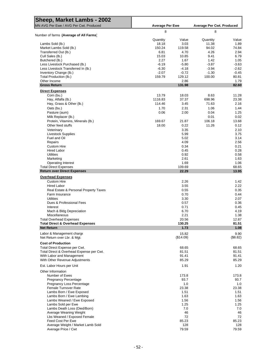| Sheep, Market Lambs - 2002                                         |                        |                 |                                  |                |
|--------------------------------------------------------------------|------------------------|-----------------|----------------------------------|----------------|
| MN AVG Per Ewe / AVG Per Cwt. Produced                             | <b>Average Per Ewe</b> |                 | <b>Average Per Cwt. Produced</b> |                |
| Number of farms (Average of All Farms)                             | 8                      |                 | 8                                |                |
|                                                                    | Quantity               | Value           | Quantity                         | Value          |
| Lambs Sold (lb.)                                                   | 18.18                  | 3.03            | 11.38                            | 1.89           |
| Market Lambs Sold (lb.)                                            | 150.24                 | 119.58          | 94.02                            | 74.84          |
| Transferred Out (lb.)                                              | 6.81                   | 4.70            | 4.26                             | 2.94           |
| Cull Sales (lb.)                                                   | 15.03                  | 10.85           | 9.41                             | 6.79           |
| Butchered (lb.)                                                    | 2.27                   | 1.67            | 1.42                             | 1.05           |
| Less Livestock Purchased (lb.)                                     | $-6.19$                | $-5.80$         | $-3.87$                          | $-3.63$        |
| Less Livestock Transferred In (lb.)                                | $-6.30$                | $-4.18$         | $-3.94$                          | $-2.62$        |
| Inventory Change (lb.)                                             | $-2.07$                | $-0.72$         | $-1.30$                          | $-0.45$        |
| Total Production (lb.)                                             | 159.79                 | 129.12          | 100.00                           | 80.81          |
| Other Income<br><b>Gross Return</b>                                |                        | 2.86<br>131.98  |                                  | 1.79<br>82.60  |
| <b>Direct Expenses</b>                                             |                        |                 |                                  |                |
| Corn (bu.)                                                         | 13.79                  | 18.03           | 8.63                             | 11.28          |
| Hay, Alfalfa (lb.)                                                 | 1116.83                | 37.37           | 698.96                           | 23.38          |
| Hay, Grass & Other (lb.)                                           | 114.46                 | 3.45            | 71.63                            | 2.16           |
| Oats (bu.)                                                         | 1.70                   | 2.31            | 1.06                             | 1.44           |
| Pasture (aum)                                                      | 0.06                   | 2.00            | 0.04                             | 1.25           |
| Milk Replacer (lb.)                                                |                        |                 | 0.01                             | 0.02           |
| Protein, Vitamins, Minerals (lb.)                                  | 169.67                 | 21.87           | 106.18                           | 13.68          |
| Other feed stuffs                                                  | 18.00                  | 0.22            | 11.26                            | 0.12           |
| Veterinary                                                         |                        | 3.35            |                                  | 2.10           |
| <b>Livestock Supplies</b>                                          |                        | 5.99            |                                  | 3.75           |
| Fuel and Oil                                                       |                        | 5.02            |                                  | 3.14           |
| Repairs                                                            |                        | 4.09            |                                  | 2.56           |
| <b>Custom Hire</b>                                                 |                        | 0.34            |                                  | 0.21           |
| <b>Hired Labor</b>                                                 |                        | 0.45            |                                  | 0.28           |
| <b>Utilities</b>                                                   |                        | 0.92            |                                  | 0.58           |
| Marketing                                                          |                        | 2.61            |                                  | 1.63           |
| <b>Operating Interest</b>                                          |                        | 1.69            |                                  | 1.06           |
| <b>Total Direct Expenses</b><br><b>Return over Direct Expenses</b> |                        | 109.69<br>22.29 |                                  | 68.65<br>13.95 |
|                                                                    |                        |                 |                                  |                |
| <b>Overhead Expenses</b><br><b>Custom Hire</b>                     |                        | 2.26            |                                  | 1.42           |
| <b>Hired Labor</b>                                                 |                        | 3.55            |                                  | 2.22           |
|                                                                    |                        | 0.55            |                                  | 0.35           |
| Real Estate & Personal Property Taxes<br>Farm Insurance            |                        | 0.70            |                                  | 0.44           |
|                                                                    |                        |                 |                                  |                |
| <b>Utilities</b><br>Dues & Professional Fees                       |                        | 3.30<br>0.57    |                                  | 2.07           |
| Interest                                                           |                        | 0.71            |                                  | 0.36<br>0.45   |
| Mach & Bldg Depreciation                                           |                        | 6.70            |                                  | 4.19           |
| Miscellaneous                                                      |                        | 2.21            |                                  | 1.38           |
| <b>Total Overhead Expenses</b>                                     |                        | 20.56           |                                  | 12.87          |
| <b>Total Direct &amp; Overhead Expenses</b>                        |                        | 130.25          |                                  | 81.51          |
| <b>Net Return</b>                                                  |                        | 1.73            |                                  | 1.08           |
| Labor & Management charge                                          |                        | 15.82           |                                  | 9.90           |
| Net Return over Lbr. & Mgt.                                        |                        | (\$14.09)       |                                  | (\$8.82)       |
| <b>Cost of Production</b>                                          |                        |                 |                                  |                |
| Total Direct Expense per Cwt.                                      |                        | 68.65           |                                  | 68.65          |
| Total Direct & Overhead Expense per Cwt.                           |                        | 81.51           |                                  | 81.51          |
| With Labor and Management                                          |                        | 91.41           |                                  | 91.41          |
| With Other Revenue Adjustments                                     |                        | 85.29           |                                  | 85.29          |
| Est. Labor Hours per Unit                                          |                        | 1.91            |                                  | 1.20           |
| Other Information                                                  |                        |                 |                                  |                |
| Number of Ewes                                                     |                        | 173.8           |                                  | 173.8          |
| <b>Pregnancy Percentage</b>                                        |                        | 93.7            |                                  | 93.7           |
| Pregnancy Loss Percentage                                          |                        | 1.0             |                                  | 1.0            |
| <b>Female Turnover Rate</b>                                        |                        | 23.38           |                                  | 23.38          |
| Lambs Born / Ewe Exposed                                           |                        | 1.51            |                                  | 1.51           |
| Lambs Born / Ewe Lambing                                           |                        | 1.63            |                                  | 1.63           |
| Lambs Weaned / Ewe Exposed                                         |                        | 1.56            |                                  | 1.56           |
| Lambs Sold per Ewe                                                 |                        | 1.25            |                                  | 1.25           |
| Lambs Death Loss (Died/Born)                                       |                        | 7.0             |                                  | 7.0            |
| Average Weaning Weight                                             |                        | 46              |                                  | 46             |
| Lbs Weaned / Exposed Female<br>Feed Cost Per Ewe                   |                        | 72<br>85.23     |                                  | 72<br>85.23    |
| Average Weight / Market Lamb Sold                                  |                        | 128             |                                  | 128            |
| Average Price / Cwt                                                |                        | 79.59           |                                  | 79.59          |
|                                                                    |                        |                 |                                  |                |